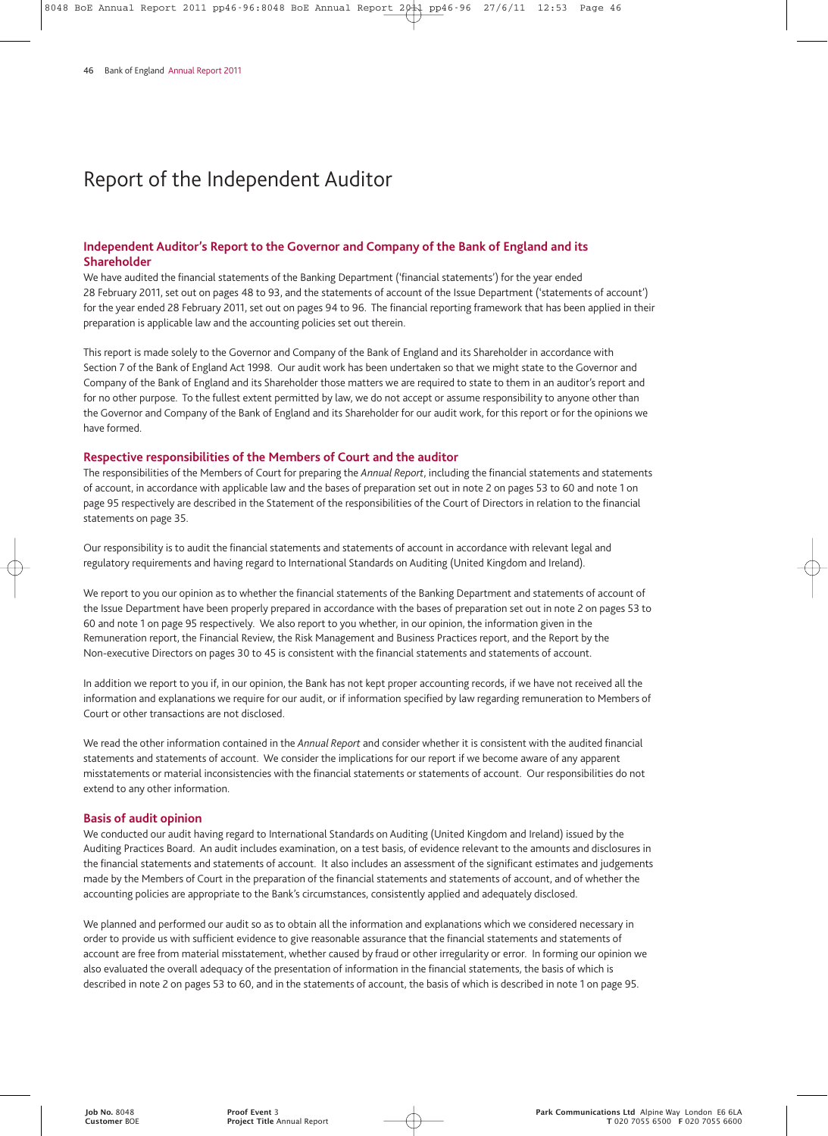# Report of the Independent Auditor

#### **Independent Auditor's Report to the Governor and Company of the Bank of England and its Shareholder**

We have audited the financial statements of the Banking Department ('financial statements') for the year ended 28 February 2011, set out on pages 48 to 93, and the statements of account of the Issue Department ('statements of account') for the year ended 28 February 2011, set out on pages 94 to 96. The financial reporting framework that has been applied in their preparation is applicable law and the accounting policies set out therein.

This report is made solely to the Governor and Company of the Bank of England and its Shareholder in accordance with Section 7 of the Bank of England Act 1998. Our audit work has been undertaken so that we might state to the Governor and Company of the Bank of England and its Shareholder those matters we are required to state to them in an auditor's report and for no other purpose. To the fullest extent permitted by law, we do not accept or assume responsibility to anyone other than the Governor and Company of the Bank of England and its Shareholder for our audit work, for this report or for the opinions we have formed.

#### **Respective responsibilities of the Members of Court and the auditor**

The responsibilities of the Members of Court for preparing the *Annual Report*, including the financial statements and statements of account, in accordance with applicable law and the bases of preparation set out in note 2 on pages 53 to 60 and note 1 on page 95 respectively are described in the Statement of the responsibilities of the Court of Directors in relation to the financial statements on page 35.

Our responsibility is to audit the financial statements and statements of account in accordance with relevant legal and regulatory requirements and having regard to International Standards on Auditing (United Kingdom and Ireland).

We report to you our opinion as to whether the financial statements of the Banking Department and statements of account of the Issue Department have been properly prepared in accordance with the bases of preparation set out in note 2 on pages 53 to 60 and note 1 on page 95 respectively. We also report to you whether, in our opinion, the information given in the Remuneration report, the Financial Review, the Risk Management and Business Practices report, and the Report by the Non-executive Directors on pages 30 to 45 is consistent with the financial statements and statements of account.

In addition we report to you if, in our opinion, the Bank has not kept proper accounting records, if we have not received all the information and explanations we require for our audit, or if information specified by law regarding remuneration to Members of Court or other transactions are not disclosed.

We read the other information contained in the *Annual Report* and consider whether it is consistent with the audited financial statements and statements of account. We consider the implications for our report if we become aware of any apparent misstatements or material inconsistencies with the financial statements or statements of account. Our responsibilities do not extend to any other information.

#### **Basis of audit opinion**

We conducted our audit having regard to International Standards on Auditing (United Kingdom and Ireland) issued by the Auditing Practices Board. An audit includes examination, on a test basis, of evidence relevant to the amounts and disclosures in the financial statements and statements of account. It also includes an assessment of the significant estimates and judgements made by the Members of Court in the preparation of the financial statements and statements of account, and of whether the accounting policies are appropriate to the Bank's circumstances, consistently applied and adequately disclosed.

We planned and performed our audit so as to obtain all the information and explanations which we considered necessary in order to provide us with sufficient evidence to give reasonable assurance that the financial statements and statements of account are free from material misstatement, whether caused by fraud or other irregularity or error. In forming our opinion we also evaluated the overall adequacy of the presentation of information in the financial statements, the basis of which is described in note 2 on pages 53 to 60, and in the statements of account, the basis of which is described in note 1 on page 95.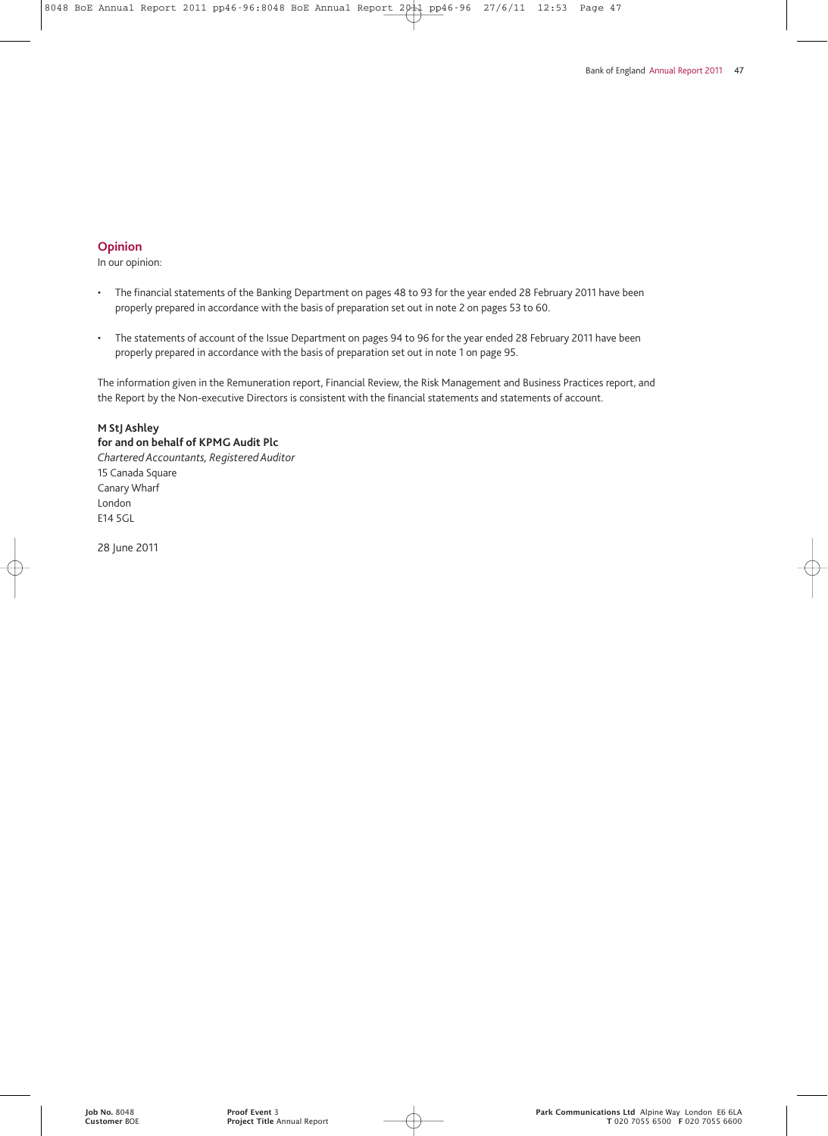#### **Opinion**

In our opinion:

- The financial statements of the Banking Department on pages 48 to 93 for the year ended 28 February 2011 have been properly prepared in accordance with the basis of preparation set out in note 2 on pages 53 to 60.
- The statements of account of the Issue Department on pages 94 to 96 for the year ended 28 February 2011 have been properly prepared in accordance with the basis of preparation set out in note 1 on page 95.

The information given in the Remuneration report, Financial Review, the Risk Management and Business Practices report, and the Report by the Non-executive Directors is consistent with the financial statements and statements of account.

#### **M StJ Ashley**

**for and on behalf of KPMG Audit Plc** *Chartered Accountants, Registered Auditor* 15 Canada Square Canary Wharf London E14 5GL

28 June 2011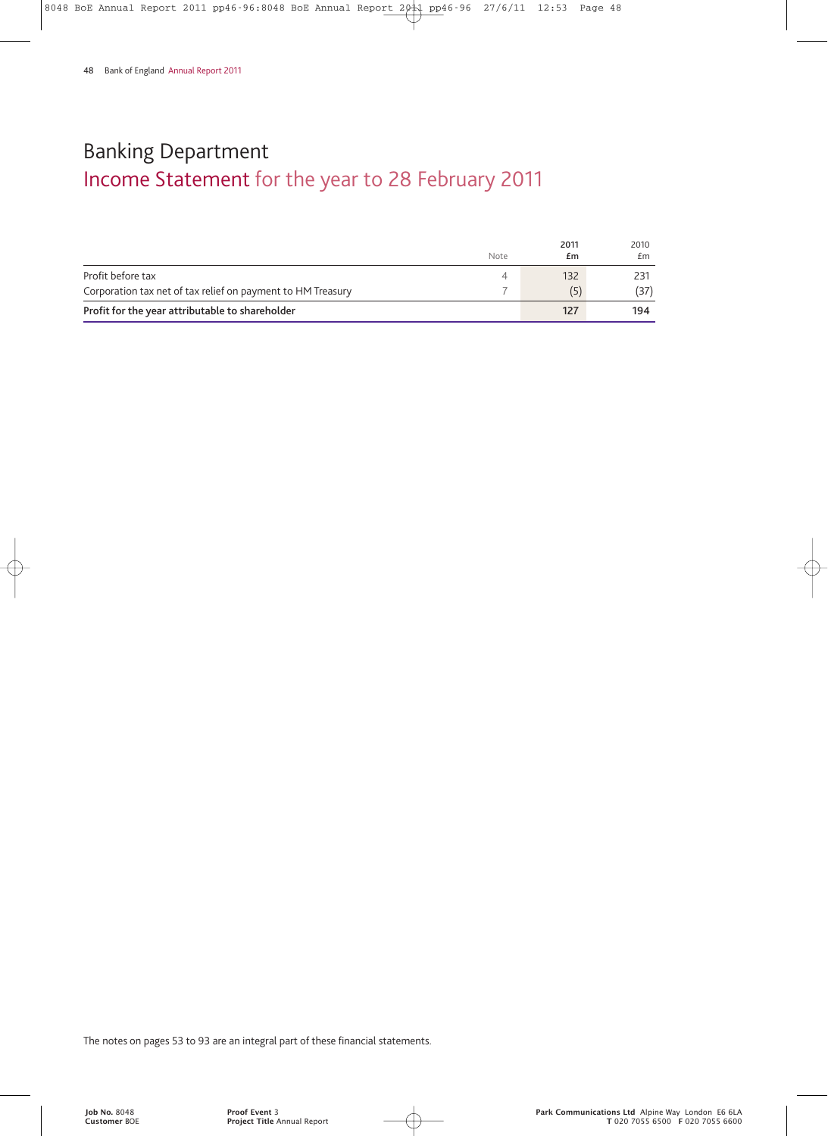# Income Statement for the year to 28 February 2011 Banking Department

|                                                             | Note | 2011<br>£m | 2010<br>£m. |
|-------------------------------------------------------------|------|------------|-------------|
| Profit before tax                                           |      | 132        | 231         |
| Corporation tax net of tax relief on payment to HM Treasury |      | (5         | (37)        |
| Profit for the year attributable to shareholder             |      | 127        | 194         |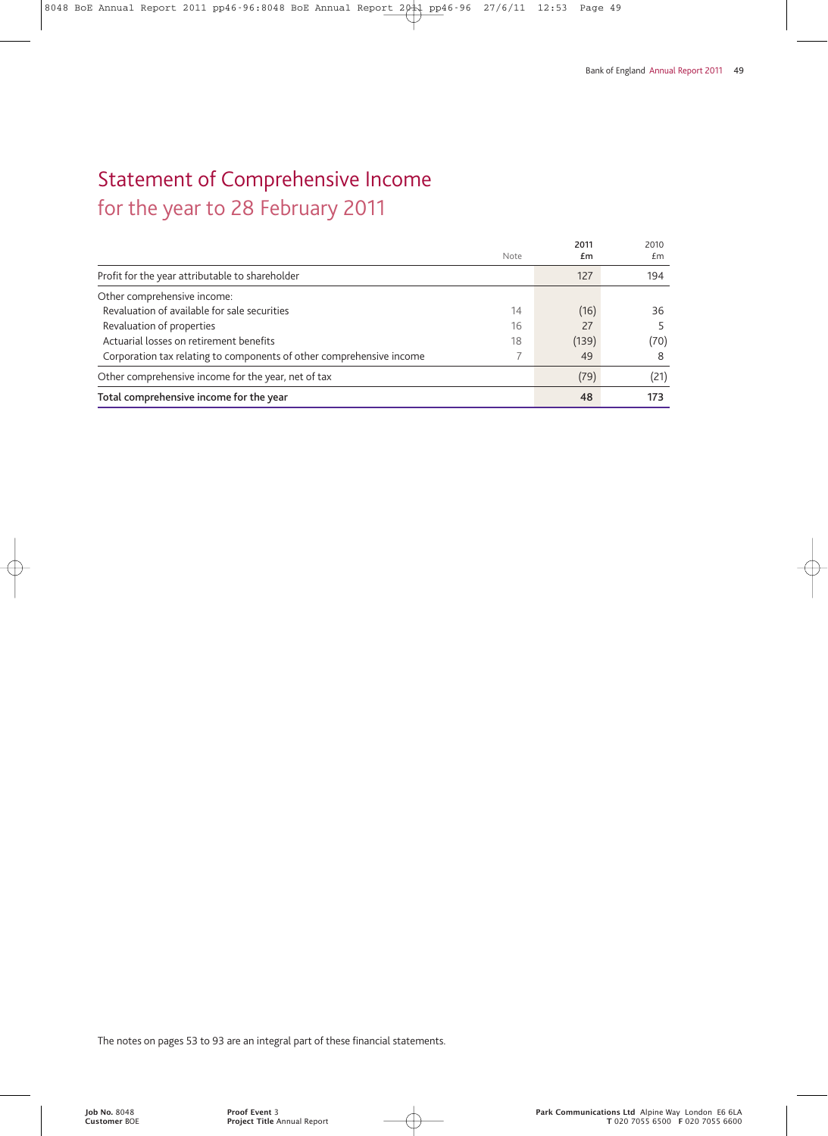# Statement of Comprehensive Income for the year to 28 February 2011

**2011** 2010<br>**Em** *Em* Note **£m** £m Profit for the year attributable to shareholder 127 194 Other comprehensive income: Revaluation of available for sale securities 14 (16) 36 Revaluation of properties 6 16 27 27 27 5<br>
Actuarial losses on retirement benefits (139) (70 Actuarial losses on retirement benefits (70) (70) Corporation tax relating to components of other comprehensive income 7 49 8 Other comprehensive income for the year, net of tax (79) (21) (21) Total comprehensive income for the year **173**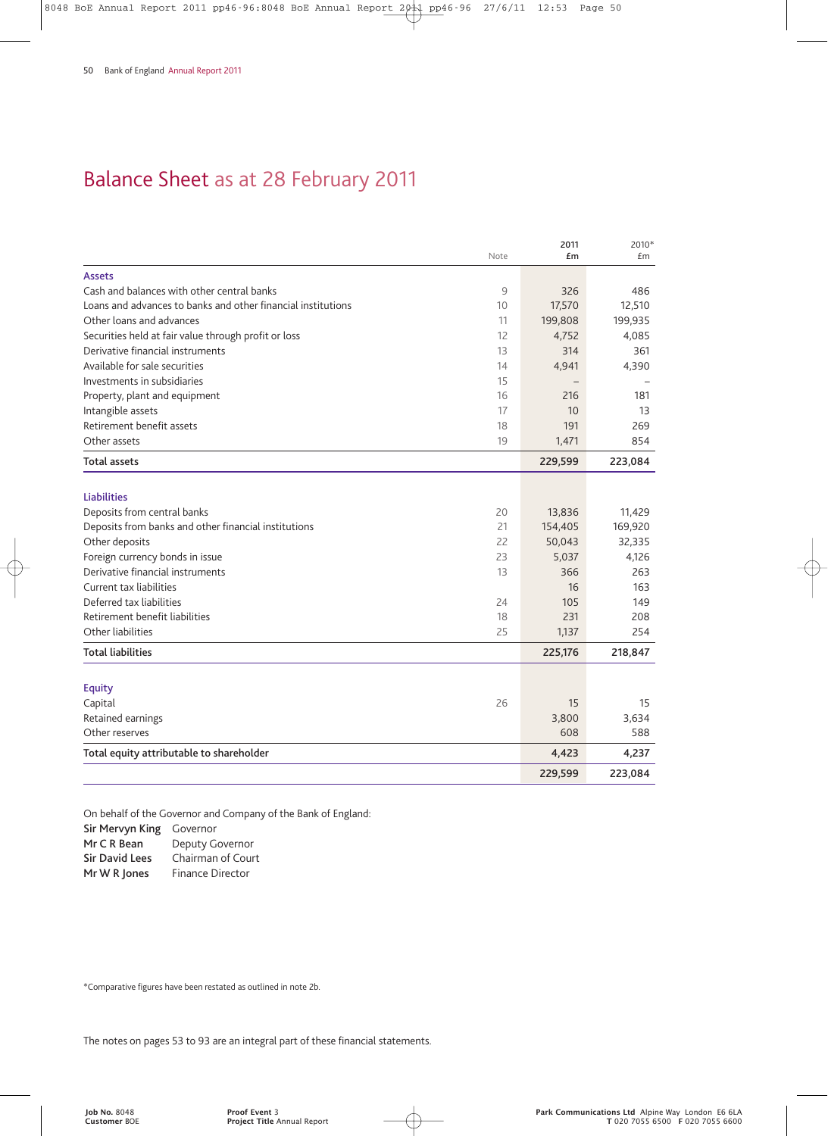# Balance Sheet as at 28 February 2011

|                                                              | Note | 2011<br>£m | 2010*<br>£m |
|--------------------------------------------------------------|------|------------|-------------|
| <b>Assets</b>                                                |      |            |             |
| Cash and balances with other central banks                   | 9    | 326        | 486         |
| Loans and advances to banks and other financial institutions | 10   | 17,570     | 12,510      |
| Other loans and advances                                     | 11   | 199,808    | 199,935     |
| Securities held at fair value through profit or loss         | 12   | 4,752      | 4,085       |
| Derivative financial instruments                             | 13   | 314        | 361         |
| Available for sale securities                                | 14   | 4,941      | 4,390       |
| Investments in subsidiaries                                  | 15   |            |             |
| Property, plant and equipment                                | 16   | 216        | 181         |
| Intangible assets                                            | 17   | 10         | 13          |
| Retirement benefit assets                                    | 18   | 191        | 269         |
| Other assets                                                 | 19   | 1,471      | 854         |
| Total assets                                                 |      | 229,599    | 223,084     |
| <b>Liabilities</b>                                           |      |            |             |
| Deposits from central banks                                  | 20   | 13,836     | 11,429      |
| Deposits from banks and other financial institutions         | 21   | 154,405    | 169,920     |
| Other deposits                                               | 22   | 50,043     | 32,335      |
| Foreign currency bonds in issue                              | 23   | 5,037      | 4,126       |
| Derivative financial instruments                             | 13   | 366        | 263         |
| Current tax liabilities                                      |      | 16         | 163         |
| Deferred tax liabilities                                     | 24   | 105        | 149         |
| Retirement benefit liabilities                               | 18   | 231        | 208         |
| Other liabilities                                            | 25   | 1,137      | 254         |
| <b>Total liabilities</b>                                     |      | 225,176    | 218,847     |
|                                                              |      |            |             |
| <b>Equity</b>                                                | 26   | 15         | 15          |
| Capital<br>Retained earnings                                 |      | 3,800      | 3,634       |
| Other reserves                                               |      | 608        | 588         |
|                                                              |      |            |             |
| Total equity attributable to shareholder                     |      | 4,423      | 4,237       |
|                                                              |      | 229,599    | 223,084     |

On behalf of the Governor and Company of the Bank of England:

**Sir Mervyn King** Governor

**Mr C R Bean** Deputy Governor **Sir David Lees** Chairman of Court

**Mr W R Jones** Finance Director

\*Comparative figures have been restated as outlined in note 2b.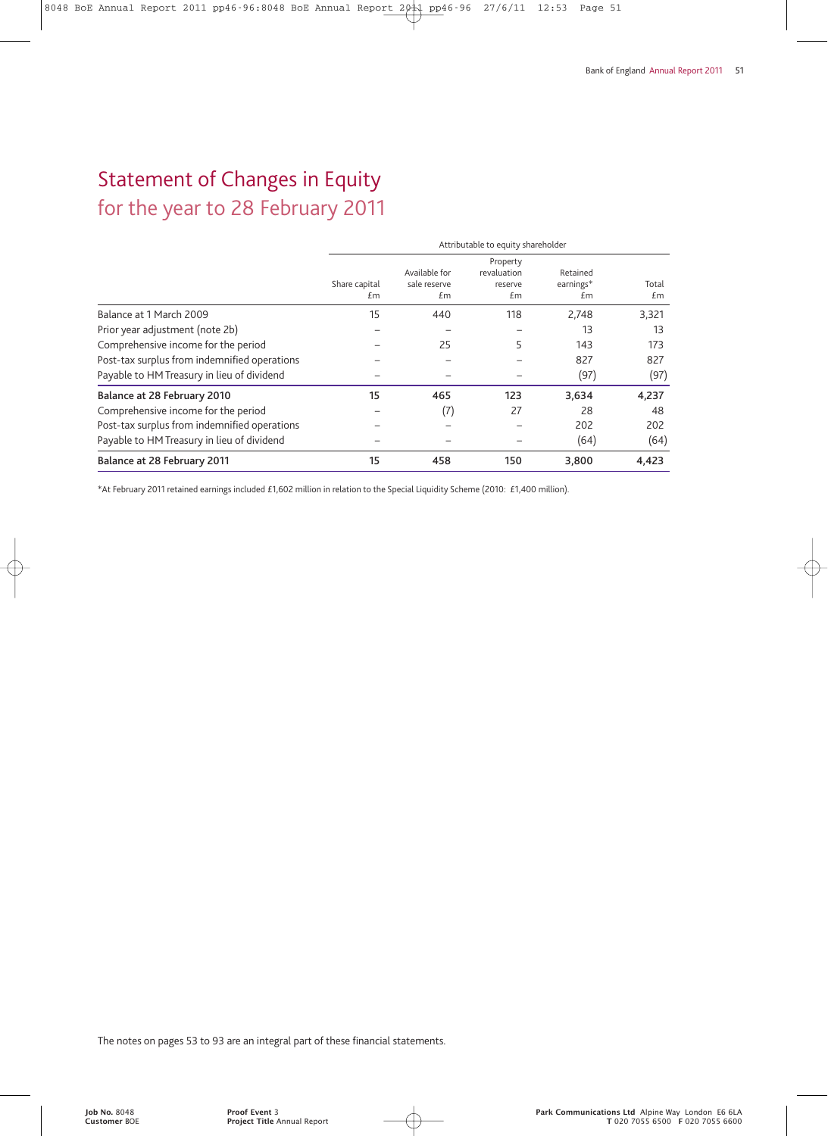# Statement of Changes in Equity

for the year to 28 February 2011

|                                              | Attributable to equity shareholder |                                     |                                          |                             |             |
|----------------------------------------------|------------------------------------|-------------------------------------|------------------------------------------|-----------------------------|-------------|
|                                              | Share capital<br>£m                | Available for<br>sale reserve<br>£m | Property<br>revaluation<br>reserve<br>£m | Retained<br>earnings*<br>£m | Total<br>£m |
| Balance at 1 March 2009                      | 15                                 | 440                                 | 118                                      | 2,748                       | 3,321       |
| Prior year adjustment (note 2b)              |                                    |                                     |                                          | 13                          | 13          |
| Comprehensive income for the period          |                                    | 25                                  | 5                                        | 143                         | 173         |
| Post-tax surplus from indemnified operations |                                    |                                     |                                          | 827                         | 827         |
| Payable to HM Treasury in lieu of dividend   |                                    |                                     |                                          | (97)                        | (97)        |
| Balance at 28 February 2010                  | 15                                 | 465                                 | 123                                      | 3,634                       | 4,237       |
| Comprehensive income for the period          |                                    | (7)                                 | 27                                       | 28                          | 48          |
| Post-tax surplus from indemnified operations |                                    |                                     |                                          | 202                         | 202         |
| Payable to HM Treasury in lieu of dividend   |                                    |                                     |                                          | (64)                        | (64)        |
| Balance at 28 February 2011                  | 15                                 | 458                                 | 150                                      | 3,800                       | 4,423       |

\*At February 2011 retained earnings included £1,602 million in relation to the Special Liquidity Scheme (2010: £1,400 million).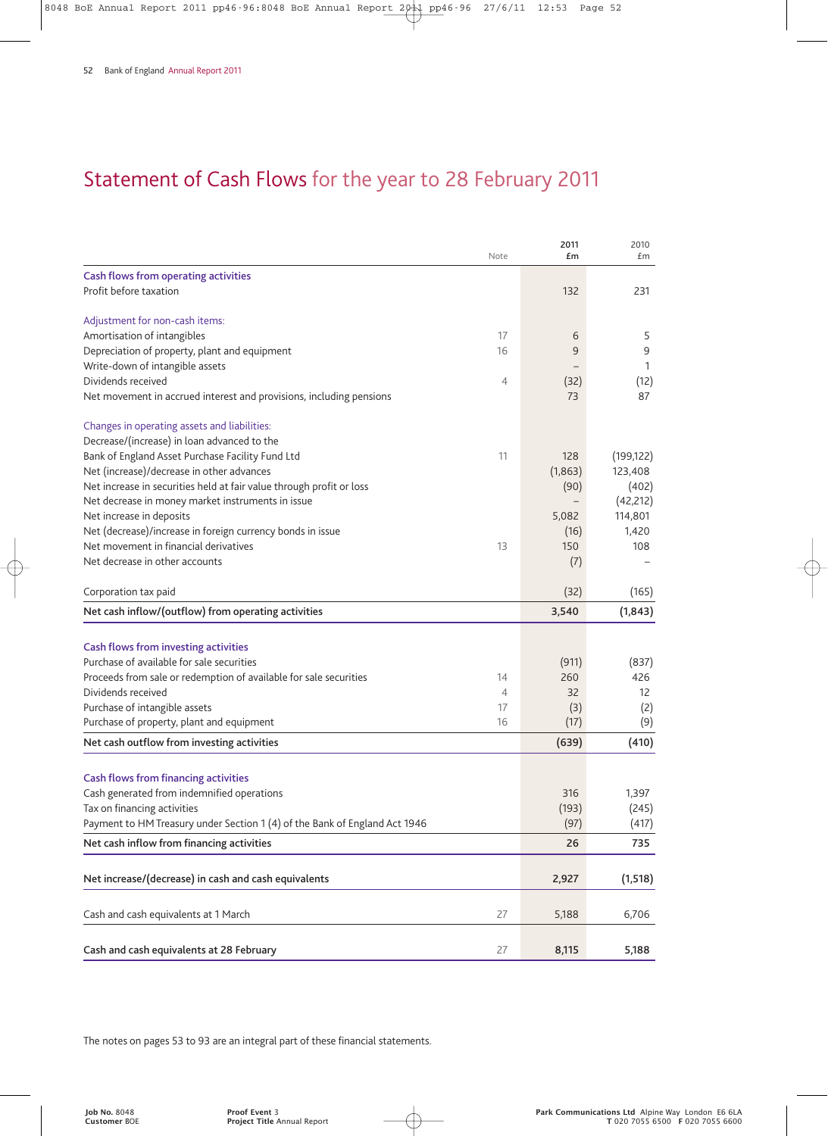# Statement of Cash Flows for the year to 28 February 2011

|                                                                            | Note | 2011<br>£m | 2010<br>£m |
|----------------------------------------------------------------------------|------|------------|------------|
|                                                                            |      |            |            |
| Cash flows from operating activities<br>Profit before taxation             |      | 132        | 231        |
|                                                                            |      |            |            |
| Adjustment for non-cash items:                                             |      |            |            |
| Amortisation of intangibles                                                | 17   | 6          | 5          |
| Depreciation of property, plant and equipment                              | 16   | 9          | 9          |
| Write-down of intangible assets                                            |      |            | 1          |
| Dividends received                                                         | 4    | (32)       | (12)       |
| Net movement in accrued interest and provisions, including pensions        |      | 73         | 87         |
| Changes in operating assets and liabilities:                               |      |            |            |
| Decrease/(increase) in loan advanced to the                                |      |            |            |
| Bank of England Asset Purchase Facility Fund Ltd                           | 11   | 128        | (199, 122) |
| Net (increase)/decrease in other advances                                  |      | (1,863)    | 123,408    |
| Net increase in securities held at fair value through profit or loss       |      | (90)       | (402)      |
| Net decrease in money market instruments in issue                          |      |            | (42, 212)  |
| Net increase in deposits                                                   |      | 5,082      | 114,801    |
| Net (decrease)/increase in foreign currency bonds in issue                 |      | (16)       | 1,420      |
| Net movement in financial derivatives                                      | 13   | 150        | 108        |
| Net decrease in other accounts                                             |      | (7)        |            |
| Corporation tax paid                                                       |      | (32)       | (165)      |
| Net cash inflow/(outflow) from operating activities                        |      | 3,540      | (1, 843)   |
|                                                                            |      |            |            |
| Cash flows from investing activities                                       |      |            |            |
| Purchase of available for sale securities                                  |      | (911)      | (837)      |
| Proceeds from sale or redemption of available for sale securities          | 14   | 260        | 426        |
| Dividends received                                                         | 4    | 32         | 12         |
| Purchase of intangible assets                                              | 17   | (3)        | (2)        |
| Purchase of property, plant and equipment                                  | 16   | (17)       | (9)        |
| Net cash outflow from investing activities                                 |      | (639)      | (410)      |
|                                                                            |      |            |            |
| <b>Cash flows from financing activities</b>                                |      |            |            |
| Cash generated from indemnified operations                                 |      | 316        | 1,397      |
| Tax on financing activities                                                |      | (193)      | (245)      |
| Payment to HM Treasury under Section 1 (4) of the Bank of England Act 1946 |      | (97)       | (417)      |
| Net cash inflow from financing activities                                  |      | 26         | 735        |
| Net increase/(decrease) in cash and cash equivalents                       |      | 2,927      | (1, 518)   |
|                                                                            |      |            |            |
| Cash and cash equivalents at 1 March                                       | 27   | 5,188      | 6,706      |
| Cash and cash equivalents at 28 February                                   | 27   | 8,115      | 5,188      |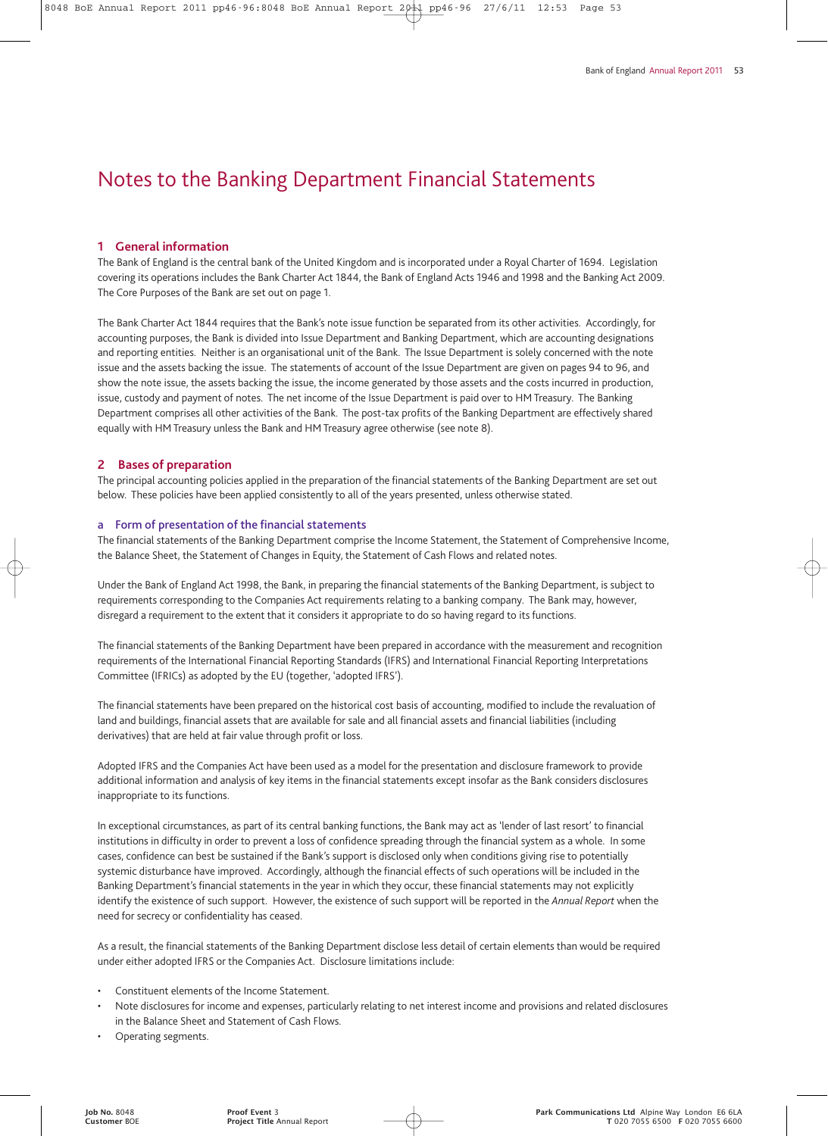#### **1 General information**

The Bank of England is the central bank of the United Kingdom and is incorporated under a Royal Charter of 1694. Legislation covering its operations includes the Bank Charter Act 1844, the Bank of England Acts 1946 and 1998 and the Banking Act 2009. The Core Purposes of the Bank are set out on page 1.

The Bank Charter Act 1844 requires that the Bank's note issue function be separated from its other activities. Accordingly, for accounting purposes, the Bank is divided into Issue Department and Banking Department, which are accounting designations and reporting entities. Neither is an organisational unit of the Bank. The Issue Department is solely concerned with the note issue and the assets backing the issue. The statements of account of the Issue Department are given on pages 94 to 96, and show the note issue, the assets backing the issue, the income generated by those assets and the costs incurred in production, issue, custody and payment of notes. The net income of the Issue Department is paid over to HM Treasury. The Banking Department comprises all other activities of the Bank. The post-tax profits of the Banking Department are effectively shared equally with HM Treasury unless the Bank and HM Treasury agree otherwise (see note 8).

#### **2 Bases of preparation**

The principal accounting policies applied in the preparation of the financial statements of the Banking Department are set out below. These policies have been applied consistently to all of the years presented, unless otherwise stated.

#### **a Form of presentation of the financial statements**

The financial statements of the Banking Department comprise the Income Statement, the Statement of Comprehensive Income, the Balance Sheet, the Statement of Changes in Equity, the Statement of Cash Flows and related notes.

Under the Bank of England Act 1998, the Bank, in preparing the financial statements of the Banking Department, is subject to requirements corresponding to the Companies Act requirements relating to a banking company. The Bank may, however, disregard a requirement to the extent that it considers it appropriate to do so having regard to its functions.

The financial statements of the Banking Department have been prepared in accordance with the measurement and recognition requirements of the International Financial Reporting Standards (IFRS) and International Financial Reporting Interpretations Committee (IFRICs) as adopted by the EU (together, 'adopted IFRS').

The financial statements have been prepared on the historical cost basis of accounting, modified to include the revaluation of land and buildings, financial assets that are available for sale and all financial assets and financial liabilities (including derivatives) that are held at fair value through profit or loss.

Adopted IFRS and the Companies Act have been used as a model for the presentation and disclosure framework to provide additional information and analysis of key items in the financial statements except insofar as the Bank considers disclosures inappropriate to its functions.

In exceptional circumstances, as part of its central banking functions, the Bank may act as 'lender of last resort' to financial institutions in difficulty in order to prevent a loss of confidence spreading through the financial system as a whole. In some cases, confidence can best be sustained if the Bank's support is disclosed only when conditions giving rise to potentially systemic disturbance have improved. Accordingly, although the financial effects of such operations will be included in the Banking Department's financial statements in the year in which they occur, these financial statements may not explicitly identify the existence of such support. However, the existence of such support will be reported in the *Annual Report* when the need for secrecy or confidentiality has ceased.

As a result, the financial statements of the Banking Department disclose less detail of certain elements than would be required under either adopted IFRS or the Companies Act. Disclosure limitations include:

- Constituent elements of the Income Statement.
- Note disclosures for income and expenses, particularly relating to net interest income and provisions and related disclosures in the Balance Sheet and Statement of Cash Flows.
- Operating segments.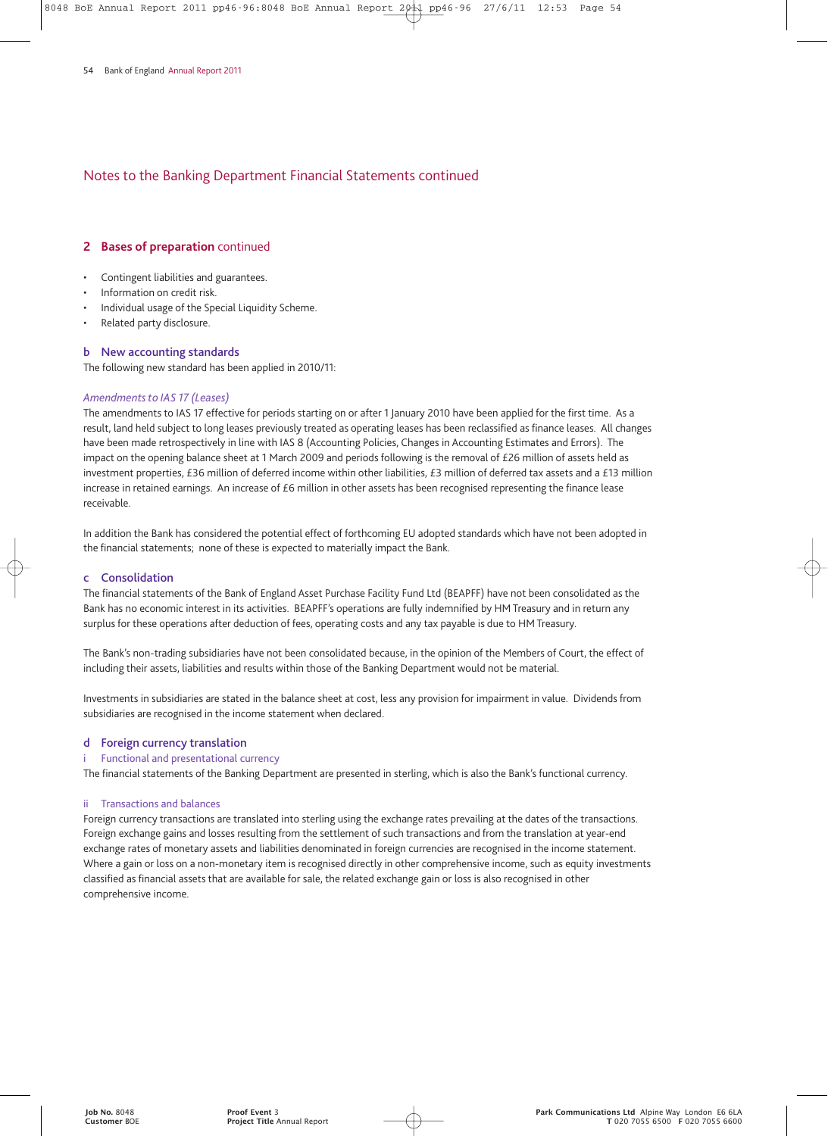#### **2 Bases of preparation** continued

- Contingent liabilities and guarantees.
- Information on credit risk.
- Individual usage of the Special Liquidity Scheme.
- Related party disclosure.

#### **b New accounting standards**

The following new standard has been applied in 2010/11:

#### *Amendments to IAS 17 (Leases)*

The amendments to IAS 17 effective for periods starting on or after 1 January 2010 have been applied for the first time. As a result, land held subject to long leases previously treated as operating leases has been reclassified as finance leases. All changes have been made retrospectively in line with IAS 8 (Accounting Policies, Changes in Accounting Estimates and Errors). The impact on the opening balance sheet at 1 March 2009 and periods following is the removal of £26 million of assets held as investment properties, £36 million of deferred income within other liabilities, £3 million of deferred tax assets and a £13 million increase in retained earnings. An increase of £6 million in other assets has been recognised representing the finance lease receivable.

In addition the Bank has considered the potential effect of forthcoming EU adopted standards which have not been adopted in the financial statements; none of these is expected to materially impact the Bank.

#### **c Consolidation**

The financial statements of the Bank of England Asset Purchase Facility Fund Ltd (BEAPFF) have not been consolidated as the Bank has no economic interest in its activities. BEAPFF's operations are fully indemnified by HM Treasury and in return any surplus for these operations after deduction of fees, operating costs and any tax payable is due to HM Treasury.

The Bank's non-trading subsidiaries have not been consolidated because, in the opinion of the Members of Court, the effect of including their assets, liabilities and results within those of the Banking Department would not be material.

Investments in subsidiaries are stated in the balance sheet at cost, less any provision for impairment in value. Dividends from subsidiaries are recognised in the income statement when declared.

#### **d Foreign currency translation**

#### Functional and presentational currency

The financial statements of the Banking Department are presented in sterling, which is also the Bank's functional currency.

#### ii Transactions and balances

Foreign currency transactions are translated into sterling using the exchange rates prevailing at the dates of the transactions. Foreign exchange gains and losses resulting from the settlement of such transactions and from the translation at year-end exchange rates of monetary assets and liabilities denominated in foreign currencies are recognised in the income statement. Where a gain or loss on a non-monetary item is recognised directly in other comprehensive income, such as equity investments classified as financial assets that are available for sale, the related exchange gain or loss is also recognised in other comprehensive income.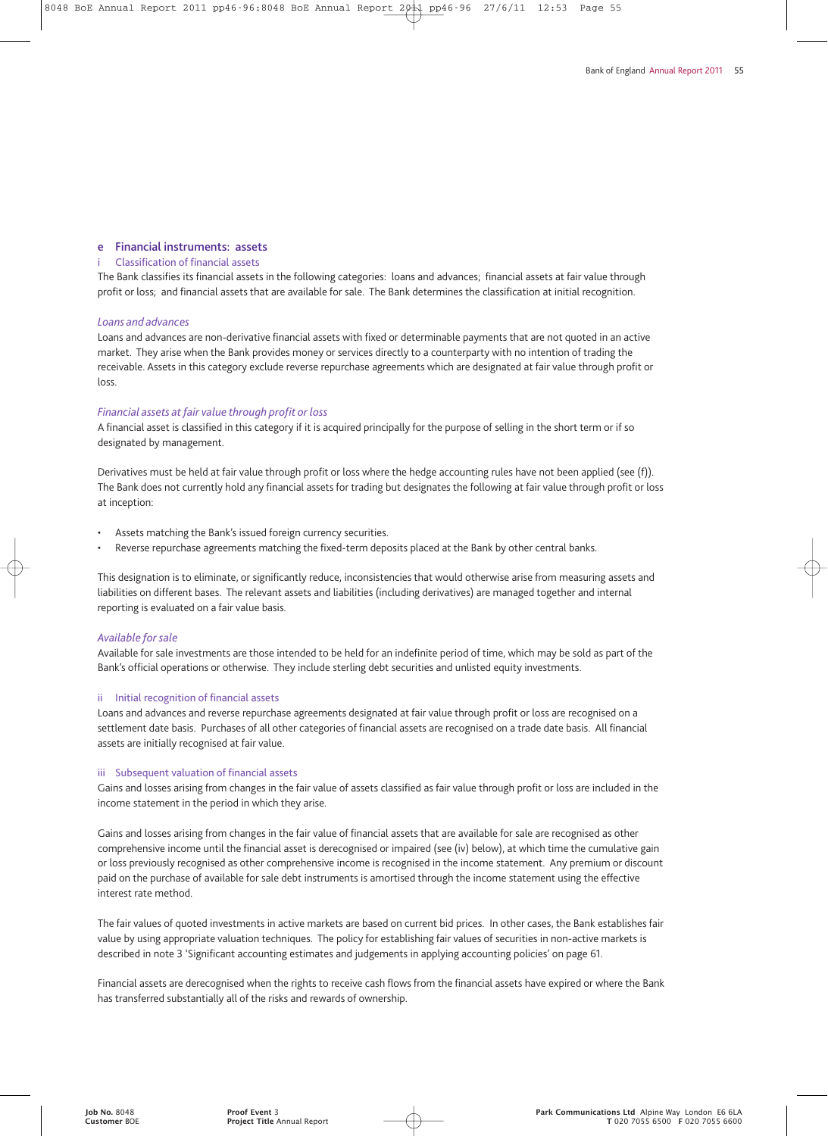#### **e Financial instruments: assets**

#### **Classification of financial assets**

The Bank classifies its financial assets in the following categories: loans and advances; financial assets at fair value through profit or loss; and financial assets that are available for sale. The Bank determines the classification at initial recognition.

#### *Loans and advances*

Loans and advances are non-derivative financial assets with fixed or determinable payments that are not quoted in an active market. They arise when the Bank provides money or services directly to a counterparty with no intention of trading the receivable. Assets in this category exclude reverse repurchase agreements which are designated at fair value through profit or loss.

#### *Financial assets at fair value through profit or loss*

A financial asset is classified in this category if it is acquired principally for the purpose of selling in the short term or if so designated by management.

Derivatives must be held at fair value through profit or loss where the hedge accounting rules have not been applied (see (f)). The Bank does not currently hold any financial assets for trading but designates the following at fair value through profit or loss at inception:

- Assets matching the Bank's issued foreign currency securities.
- Reverse repurchase agreements matching the fixed-term deposits placed at the Bank by other central banks.

This designation is to eliminate, or significantly reduce, inconsistencies that would otherwise arise from measuring assets and liabilities on different bases. The relevant assets and liabilities (including derivatives) are managed together and internal reporting is evaluated on a fair value basis.

#### *Available for sale*

Available for sale investments are those intended to be held for an indefinite period of time, which may be sold as part of the Bank's official operations or otherwise. They include sterling debt securities and unlisted equity investments.

#### ii Initial recognition of financial assets

Loans and advances and reverse repurchase agreements designated at fair value through profit or loss are recognised on a settlement date basis. Purchases of all other categories of financial assets are recognised on a trade date basis. All financial assets are initially recognised at fair value.

#### iii Subsequent valuation of financial assets

Gains and losses arising from changes in the fair value of assets classified as fair value through profit or loss are included in the income statement in the period in which they arise.

Gains and losses arising from changes in the fair value of financial assets that are available for sale are recognised as other comprehensive income until the financial asset is derecognised or impaired (see (iv) below), at which time the cumulative gain or loss previously recognised as other comprehensive income is recognised in the income statement. Any premium or discount paid on the purchase of available for sale debt instruments is amortised through the income statement using the effective interest rate method.

The fair values of quoted investments in active markets are based on current bid prices. In other cases, the Bank establishes fair value by using appropriate valuation techniques. The policy for establishing fair values of securities in non-active markets is described in note 3 'Significant accounting estimates and judgements in applying accounting policies' on page 61.

Financial assets are derecognised when the rights to receive cash flows from the financial assets have expired or where the Bank has transferred substantially all of the risks and rewards of ownership.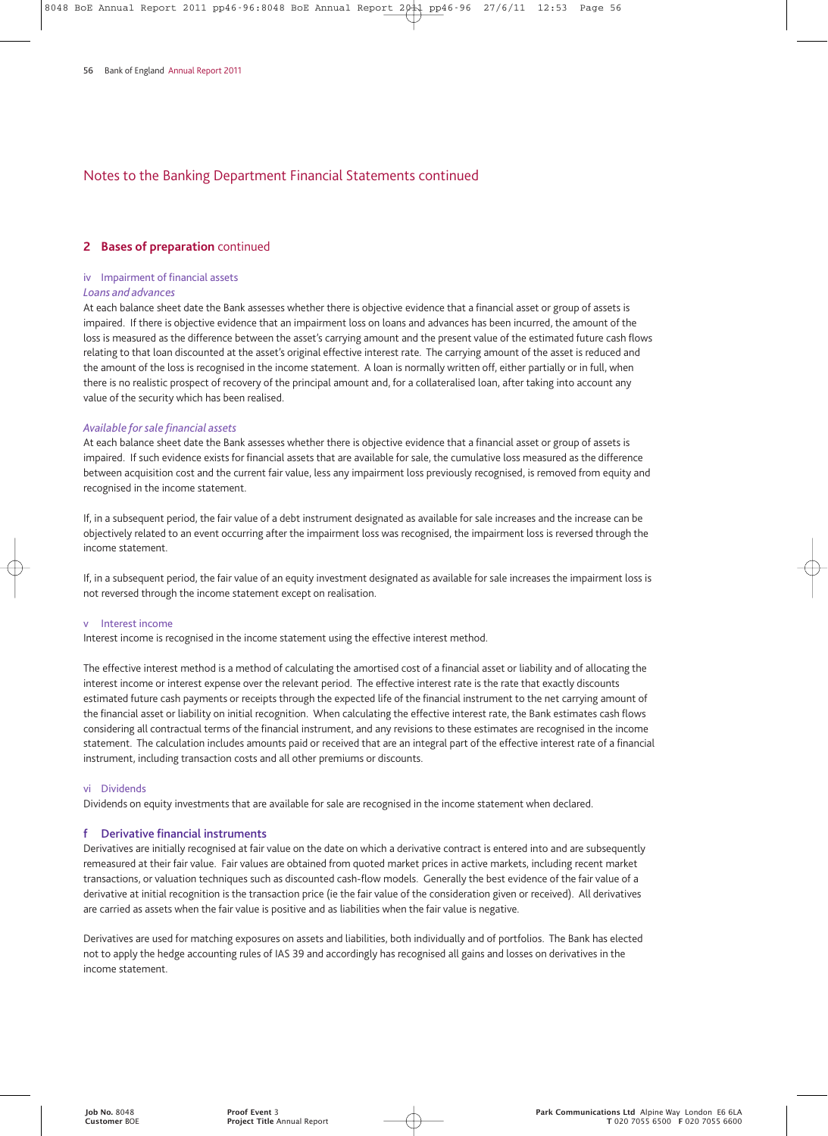#### **2 Bases of preparation** continued

#### iv Impairment of financial assets

#### *Loans and advances*

At each balance sheet date the Bank assesses whether there is objective evidence that a financial asset or group of assets is impaired. If there is objective evidence that an impairment loss on loans and advances has been incurred, the amount of the loss is measured as the difference between the asset's carrying amount and the present value of the estimated future cash flows relating to that loan discounted at the asset's original effective interest rate. The carrying amount of the asset is reduced and the amount of the loss is recognised in the income statement. A loan is normally written off, either partially or in full, when there is no realistic prospect of recovery of the principal amount and, for a collateralised loan, after taking into account any value of the security which has been realised.

#### *Available for sale financial assets*

At each balance sheet date the Bank assesses whether there is objective evidence that a financial asset or group of assets is impaired. If such evidence exists for financial assets that are available for sale, the cumulative loss measured as the difference between acquisition cost and the current fair value, less any impairment loss previously recognised, is removed from equity and recognised in the income statement.

If, in a subsequent period, the fair value of a debt instrument designated as available for sale increases and the increase can be objectively related to an event occurring after the impairment loss was recognised, the impairment loss is reversed through the income statement.

If, in a subsequent period, the fair value of an equity investment designated as available for sale increases the impairment loss is not reversed through the income statement except on realisation.

#### v Interest income

Interest income is recognised in the income statement using the effective interest method.

The effective interest method is a method of calculating the amortised cost of a financial asset or liability and of allocating the interest income or interest expense over the relevant period. The effective interest rate is the rate that exactly discounts estimated future cash payments or receipts through the expected life of the financial instrument to the net carrying amount of the financial asset or liability on initial recognition. When calculating the effective interest rate, the Bank estimates cash flows considering all contractual terms of the financial instrument, and any revisions to these estimates are recognised in the income statement. The calculation includes amounts paid or received that are an integral part of the effective interest rate of a financial instrument, including transaction costs and all other premiums or discounts.

#### vi Dividends

Dividends on equity investments that are available for sale are recognised in the income statement when declared.

#### **f Derivative financial instruments**

Derivatives are initially recognised at fair value on the date on which a derivative contract is entered into and are subsequently remeasured at their fair value. Fair values are obtained from quoted market prices in active markets, including recent market transactions, or valuation techniques such as discounted cash-flow models. Generally the best evidence of the fair value of a derivative at initial recognition is the transaction price (ie the fair value of the consideration given or received). All derivatives are carried as assets when the fair value is positive and as liabilities when the fair value is negative.

Derivatives are used for matching exposures on assets and liabilities, both individually and of portfolios. The Bank has elected not to apply the hedge accounting rules of IAS 39 and accordingly has recognised all gains and losses on derivatives in the income statement.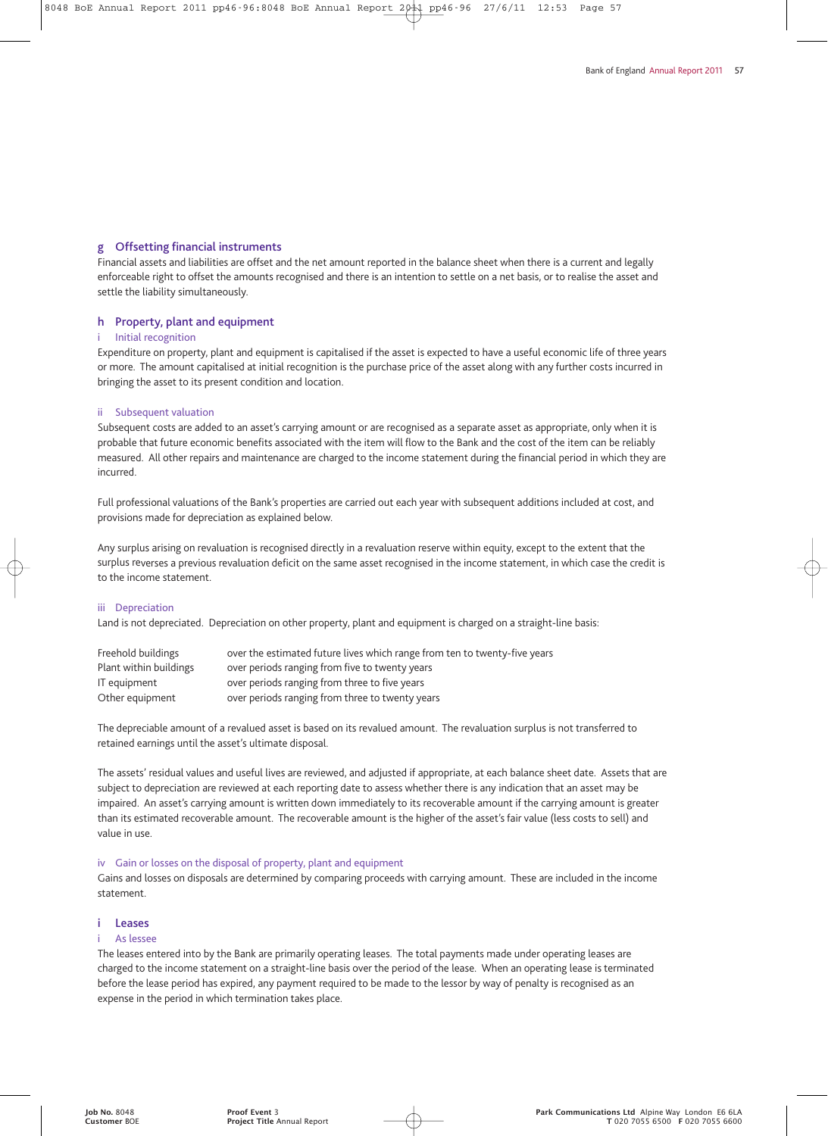#### **g Offsetting financial instruments**

Financial assets and liabilities are offset and the net amount reported in the balance sheet when there is a current and legally enforceable right to offset the amounts recognised and there is an intention to settle on a net basis, or to realise the asset and settle the liability simultaneously.

#### **h Property, plant and equipment**

#### Initial recognition

Expenditure on property, plant and equipment is capitalised if the asset is expected to have a useful economic life of three years or more. The amount capitalised at initial recognition is the purchase price of the asset along with any further costs incurred in bringing the asset to its present condition and location.

#### ii Subsequent valuation

Subsequent costs are added to an asset's carrying amount or are recognised as a separate asset as appropriate, only when it is probable that future economic benefits associated with the item will flow to the Bank and the cost of the item can be reliably measured. All other repairs and maintenance are charged to the income statement during the financial period in which they are incurred.

Full professional valuations of the Bank's properties are carried out each year with subsequent additions included at cost, and provisions made for depreciation as explained below.

Any surplus arising on revaluation is recognised directly in a revaluation reserve within equity, except to the extent that the surplus reverses a previous revaluation deficit on the same asset recognised in the income statement, in which case the credit is to the income statement.

#### iii Depreciation

Land is not depreciated. Depreciation on other property, plant and equipment is charged on a straight-line basis:

| Freehold buildings     | over the estimated future lives which range from ten to twenty-five years |
|------------------------|---------------------------------------------------------------------------|
| Plant within buildings | over periods ranging from five to twenty years                            |
| IT equipment           | over periods ranging from three to five years                             |
| Other equipment        | over periods ranging from three to twenty years                           |

The depreciable amount of a revalued asset is based on its revalued amount. The revaluation surplus is not transferred to retained earnings until the asset's ultimate disposal.

The assets' residual values and useful lives are reviewed, and adjusted if appropriate, at each balance sheet date. Assets that are subject to depreciation are reviewed at each reporting date to assess whether there is any indication that an asset may be impaired. An asset's carrying amount is written down immediately to its recoverable amount if the carrying amount is greater than its estimated recoverable amount. The recoverable amount is the higher of the asset's fair value (less costs to sell) and value in use.

#### iv Gain or losses on the disposal of property, plant and equipment

Gains and losses on disposals are determined by comparing proceeds with carrying amount. These are included in the income statement.

## **i Leases**

## i As lessee

The leases entered into by the Bank are primarily operating leases. The total payments made under operating leases are charged to the income statement on a straight-line basis over the period of the lease. When an operating lease is terminated before the lease period has expired, any payment required to be made to the lessor by way of penalty is recognised as an expense in the period in which termination takes place.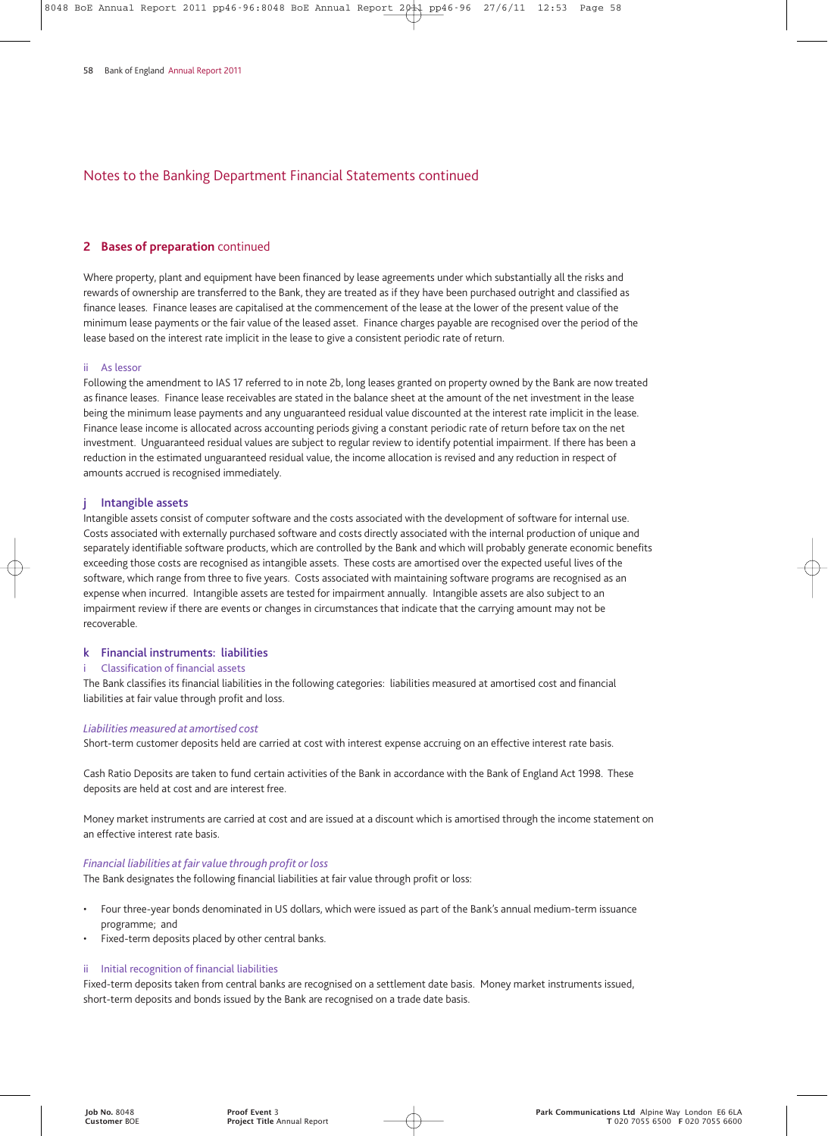#### **2 Bases of preparation** continued

Where property, plant and equipment have been financed by lease agreements under which substantially all the risks and rewards of ownership are transferred to the Bank, they are treated as if they have been purchased outright and classified as finance leases. Finance leases are capitalised at the commencement of the lease at the lower of the present value of the minimum lease payments or the fair value of the leased asset. Finance charges payable are recognised over the period of the lease based on the interest rate implicit in the lease to give a consistent periodic rate of return.

#### ii As lessor

Following the amendment to IAS 17 referred to in note 2b, long leases granted on property owned by the Bank are now treated as finance leases. Finance lease receivables are stated in the balance sheet at the amount of the net investment in the lease being the minimum lease payments and any unguaranteed residual value discounted at the interest rate implicit in the lease. Finance lease income is allocated across accounting periods giving a constant periodic rate of return before tax on the net investment. Unguaranteed residual values are subject to regular review to identify potential impairment. If there has been a reduction in the estimated unguaranteed residual value, the income allocation is revised and any reduction in respect of amounts accrued is recognised immediately.

#### **j Intangible assets**

Intangible assets consist of computer software and the costs associated with the development of software for internal use. Costs associated with externally purchased software and costs directly associated with the internal production of unique and separately identifiable software products, which are controlled by the Bank and which will probably generate economic benefits exceeding those costs are recognised as intangible assets. These costs are amortised over the expected useful lives of the software, which range from three to five years. Costs associated with maintaining software programs are recognised as an expense when incurred. Intangible assets are tested for impairment annually. Intangible assets are also subject to an impairment review if there are events or changes in circumstances that indicate that the carrying amount may not be recoverable.

#### **k Financial instruments: liabilities**

#### **Classification of financial assets**

The Bank classifies its financial liabilities in the following categories: liabilities measured at amortised cost and financial liabilities at fair value through profit and loss.

#### *Liabilities measured at amortised cost*

Short-term customer deposits held are carried at cost with interest expense accruing on an effective interest rate basis.

Cash Ratio Deposits are taken to fund certain activities of the Bank in accordance with the Bank of England Act 1998. These deposits are held at cost and are interest free.

Money market instruments are carried at cost and are issued at a discount which is amortised through the income statement on an effective interest rate basis.

#### *Financial liabilities at fair value through profit or loss*

The Bank designates the following financial liabilities at fair value through profit or loss:

- Four three-year bonds denominated in US dollars, which were issued as part of the Bank's annual medium-term issuance programme; and
- Fixed-term deposits placed by other central banks.

#### ii Initial recognition of financial liabilities

Fixed-term deposits taken from central banks are recognised on a settlement date basis. Money market instruments issued, short-term deposits and bonds issued by the Bank are recognised on a trade date basis.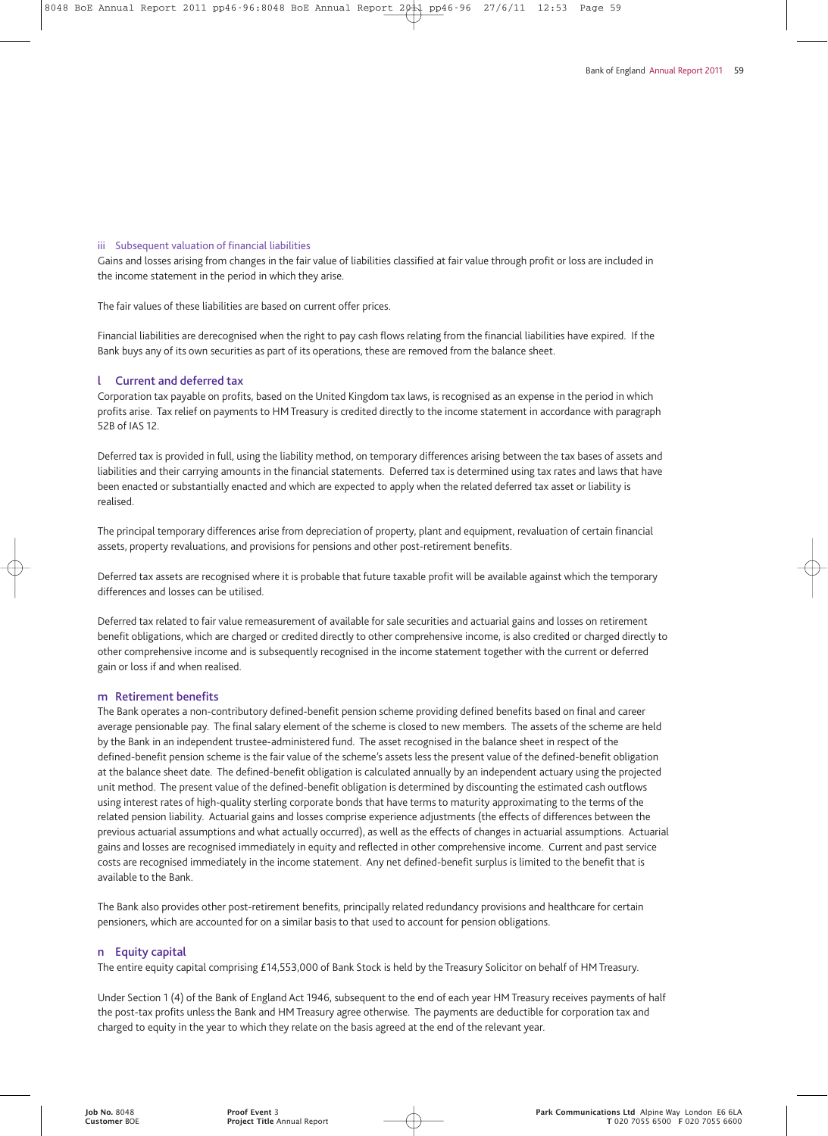#### iii Subsequent valuation of financial liabilities

Gains and losses arising from changes in the fair value of liabilities classified at fair value through profit or loss are included in the income statement in the period in which they arise.

The fair values of these liabilities are based on current offer prices.

Financial liabilities are derecognised when the right to pay cash flows relating from the financial liabilities have expired. If the Bank buys any of its own securities as part of its operations, these are removed from the balance sheet.

#### **l Current and deferred tax**

Corporation tax payable on profits, based on the United Kingdom tax laws, is recognised as an expense in the period in which profits arise. Tax relief on payments to HM Treasury is credited directly to the income statement in accordance with paragraph 52B of IAS 12.

Deferred tax is provided in full, using the liability method, on temporary differences arising between the tax bases of assets and liabilities and their carrying amounts in the financial statements. Deferred tax is determined using tax rates and laws that have been enacted or substantially enacted and which are expected to apply when the related deferred tax asset or liability is realised.

The principal temporary differences arise from depreciation of property, plant and equipment, revaluation of certain financial assets, property revaluations, and provisions for pensions and other post-retirement benefits.

Deferred tax assets are recognised where it is probable that future taxable profit will be available against which the temporary differences and losses can be utilised.

Deferred tax related to fair value remeasurement of available for sale securities and actuarial gains and losses on retirement benefit obligations, which are charged or credited directly to other comprehensive income, is also credited or charged directly to other comprehensive income and is subsequently recognised in the income statement together with the current or deferred gain or loss if and when realised.

#### **m Retirement benefits**

The Bank operates a non-contributory defined-benefit pension scheme providing defined benefits based on final and career average pensionable pay. The final salary element of the scheme is closed to new members. The assets of the scheme are held by the Bank in an independent trustee-administered fund. The asset recognised in the balance sheet in respect of the defined-benefit pension scheme is the fair value of the scheme's assets less the present value of the defined-benefit obligation at the balance sheet date. The defined-benefit obligation is calculated annually by an independent actuary using the projected unit method. The present value of the defined-benefit obligation is determined by discounting the estimated cash outflows using interest rates of high-quality sterling corporate bonds that have terms to maturity approximating to the terms of the related pension liability. Actuarial gains and losses comprise experience adjustments (the effects of differences between the previous actuarial assumptions and what actually occurred), as well as the effects of changes in actuarial assumptions. Actuarial gains and losses are recognised immediately in equity and reflected in other comprehensive income. Current and past service costs are recognised immediately in the income statement. Any net defined-benefit surplus is limited to the benefit that is available to the Bank.

The Bank also provides other post-retirement benefits, principally related redundancy provisions and healthcare for certain pensioners, which are accounted for on a similar basis to that used to account for pension obligations.

#### **n Equity capital**

The entire equity capital comprising £14,553,000 of Bank Stock is held by the Treasury Solicitor on behalf of HM Treasury.

Under Section 1 (4) of the Bank of England Act 1946, subsequent to the end of each year HM Treasury receives payments of half the post-tax profits unless the Bank and HM Treasury agree otherwise. The payments are deductible for corporation tax and charged to equity in the year to which they relate on the basis agreed at the end of the relevant year.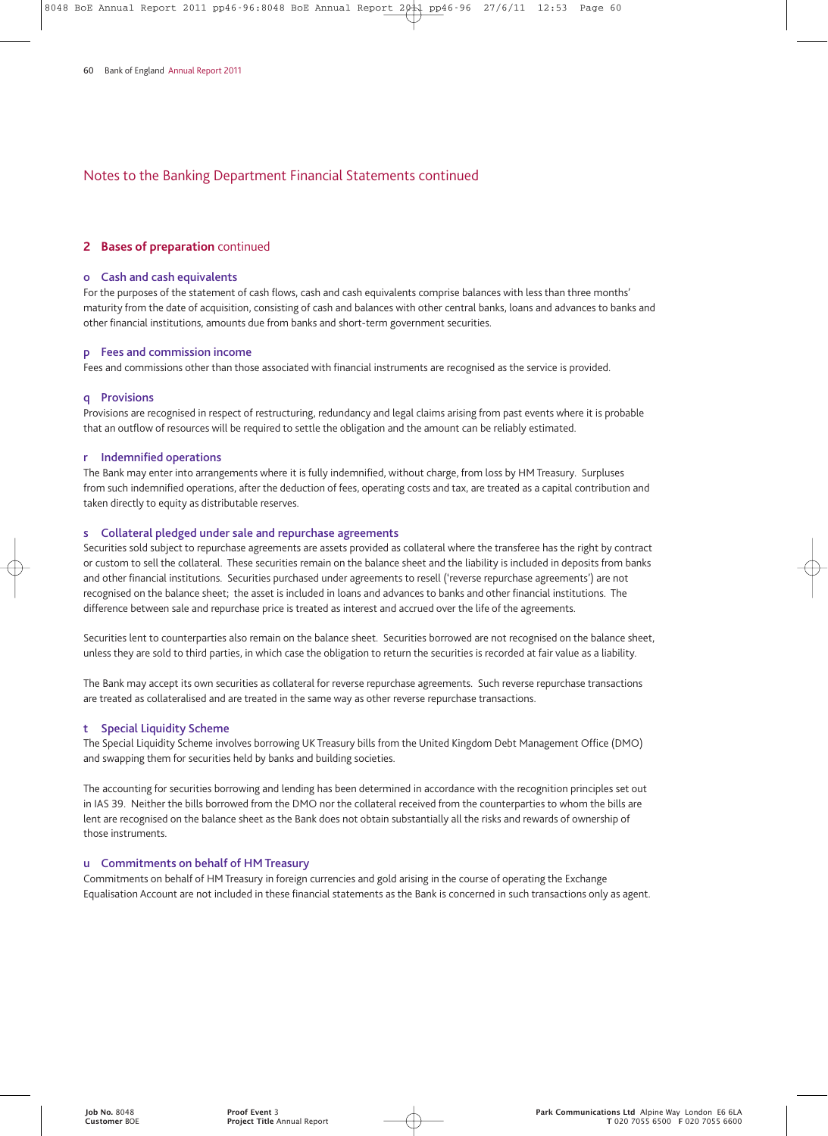#### **2 Bases of preparation** continued

#### **o Cash and cash equivalents**

For the purposes of the statement of cash flows, cash and cash equivalents comprise balances with less than three months' maturity from the date of acquisition, consisting of cash and balances with other central banks, loans and advances to banks and other financial institutions, amounts due from banks and short-term government securities.

#### **p Fees and commission income**

Fees and commissions other than those associated with financial instruments are recognised as the service is provided.

#### **q Provisions**

Provisions are recognised in respect of restructuring, redundancy and legal claims arising from past events where it is probable that an outflow of resources will be required to settle the obligation and the amount can be reliably estimated.

#### **r Indemnified operations**

The Bank may enter into arrangements where it is fully indemnified, without charge, from loss by HM Treasury. Surpluses from such indemnified operations, after the deduction of fees, operating costs and tax, are treated as a capital contribution and taken directly to equity as distributable reserves.

#### **s Collateral pledged under sale and repurchase agreements**

Securities sold subject to repurchase agreements are assets provided as collateral where the transferee has the right by contract or custom to sell the collateral. These securities remain on the balance sheet and the liability is included in deposits from banks and other financial institutions. Securities purchased under agreements to resell ('reverse repurchase agreements') are not recognised on the balance sheet; the asset is included in loans and advances to banks and other financial institutions. The difference between sale and repurchase price is treated as interest and accrued over the life of the agreements.

Securities lent to counterparties also remain on the balance sheet. Securities borrowed are not recognised on the balance sheet, unless they are sold to third parties, in which case the obligation to return the securities is recorded at fair value as a liability.

The Bank may accept its own securities as collateral for reverse repurchase agreements. Such reverse repurchase transactions are treated as collateralised and are treated in the same way as other reverse repurchase transactions.

#### **t Special Liquidity Scheme**

The Special Liquidity Scheme involves borrowing UK Treasury bills from the United Kingdom Debt Management Office (DMO) and swapping them for securities held by banks and building societies.

The accounting for securities borrowing and lending has been determined in accordance with the recognition principles set out in IAS 39. Neither the bills borrowed from the DMO nor the collateral received from the counterparties to whom the bills are lent are recognised on the balance sheet as the Bank does not obtain substantially all the risks and rewards of ownership of those instruments.

#### **u Commitments on behalf of HM Treasury**

Commitments on behalf of HM Treasury in foreign currencies and gold arising in the course of operating the Exchange Equalisation Account are not included in these financial statements as the Bank is concerned in such transactions only as agent.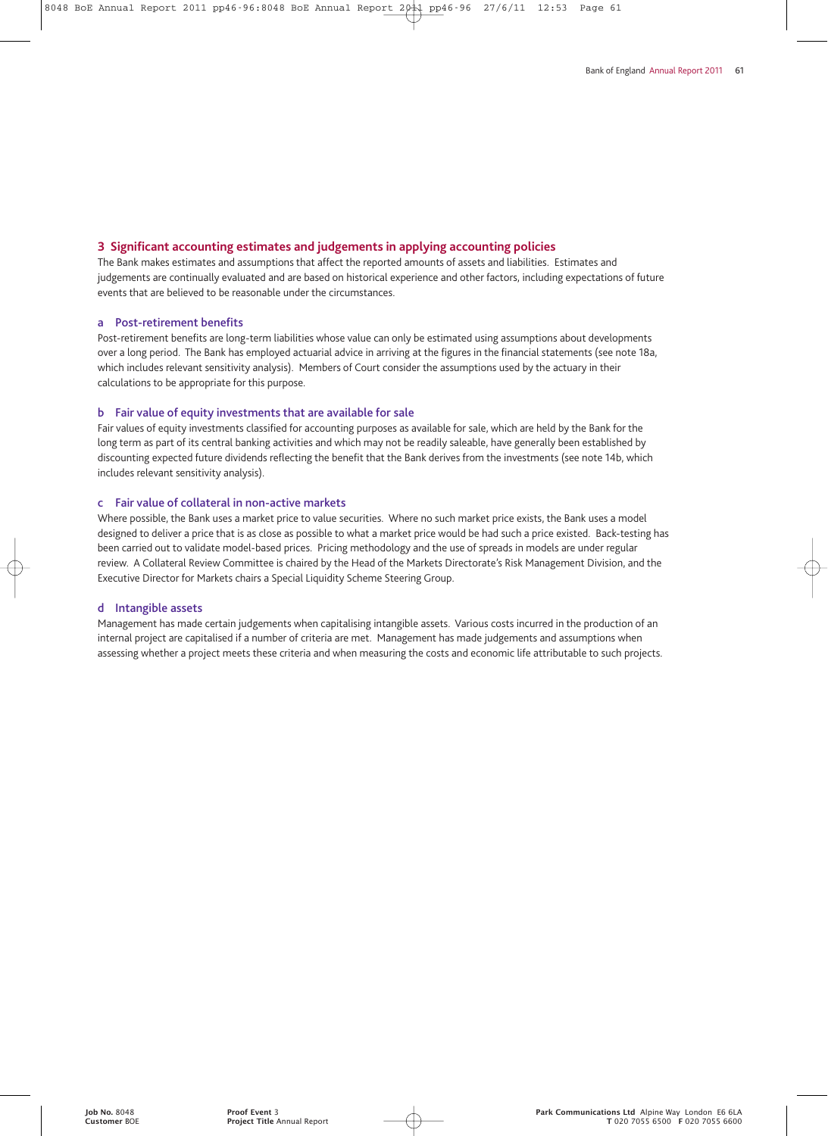#### **3 Significant accounting estimates and judgements in applying accounting policies**

The Bank makes estimates and assumptions that affect the reported amounts of assets and liabilities. Estimates and judgements are continually evaluated and are based on historical experience and other factors, including expectations of future events that are believed to be reasonable under the circumstances.

#### **a Post-retirement benefits**

Post-retirement benefits are long-term liabilities whose value can only be estimated using assumptions about developments over a long period. The Bank has employed actuarial advice in arriving at the figures in the financial statements (see note 18a, which includes relevant sensitivity analysis). Members of Court consider the assumptions used by the actuary in their calculations to be appropriate for this purpose.

#### **b Fair value of equity investments that are available for sale**

Fair values of equity investments classified for accounting purposes as available for sale, which are held by the Bank for the long term as part of its central banking activities and which may not be readily saleable, have generally been established by discounting expected future dividends reflecting the benefit that the Bank derives from the investments (see note 14b, which includes relevant sensitivity analysis).

#### **c Fair value of collateral in non-active markets**

Where possible, the Bank uses a market price to value securities. Where no such market price exists, the Bank uses a model designed to deliver a price that is as close as possible to what a market price would be had such a price existed. Back-testing has been carried out to validate model-based prices. Pricing methodology and the use of spreads in models are under regular review. A Collateral Review Committee is chaired by the Head of the Markets Directorate's Risk Management Division, and the Executive Director for Markets chairs a Special Liquidity Scheme Steering Group.

#### **d Intangible assets**

Management has made certain judgements when capitalising intangible assets. Various costs incurred in the production of an internal project are capitalised if a number of criteria are met. Management has made judgements and assumptions when assessing whether a project meets these criteria and when measuring the costs and economic life attributable to such projects.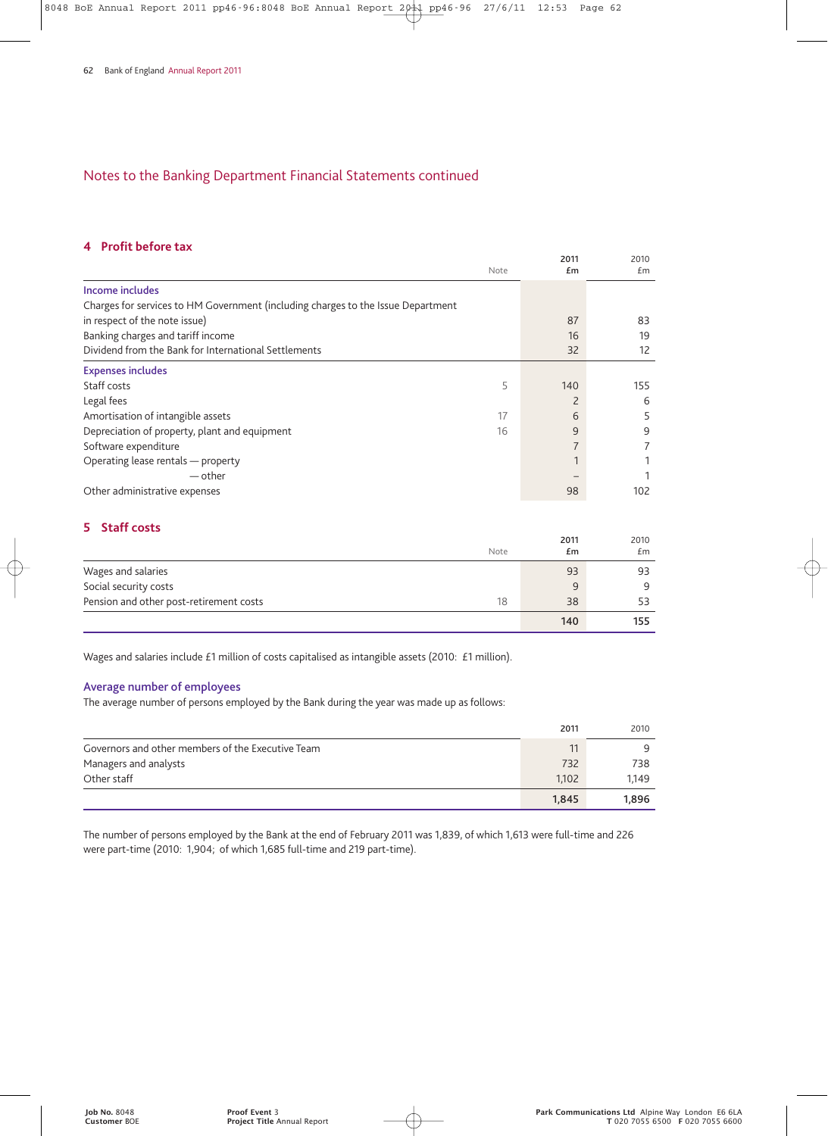## **4 Profit before tax**

|                                                                                  | Note | 2011<br>£m     | 2010<br>£m |
|----------------------------------------------------------------------------------|------|----------------|------------|
| Income includes                                                                  |      |                |            |
| Charges for services to HM Government (including charges to the Issue Department |      |                |            |
| in respect of the note issue)                                                    |      | 87             | 83         |
| Banking charges and tariff income                                                |      | 16             | 19         |
| Dividend from the Bank for International Settlements                             |      | 32             | 12         |
| <b>Expenses includes</b>                                                         |      |                |            |
| Staff costs                                                                      | 5    | 140            | 155        |
| Legal fees                                                                       |      | 2              | 6          |
| Amortisation of intangible assets                                                | 17   | 6              | 5          |
| Depreciation of property, plant and equipment                                    | 16   | 9              | 9          |
| Software expenditure                                                             |      | $\overline{7}$ |            |
| Operating lease rentals - property                                               |      |                |            |
| — other                                                                          |      |                |            |
| Other administrative expenses                                                    |      | 98             | 102        |

## **5 Staff costs**

|                                         | Note | 2011<br>£m | 2010<br>£m |
|-----------------------------------------|------|------------|------------|
| Wages and salaries                      |      | 93         | 93         |
| Social security costs                   |      | 9          | 9          |
| Pension and other post-retirement costs | 18   | 38         | 53         |
|                                         |      | 140        | 155        |

Wages and salaries include £1 million of costs capitalised as intangible assets (2010: £1 million).

#### **Average number of employees**

The average number of persons employed by the Bank during the year was made up as follows:

|                                                   | 2011  | 2010  |
|---------------------------------------------------|-------|-------|
| Governors and other members of the Executive Team | 11    | 9     |
| Managers and analysts                             | 732   | 738   |
| Other staff                                       | 1.102 | 1.149 |
|                                                   | 1,845 | 1.896 |

The number of persons employed by the Bank at the end of February 2011 was 1,839, of which 1,613 were full-time and 226 were part-time (2010: 1,904; of which 1,685 full-time and 219 part-time).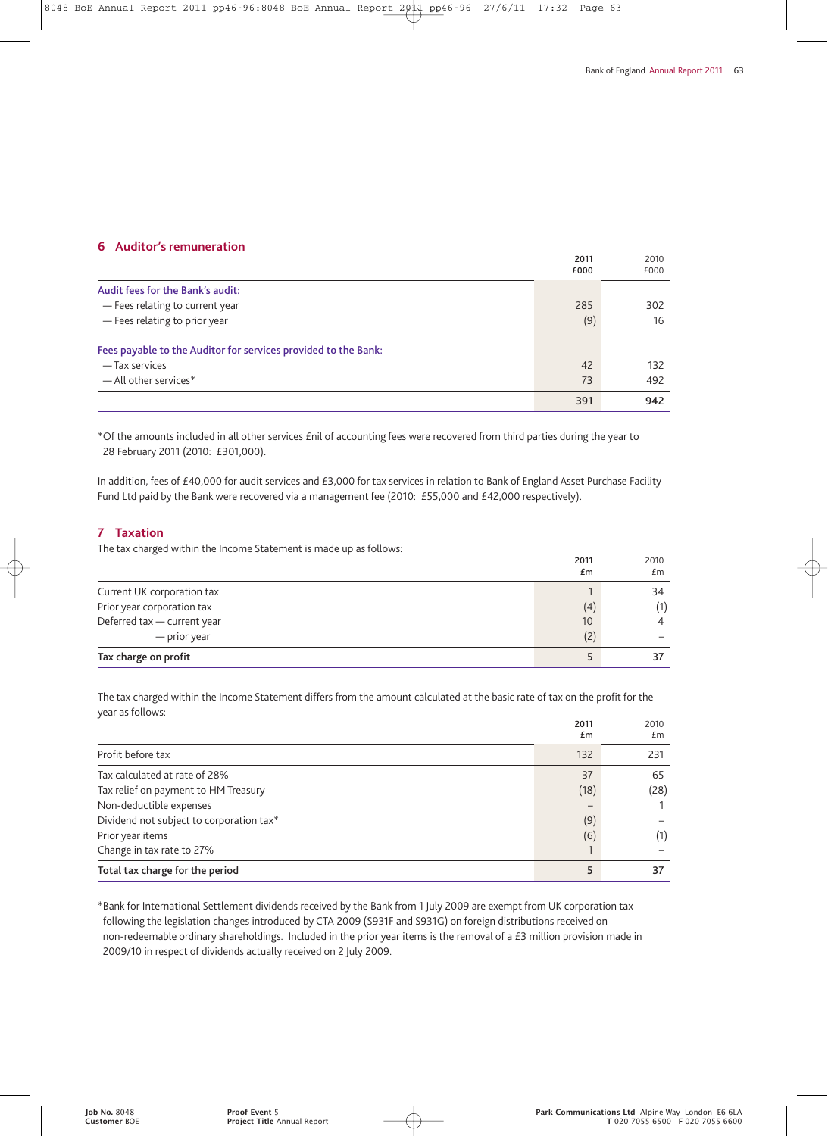## **6 Auditor's remuneration**

|                                                                | 2011<br>£000 | 2010<br>£000 |
|----------------------------------------------------------------|--------------|--------------|
|                                                                |              |              |
| Audit fees for the Bank's audit:                               |              |              |
| - Fees relating to current year                                | 285          | 302          |
| - Fees relating to prior year                                  | (9)          | 16           |
| Fees payable to the Auditor for services provided to the Bank: |              |              |
| — Tax services                                                 | 42           | 132          |
| $-$ All other services*                                        | 73           | 492          |
|                                                                | 391          | 942          |

\*Of the amounts included in all other services £nil of accounting fees were recovered from third parties during the year to 28 February 2011 (2010: £301,000).

In addition, fees of £40,000 for audit services and £3,000 for tax services in relation to Bank of England Asset Purchase Facility Fund Ltd paid by the Bank were recovered via a management fee (2010: £55,000 and £42,000 respectively).

## **7 Taxation**

The tax charged within the Income Statement is made up as follows:

|                             | 2011<br>£m | 2010<br>£m     |
|-----------------------------|------------|----------------|
| Current UK corporation tax  |            | 34             |
| Prior year corporation tax  | (4)        | (1)            |
| Deferred tax - current year | 10         | $\overline{4}$ |
| — prior year                | (2)        |                |
| Tax charge on profit        |            | 37             |

The tax charged within the Income Statement differs from the amount calculated at the basic rate of tax on the profit for the year as follows:

|                                          | 2011<br>£m               | 2010<br>£m |
|------------------------------------------|--------------------------|------------|
| Profit before tax                        | 132                      | 231        |
| Tax calculated at rate of 28%            | 37                       | 65         |
| Tax relief on payment to HM Treasury     | (18)                     | (28)       |
| Non-deductible expenses                  | $\overline{\phantom{0}}$ |            |
| Dividend not subject to corporation tax* | (9)                      |            |
| Prior year items                         | (6)                      | (1)        |
| Change in tax rate to 27%                |                          |            |
| Total tax charge for the period          | 5                        | 37         |

\*Bank for International Settlement dividends received by the Bank from 1 July 2009 are exempt from UK corporation tax following the legislation changes introduced by CTA 2009 (S931F and S931G) on foreign distributions received on non-redeemable ordinary shareholdings. Included in the prior year items is the removal of a £3 million provision made in 2009/10 in respect of dividends actually received on 2 July 2009.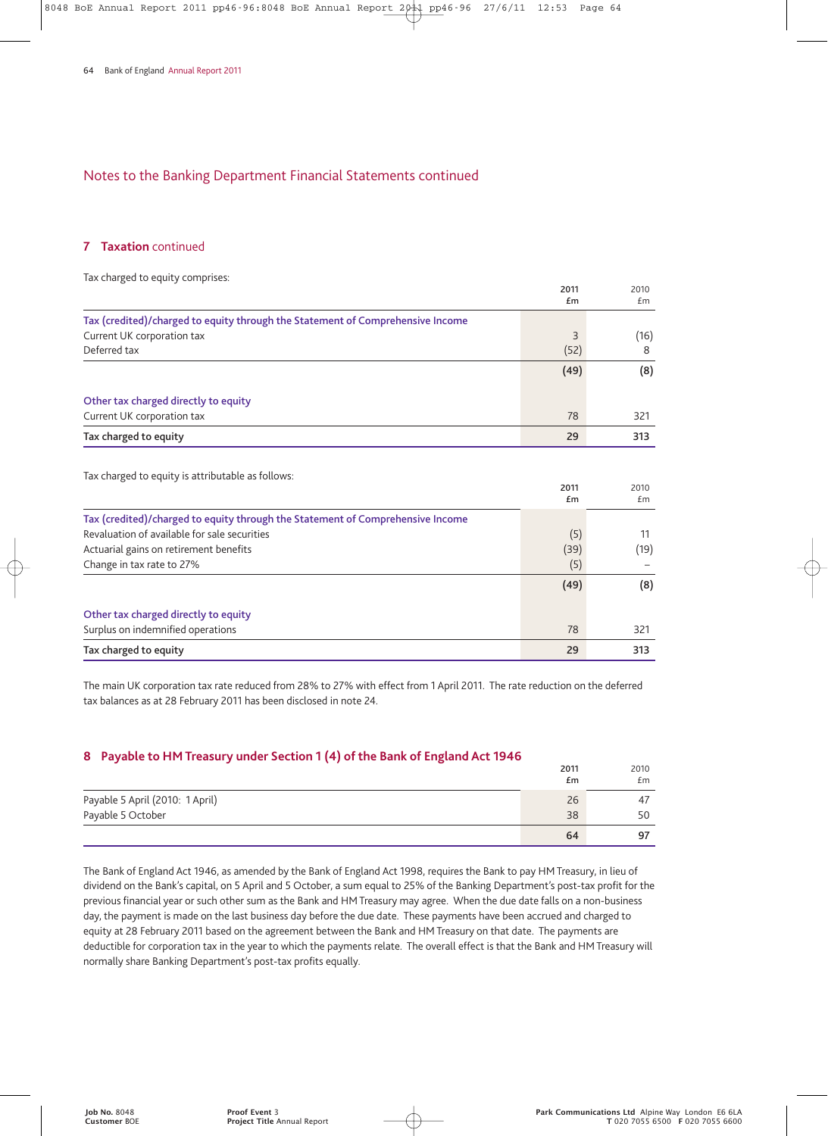#### **7 Taxation** continued

| Tax charged to equity comprises:                                               |            |            |
|--------------------------------------------------------------------------------|------------|------------|
|                                                                                | 2011<br>£m | 2010<br>Em |
| Tax (credited)/charged to equity through the Statement of Comprehensive Income |            |            |
| Current UK corporation tax                                                     | 3          | (16)       |
| Deferred tax                                                                   | (52)       | 8          |
|                                                                                | (49)       | (8)        |
| Other tax charged directly to equity                                           |            |            |
| Current UK corporation tax                                                     | 78         | 321        |
| Tax charged to equity                                                          | 29         | 313        |
|                                                                                |            |            |
| Tax charged to equity is attributable as follows:                              | 2011       | 2010       |
|                                                                                | £m         | £m         |
| Tax (credited)/charged to equity through the Statement of Comprehensive Income |            |            |
| Revaluation of available for sale securities                                   | (5)        | 11         |
| Actuarial gains on retirement benefits                                         | (39)       | (19)       |
| Change in tax rate to 27%                                                      | (5)        |            |
|                                                                                | (49)       | (8)        |
| Other tax charged directly to equity                                           |            |            |
| Surplus on indemnified operations                                              | 78         | 321        |
| Tax charged to equity                                                          | 29         | 313        |

The main UK corporation tax rate reduced from 28% to 27% with effect from 1 April 2011. The rate reduction on the deferred tax balances as at 28 February 2011 has been disclosed in note 24.

## **8 Payable to HM Treasury under Section 1 (4) of the Bank of England Act 1946**

| .<br>. .                        | 2011<br>£m | 2010<br>£m |
|---------------------------------|------------|------------|
| Payable 5 April (2010: 1 April) | 26         | 47         |
| Payable 5 October               | 38         | 50         |
|                                 | 64         | 97         |

The Bank of England Act 1946, as amended by the Bank of England Act 1998, requires the Bank to pay HM Treasury, in lieu of dividend on the Bank's capital, on 5 April and 5 October, a sum equal to 25% of the Banking Department's post-tax profit for the previous financial year or such other sum as the Bank and HM Treasury may agree. When the due date falls on a non-business day, the payment is made on the last business day before the due date. These payments have been accrued and charged to equity at 28 February 2011 based on the agreement between the Bank and HM Treasury on that date. The payments are deductible for corporation tax in the year to which the payments relate. The overall effect is that the Bank and HM Treasury will normally share Banking Department's post-tax profits equally.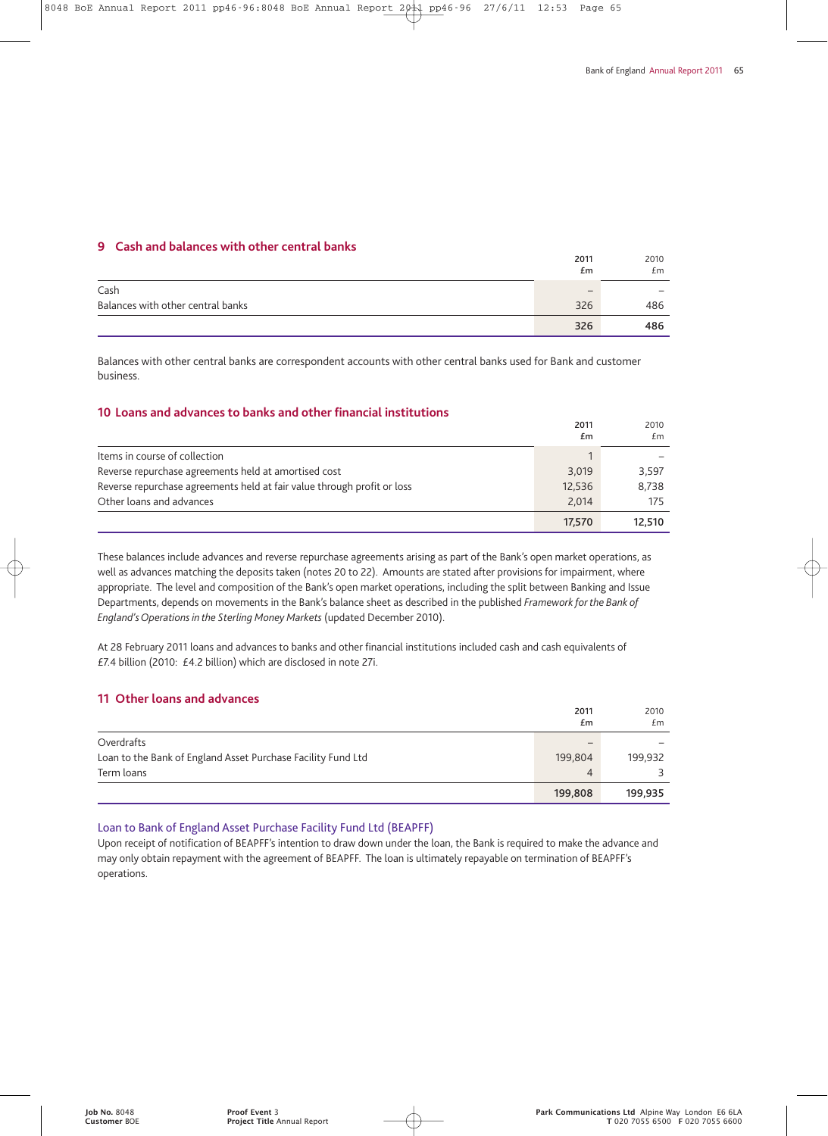#### **9 Cash and balances with other central banks**

|                                   | 2011<br>£m               | 2010<br>Em |
|-----------------------------------|--------------------------|------------|
| Cash                              | $\overline{\phantom{0}}$ | -          |
| Balances with other central banks | 326                      | 486        |
|                                   | 326                      | 486        |

Balances with other central banks are correspondent accounts with other central banks used for Bank and customer business.

#### **10 Loans and advances to banks and other financial institutions**

|                                                                         | 2011<br>£m | 2010<br>£m |
|-------------------------------------------------------------------------|------------|------------|
| Items in course of collection                                           |            |            |
| Reverse repurchase agreements held at amortised cost                    | 3.019      | 3.597      |
| Reverse repurchase agreements held at fair value through profit or loss | 12,536     | 8,738      |
| Other loans and advances                                                | 2.014      | 175        |
|                                                                         | 17.570     | 12.510     |

These balances include advances and reverse repurchase agreements arising as part of the Bank's open market operations, as well as advances matching the deposits taken (notes 20 to 22). Amounts are stated after provisions for impairment, where appropriate. The level and composition of the Bank's open market operations, including the split between Banking and Issue Departments, depends on movements in the Bank's balance sheet as described in the published *Framework for the Bank of England's Operations in the Sterling Money Markets* (updated December 2010).

At 28 February 2011 loans and advances to banks and other financial institutions included cash and cash equivalents of £7.4 billion (2010: £4.2 billion) which are disclosed in note 27i.

## **11 Other loans and advances**

|                                                              | 2011                     | 2010    |
|--------------------------------------------------------------|--------------------------|---------|
|                                                              | £m                       | £m      |
| Overdrafts                                                   | $\overline{\phantom{0}}$ |         |
| Loan to the Bank of England Asset Purchase Facility Fund Ltd | 199,804                  | 199,932 |
| Term loans                                                   | 4                        |         |
|                                                              | 199,808                  | 199,935 |

#### Loan to Bank of England Asset Purchase Facility Fund Ltd (BEAPFF)

Upon receipt of notification of BEAPFF's intention to draw down under the loan, the Bank is required to make the advance and may only obtain repayment with the agreement of BEAPFF. The loan is ultimately repayable on termination of BEAPFF's operations.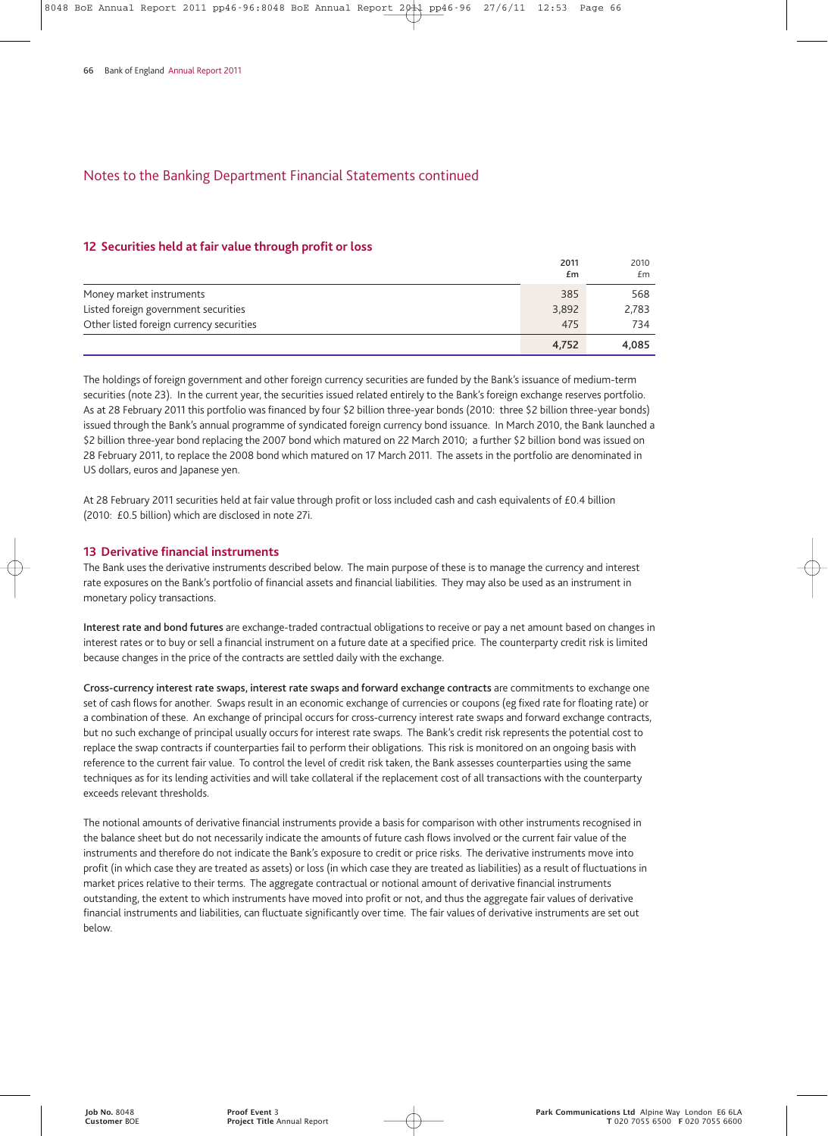#### **12 Securities held at fair value through profit or loss**

|                                          | 2011<br>£m | 2010<br>£m |
|------------------------------------------|------------|------------|
| Money market instruments                 | 385        | 568        |
| Listed foreign government securities     | 3,892      | 2,783      |
| Other listed foreign currency securities | 475        | 734        |
|                                          | 4,752      | 4,085      |

The holdings of foreign government and other foreign currency securities are funded by the Bank's issuance of medium-term securities (note 23). In the current year, the securities issued related entirely to the Bank's foreign exchange reserves portfolio. As at 28 February 2011 this portfolio was financed by four \$2 billion three-year bonds (2010: three \$2 billion three-year bonds) issued through the Bank's annual programme of syndicated foreign currency bond issuance. In March 2010, the Bank launched a \$2 billion three-year bond replacing the 2007 bond which matured on 22 March 2010; a further \$2 billion bond was issued on 28 February 2011, to replace the 2008 bond which matured on 17 March 2011. The assets in the portfolio are denominated in US dollars, euros and Japanese yen.

At 28 February 2011 securities held at fair value through profit or loss included cash and cash equivalents of £0.4 billion (2010: £0.5 billion) which are disclosed in note 27i.

#### **13 Derivative financial instruments**

The Bank uses the derivative instruments described below. The main purpose of these is to manage the currency and interest rate exposures on the Bank's portfolio of financial assets and financial liabilities. They may also be used as an instrument in monetary policy transactions.

**Interest rate and bond futures** are exchange-traded contractual obligations to receive or pay a net amount based on changes in interest rates or to buy or sell a financial instrument on a future date at a specified price. The counterparty credit risk is limited because changes in the price of the contracts are settled daily with the exchange.

**Cross-currency interest rate swaps, interest rate swaps and forward exchange contracts** are commitments to exchange one set of cash flows for another. Swaps result in an economic exchange of currencies or coupons (eg fixed rate for floating rate) or a combination of these. An exchange of principal occurs for cross-currency interest rate swaps and forward exchange contracts, but no such exchange of principal usually occurs for interest rate swaps. The Bank's credit risk represents the potential cost to replace the swap contracts if counterparties fail to perform their obligations. This risk is monitored on an ongoing basis with reference to the current fair value. To control the level of credit risk taken, the Bank assesses counterparties using the same techniques as for its lending activities and will take collateral if the replacement cost of all transactions with the counterparty exceeds relevant thresholds.

The notional amounts of derivative financial instruments provide a basis for comparison with other instruments recognised in the balance sheet but do not necessarily indicate the amounts of future cash flows involved or the current fair value of the instruments and therefore do not indicate the Bank's exposure to credit or price risks. The derivative instruments move into profit (in which case they are treated as assets) or loss (in which case they are treated as liabilities) as a result of fluctuations in market prices relative to their terms. The aggregate contractual or notional amount of derivative financial instruments outstanding, the extent to which instruments have moved into profit or not, and thus the aggregate fair values of derivative financial instruments and liabilities, can fluctuate significantly over time. The fair values of derivative instruments are set out below.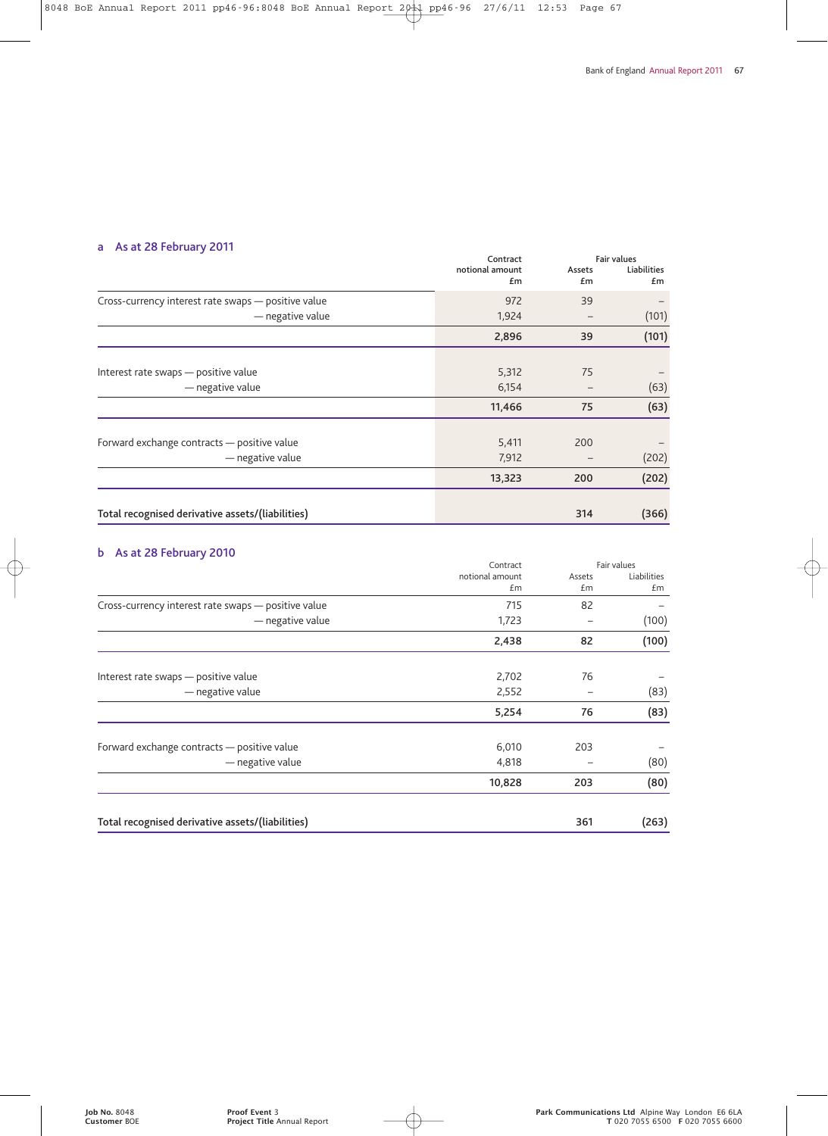## **a As at 28 February 2011**

|                       | <b>Fair values</b> |       |             |
|-----------------------|--------------------|-------|-------------|
| notional amount<br>£m | Assets             |       | Liabilities |
|                       | £m                 | £m    |             |
| 972                   | 39                 |       |             |
| 1,924                 |                    | (101) |             |
| 2,896                 | 39                 | (101) |             |
|                       |                    |       |             |
| 5,312                 | 75                 |       |             |
| 6,154                 |                    | (63)  |             |
| 11,466                | 75                 | (63)  |             |
|                       |                    |       |             |
| 5,411                 | 200                |       |             |
| 7,912                 |                    | (202) |             |
| 13,323                | 200                | (202) |             |
|                       |                    | (366) |             |
|                       | Contract           | 314   |             |

## **b As at 28 February 2010**

|                                                     | Contract        |        | Fair values |
|-----------------------------------------------------|-----------------|--------|-------------|
|                                                     | notional amount | Assets | Liabilities |
|                                                     | £m              | £m     | £m          |
| Cross-currency interest rate swaps - positive value | 715             | 82     |             |
| - negative value                                    | 1,723           |        | (100)       |
|                                                     | 2,438           | 82     | (100)       |
|                                                     |                 |        |             |
| Interest rate swaps - positive value                | 2,702           | 76     |             |
| - negative value                                    | 2,552           |        | (83)        |
|                                                     | 5,254           | 76     | (83)        |
| Forward exchange contracts - positive value         | 6,010           | 203    |             |
| - negative value                                    | 4,818           |        | (80)        |
|                                                     | 10,828          | 203    | (80)        |
| Total recognised derivative assets/(liabilities)    |                 | 361    | (263)       |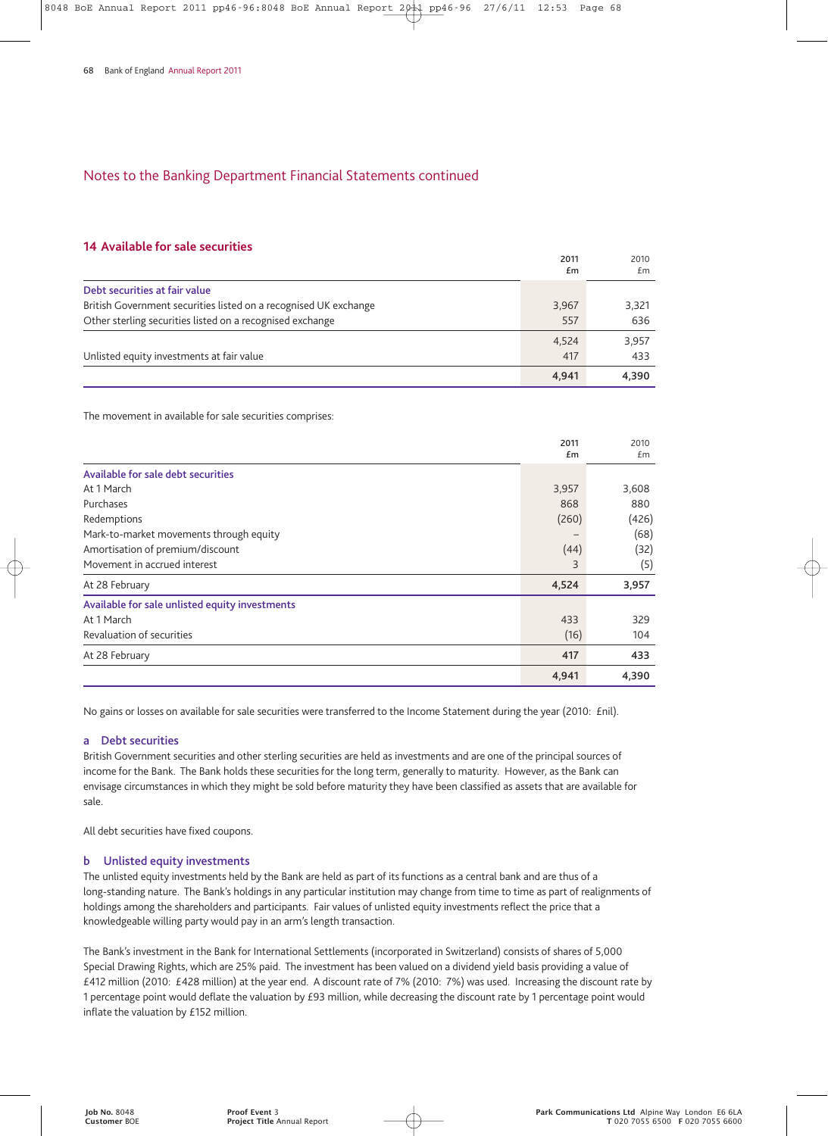#### **14 Available for sale securities**

|                                                                  | 2011  | 2010  |
|------------------------------------------------------------------|-------|-------|
|                                                                  | £m    | £m    |
| Debt securities at fair value                                    |       |       |
| British Government securities listed on a recognised UK exchange | 3,967 | 3,321 |
| Other sterling securities listed on a recognised exchange        | 557   | 636   |
|                                                                  | 4.524 | 3,957 |
| Unlisted equity investments at fair value                        | 417   | 433   |
|                                                                  | 4,941 | 4.390 |

The movement in available for sale securities comprises:

|                                                | 2011<br>£m | 2010<br>Em |
|------------------------------------------------|------------|------------|
| Available for sale debt securities             |            |            |
| At 1 March                                     | 3,957      | 3,608      |
| Purchases                                      | 868        | 880        |
| Redemptions                                    | (260)      | (426)      |
| Mark-to-market movements through equity        |            | (68)       |
| Amortisation of premium/discount               | (44)       | (32)       |
| Movement in accrued interest                   | 3          | (5)        |
| At 28 February                                 | 4,524      | 3,957      |
| Available for sale unlisted equity investments |            |            |
| At 1 March                                     | 433        | 329        |
| Revaluation of securities                      | (16)       | 104        |
| At 28 February                                 | 417        | 433        |
|                                                | 4,941      | 4,390      |

No gains or losses on available for sale securities were transferred to the Income Statement during the year (2010: £nil).

#### **a Debt securities**

British Government securities and other sterling securities are held as investments and are one of the principal sources of income for the Bank. The Bank holds these securities for the long term, generally to maturity. However, as the Bank can envisage circumstances in which they might be sold before maturity they have been classified as assets that are available for sale.

All debt securities have fixed coupons.

#### **b Unlisted equity investments**

The unlisted equity investments held by the Bank are held as part of its functions as a central bank and are thus of a long-standing nature. The Bank's holdings in any particular institution may change from time to time as part of realignments of holdings among the shareholders and participants. Fair values of unlisted equity investments reflect the price that a knowledgeable willing party would pay in an arm's length transaction.

The Bank's investment in the Bank for International Settlements (incorporated in Switzerland) consists of shares of 5,000 Special Drawing Rights, which are 25% paid. The investment has been valued on a dividend yield basis providing a value of £412 million (2010: £428 million) at the year end. A discount rate of 7% (2010: 7%) was used. Increasing the discount rate by 1 percentage point would deflate the valuation by £93 million, while decreasing the discount rate by 1 percentage point would inflate the valuation by £152 million.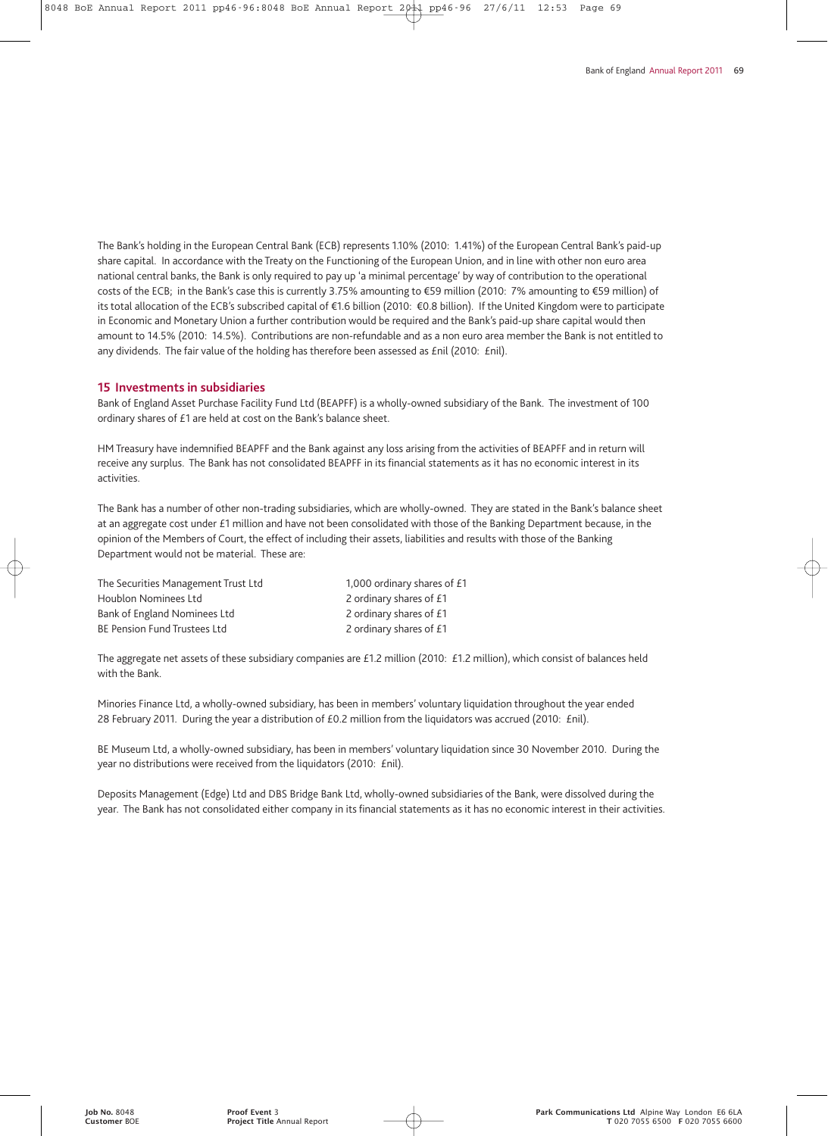The Bank's holding in the European Central Bank (ECB) represents 1.10% (2010: 1.41%) of the European Central Bank's paid-up share capital. In accordance with the Treaty on the Functioning of the European Union, and in line with other non euro area national central banks, the Bank is only required to pay up 'a minimal percentage' by way of contribution to the operational costs of the ECB; in the Bank's case this is currently 3.75% amounting to €59 million (2010: 7% amounting to €59 million) of its total allocation of the ECB's subscribed capital of €1.6 billion (2010: €0.8 billion). If the United Kingdom were to participate in Economic and Monetary Union a further contribution would be required and the Bank's paid-up share capital would then amount to 14.5% (2010: 14.5%). Contributions are non-refundable and as a non euro area member the Bank is not entitled to any dividends. The fair value of the holding has therefore been assessed as £nil (2010: £nil).

#### **15 Investments in subsidiaries**

Bank of England Asset Purchase Facility Fund Ltd (BEAPFF) is a wholly-owned subsidiary of the Bank. The investment of 100 ordinary shares of £1 are held at cost on the Bank's balance sheet.

HM Treasury have indemnified BEAPFF and the Bank against any loss arising from the activities of BEAPFF and in return will receive any surplus. The Bank has not consolidated BEAPFF in its financial statements as it has no economic interest in its activities.

The Bank has a number of other non-trading subsidiaries, which are wholly-owned. They are stated in the Bank's balance sheet at an aggregate cost under £1 million and have not been consolidated with those of the Banking Department because, in the opinion of the Members of Court, the effect of including their assets, liabilities and results with those of the Banking Department would not be material. These are:

| The Securities Management Trust Ltd | 1,000 ordinary shares of £1 |
|-------------------------------------|-----------------------------|
| Houblon Nominees Ltd                | 2 ordinary shares of £1     |
| Bank of England Nominees Ltd        | 2 ordinary shares of £1     |
| <b>BE Pension Fund Trustees Ltd</b> | 2 ordinary shares of £1     |

The aggregate net assets of these subsidiary companies are £1.2 million (2010: £1.2 million), which consist of balances held with the Bank.

Minories Finance Ltd, a wholly-owned subsidiary, has been in members' voluntary liquidation throughout the year ended 28 February 2011. During the year a distribution of £0.2 million from the liquidators was accrued (2010: £nil).

BE Museum Ltd, a wholly-owned subsidiary, has been in members' voluntary liquidation since 30 November 2010. During the year no distributions were received from the liquidators (2010: £nil).

Deposits Management (Edge) Ltd and DBS Bridge Bank Ltd, wholly-owned subsidiaries of the Bank, were dissolved during the year. The Bank has not consolidated either company in its financial statements as it has no economic interest in their activities.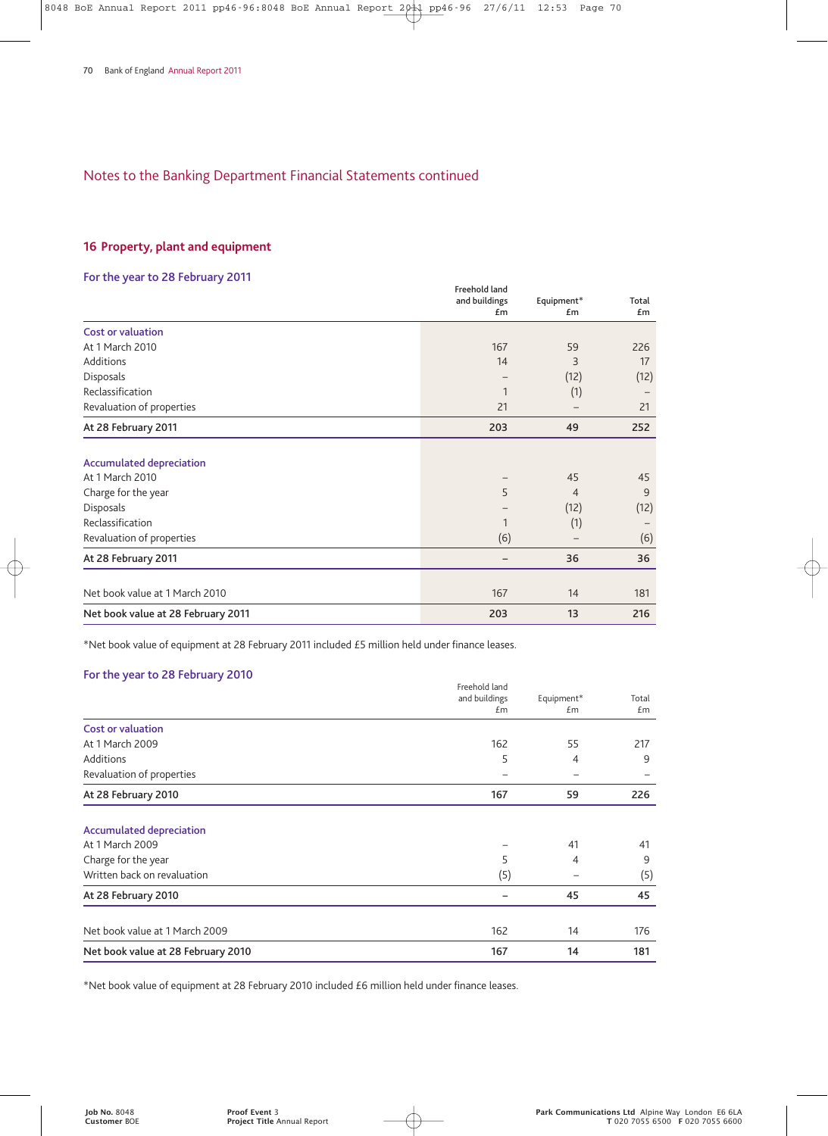## **16 Property, plant and equipment**

## **For the year to 28 February 2011**

| TUI LIIE YEAR LU ZO FEDRUARY ZUTT  |                                |                |       |
|------------------------------------|--------------------------------|----------------|-------|
|                                    | Freehold land<br>and buildings | Equipment*     | Total |
|                                    | £m                             | £m             | £m    |
| <b>Cost or valuation</b>           |                                |                |       |
| At 1 March 2010                    | 167                            | 59             | 226   |
| Additions                          | 14                             | 3              | 17    |
| Disposals                          |                                | (12)           | (12)  |
| Reclassification                   | 1                              | (1)            |       |
| Revaluation of properties          | 21                             |                | 21    |
| At 28 February 2011                | 203                            | 49             | 252   |
| <b>Accumulated depreciation</b>    |                                |                |       |
| At 1 March 2010                    |                                | 45             | 45    |
| Charge for the year                | 5                              | $\overline{4}$ | 9     |
| Disposals                          |                                | (12)           | (12)  |
| Reclassification                   | 1                              | (1)            |       |
| Revaluation of properties          | (6)                            |                | (6)   |
| At 28 February 2011                |                                | 36             | 36    |
|                                    |                                |                |       |
| Net book value at 1 March 2010     | 167                            | 14             | 181   |
| Net book value at 28 February 2011 | 203                            | 13             | 216   |

\*Net book value of equipment at 28 February 2011 included £5 million held under finance leases.

## **For the year to 28 February 2010**

|                                    | Freehold land<br>and buildings | Equipment* | Total |
|------------------------------------|--------------------------------|------------|-------|
|                                    | £m                             | £m         | £m    |
| Cost or valuation                  |                                |            |       |
| At 1 March 2009                    | 162                            | 55         | 217   |
| <b>Additions</b>                   | 5                              | 4          | 9     |
| Revaluation of properties          |                                |            |       |
| At 28 February 2010                | 167                            | 59         | 226   |
| <b>Accumulated depreciation</b>    |                                |            |       |
| At 1 March 2009                    |                                | 41         | 41    |
| Charge for the year                | 5                              | 4          | 9     |
| Written back on revaluation        | (5)                            |            | (5)   |
| At 28 February 2010                |                                | 45         | 45    |
| Net book value at 1 March 2009     | 162                            | 14         | 176   |
| Net book value at 28 February 2010 | 167                            | 14         | 181   |

\*Net book value of equipment at 28 February 2010 included £6 million held under finance leases.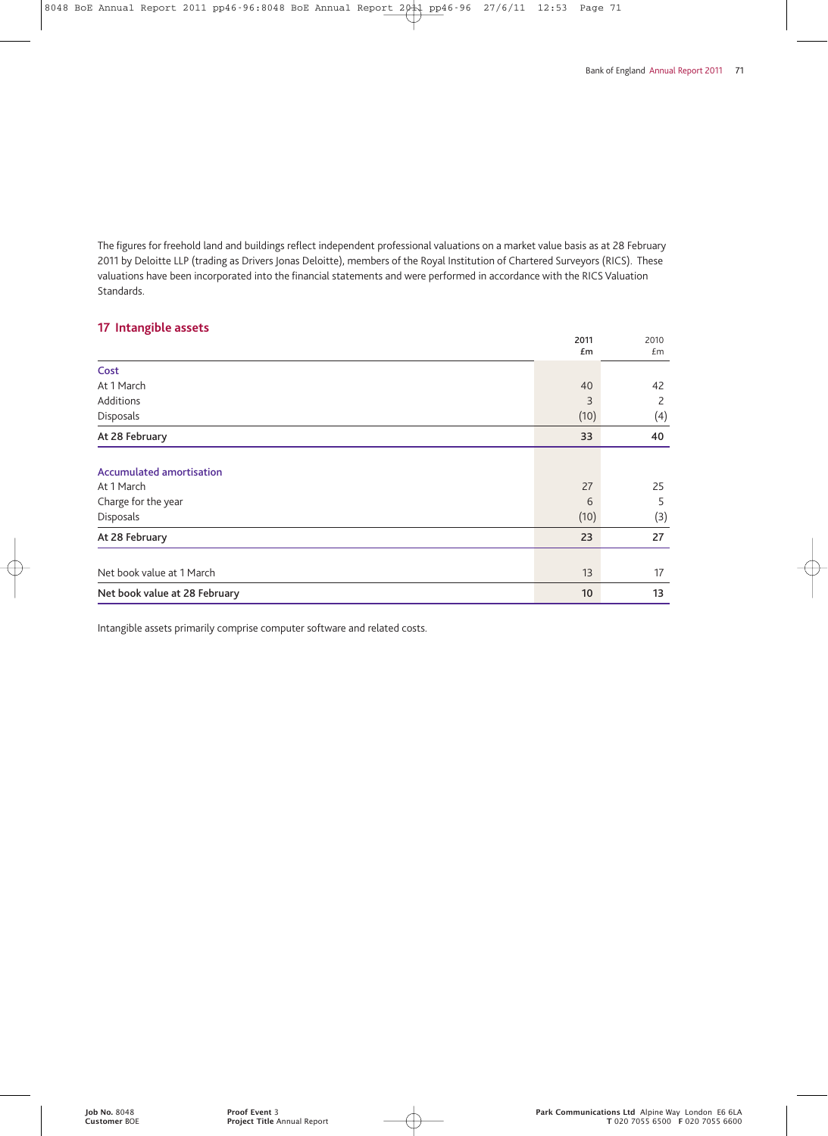The figures for freehold land and buildings reflect independent professional valuations on a market value basis as at 28 February 2011 by Deloitte LLP (trading as Drivers Jonas Deloitte), members of the Royal Institution of Chartered Surveyors (RICS). These valuations have been incorporated into the financial statements and were performed in accordance with the RICS Valuation Standards.

## **17 Intangible assets**

| <i>If</i> intengneted assets    | 2011<br>£m | 2010<br>£m |
|---------------------------------|------------|------------|
| Cost                            |            |            |
| At 1 March                      | 40         | 42         |
| Additions                       | 3          | 2          |
| Disposals                       | (10)       | (4)        |
| At 28 February                  | 33         | 40         |
| <b>Accumulated amortisation</b> |            |            |
| At 1 March                      | 27         | 25         |
| Charge for the year             | 6          | 5          |
| Disposals                       | (10)       | (3)        |
| At 28 February                  | 23         | 27         |
|                                 |            |            |
| Net book value at 1 March       | 13         | 17         |
| Net book value at 28 February   | 10         | 13         |

Intangible assets primarily comprise computer software and related costs.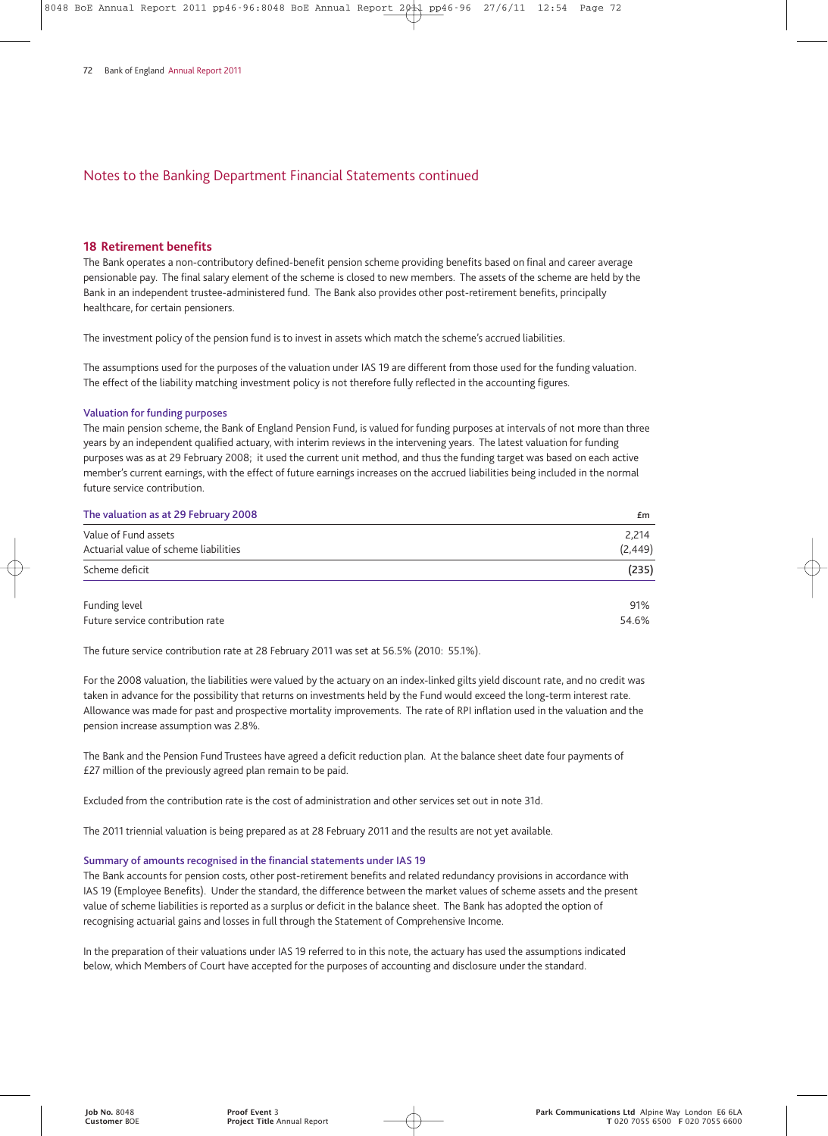#### **18 Retirement benefits**

The Bank operates a non-contributory defined-benefit pension scheme providing benefits based on final and career average pensionable pay. The final salary element of the scheme is closed to new members. The assets of the scheme are held by the Bank in an independent trustee-administered fund. The Bank also provides other post-retirement benefits, principally healthcare, for certain pensioners.

The investment policy of the pension fund is to invest in assets which match the scheme's accrued liabilities.

The assumptions used for the purposes of the valuation under IAS 19 are different from those used for the funding valuation. The effect of the liability matching investment policy is not therefore fully reflected in the accounting figures.

#### **Valuation for funding purposes**

The main pension scheme, the Bank of England Pension Fund, is valued for funding purposes at intervals of not more than three years by an independent qualified actuary, with interim reviews in the intervening years. The latest valuation for funding purposes was as at 29 February 2008; it used the current unit method, and thus the funding target was based on each active member's current earnings, with the effect of future earnings increases on the accrued liabilities being included in the normal future service contribution.

| The valuation as at 29 February 2008  | Em       |
|---------------------------------------|----------|
| Value of Fund assets                  | 2,214    |
| Actuarial value of scheme liabilities | (2, 449) |
| Scheme deficit                        | (235)    |
| Funding level                         | 91%      |
| Future service contribution rate      | 54.6%    |

The future service contribution rate at 28 February 2011 was set at 56.5% (2010: 55.1%).

For the 2008 valuation, the liabilities were valued by the actuary on an index-linked gilts yield discount rate, and no credit was taken in advance for the possibility that returns on investments held by the Fund would exceed the long-term interest rate. Allowance was made for past and prospective mortality improvements. The rate of RPI inflation used in the valuation and the pension increase assumption was 2.8%.

The Bank and the Pension Fund Trustees have agreed a deficit reduction plan. At the balance sheet date four payments of £27 million of the previously agreed plan remain to be paid.

Excluded from the contribution rate is the cost of administration and other services set out in note 31d.

The 2011 triennial valuation is being prepared as at 28 February 2011 and the results are not yet available.

#### **Summary of amounts recognised in the financial statements under IAS 19**

The Bank accounts for pension costs, other post-retirement benefits and related redundancy provisions in accordance with IAS 19 (Employee Benefits). Under the standard, the difference between the market values of scheme assets and the present value of scheme liabilities is reported as a surplus or deficit in the balance sheet. The Bank has adopted the option of recognising actuarial gains and losses in full through the Statement of Comprehensive Income.

In the preparation of their valuations under IAS 19 referred to in this note, the actuary has used the assumptions indicated below, which Members of Court have accepted for the purposes of accounting and disclosure under the standard.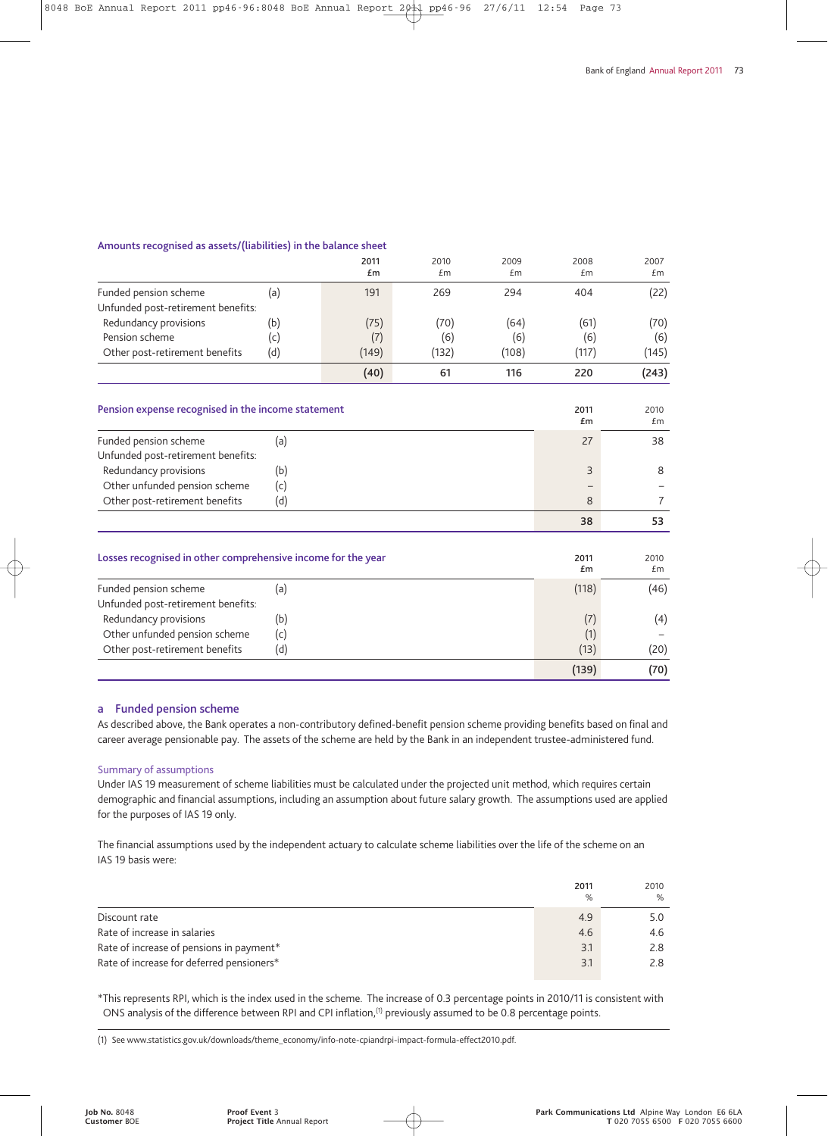#### **Amounts recognised as assets/(liabilities) in the balance sheet**

|                                                              |     | 2011<br>£m | 2010<br>£m | 2009<br>£m | 2008<br>£m | 2007<br>£m |
|--------------------------------------------------------------|-----|------------|------------|------------|------------|------------|
| Funded pension scheme                                        | (a) | 191        | 269        | 294        | 404        | (22)       |
| Unfunded post-retirement benefits:                           |     |            |            |            |            |            |
| Redundancy provisions                                        | (b) | (75)       | (70)       | (64)       | (61)       | (70)       |
| Pension scheme                                               | (c) | (7)        | (6)        | (6)        | (6)        | (6)        |
| Other post-retirement benefits                               | (d) | (149)      | (132)      | (108)      | (117)      | (145)      |
|                                                              |     | (40)       | 61         | 116        | 220        | (243)      |
|                                                              |     |            |            |            |            |            |
| Pension expense recognised in the income statement           |     |            |            |            | 2011<br>£m | 2010<br>£m |
| Funded pension scheme                                        | (a) |            |            |            | 27         | 38         |
| Unfunded post-retirement benefits:                           |     |            |            |            |            |            |
| Redundancy provisions                                        | (b) |            |            |            | 3          | 8          |
| Other unfunded pension scheme                                | (c) |            |            |            |            |            |
| Other post-retirement benefits                               | (d) |            |            |            | 8          | 7          |
|                                                              |     |            |            |            | 38         | 53         |
|                                                              |     |            |            |            |            |            |
| Losses recognised in other comprehensive income for the year |     |            |            |            | 2011<br>£m | 2010<br>£m |
| Funded pension scheme                                        | (a) |            |            |            | (118)      | (46)       |
| Unfunded post-retirement benefits:                           |     |            |            |            |            |            |
| Redundancy provisions                                        | (b) |            |            |            | (7)        | (4)        |
| Other unfunded pension scheme                                | (c) |            |            |            | (1)        |            |
| Other post-retirement benefits                               | (d) |            |            |            | (13)       | (20)       |
|                                                              |     |            |            |            | (139)      | (70)       |

#### **a Funded pension scheme**

As described above, the Bank operates a non-contributory defined-benefit pension scheme providing benefits based on final and career average pensionable pay. The assets of the scheme are held by the Bank in an independent trustee-administered fund.

#### Summary of assumptions

Under IAS 19 measurement of scheme liabilities must be calculated under the projected unit method, which requires certain demographic and financial assumptions, including an assumption about future salary growth. The assumptions used are applied for the purposes of IAS 19 only.

The financial assumptions used by the independent actuary to calculate scheme liabilities over the life of the scheme on an IAS 19 basis were:

|                                           | 2011<br>% | 2010<br>$\%$ |
|-------------------------------------------|-----------|--------------|
| Discount rate                             | 4.9       | 5.0          |
| Rate of increase in salaries              | 4.6       | 4.6          |
| Rate of increase of pensions in payment*  | 3.1       | 2.8          |
| Rate of increase for deferred pensioners* | 3.1       | 2.8          |

\*This represents RPI, which is the index used in the scheme. The increase of 0.3 percentage points in 2010/11 is consistent with ONS analysis of the difference between RPI and CPI inflation,<sup>(1)</sup> previously assumed to be 0.8 percentage points.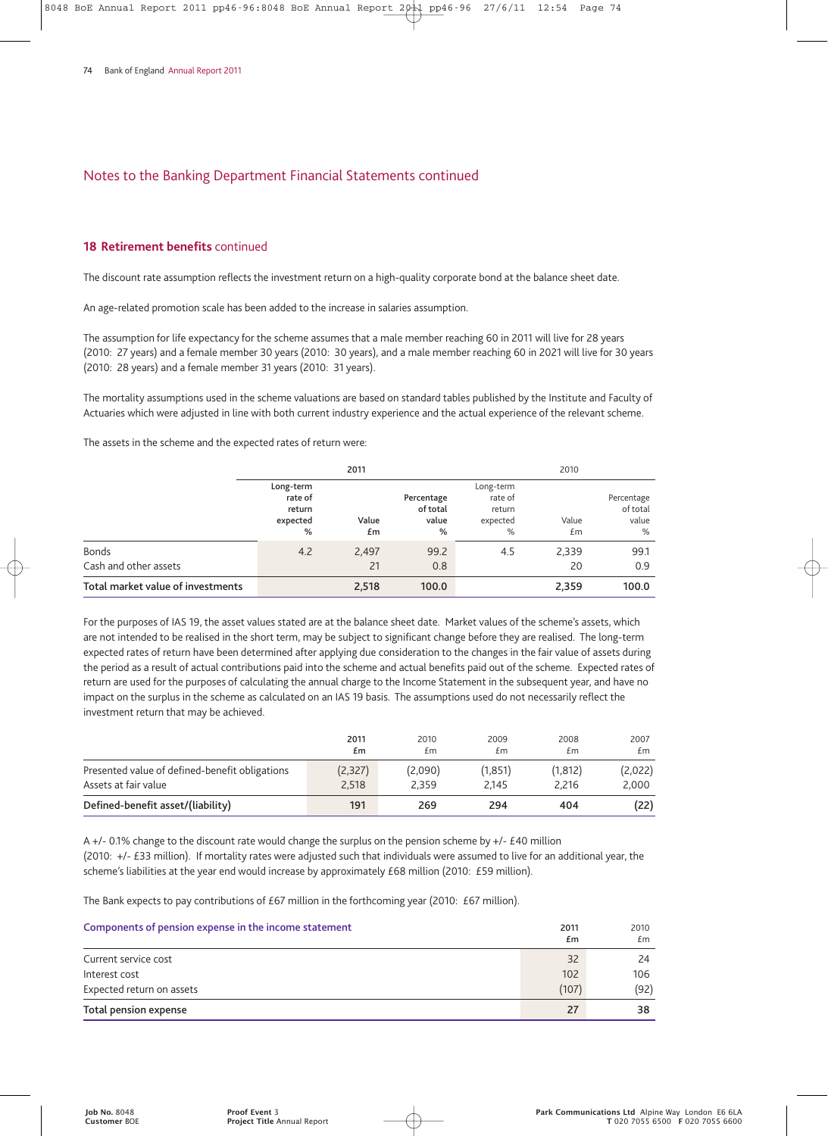#### **18 Retirement benefits** continued

The discount rate assumption reflects the investment return on a high-quality corporate bond at the balance sheet date.

An age-related promotion scale has been added to the increase in salaries assumption.

The assumption for life expectancy for the scheme assumes that a male member reaching 60 in 2011 will live for 28 years (2010: 27 years) and a female member 30 years (2010: 30 years), and a male member reaching 60 in 2021 will live for 30 years (2010: 28 years) and a female member 31 years (2010: 31 years).

The mortality assumptions used in the scheme valuations are based on standard tables published by the Institute and Faculty of Actuaries which were adjusted in line with both current industry experience and the actual experience of the relevant scheme.

The assets in the scheme and the expected rates of return were:

|                                   | 2011                                            |             |                                      | 2010                                            |             |                                      |
|-----------------------------------|-------------------------------------------------|-------------|--------------------------------------|-------------------------------------------------|-------------|--------------------------------------|
|                                   | Long-term<br>rate of<br>return<br>expected<br>% | Value<br>£m | Percentage<br>of total<br>value<br>% | Long-term<br>rate of<br>return<br>expected<br>% | Value<br>£m | Percentage<br>of total<br>value<br>% |
| <b>Bonds</b>                      | 4.2                                             | 2,497       | 99.2                                 | 4.5                                             | 2,339       | 99.1                                 |
| Cash and other assets             |                                                 | 21          | 0.8                                  |                                                 | 20          | 0.9                                  |
| Total market value of investments |                                                 | 2,518       | 100.0                                |                                                 | 2,359       | 100.0                                |

For the purposes of IAS 19, the asset values stated are at the balance sheet date. Market values of the scheme's assets, which are not intended to be realised in the short term, may be subject to significant change before they are realised. The long-term expected rates of return have been determined after applying due consideration to the changes in the fair value of assets during the period as a result of actual contributions paid into the scheme and actual benefits paid out of the scheme. Expected rates of return are used for the purposes of calculating the annual charge to the Income Statement in the subsequent year, and have no impact on the surplus in the scheme as calculated on an IAS 19 basis. The assumptions used do not necessarily reflect the investment return that may be achieved.

|                                                | 2011    | 2010    | 2009    | 2008     | 2007    |
|------------------------------------------------|---------|---------|---------|----------|---------|
|                                                | £m      | £m      | £m      | £m       | £m      |
| Presented value of defined-benefit obligations | (2,327) | (2,090) | (1,851) | (1, 812) | (2,022) |
| Assets at fair value                           | 2.518   | 2.359   | 2.145   | 2.216    | 2.000   |
| Defined-benefit asset/(liability)              | 191     | 269     | 294     | 404      | (22)    |

A +/- 0.1% change to the discount rate would change the surplus on the pension scheme by +/- £40 million (2010: +/- £33 million). If mortality rates were adjusted such that individuals were assumed to live for an additional year, the scheme's liabilities at the year end would increase by approximately £68 million (2010: £59 million).

The Bank expects to pay contributions of £67 million in the forthcoming year (2010: £67 million).

| Components of pension expense in the income statement |       | 2010<br>£m |
|-------------------------------------------------------|-------|------------|
| Current service cost                                  | 32    | 24         |
| Interest cost                                         | 102   | 106        |
| Expected return on assets                             | (107) | (92)       |
| Total pension expense                                 | 27    | 38         |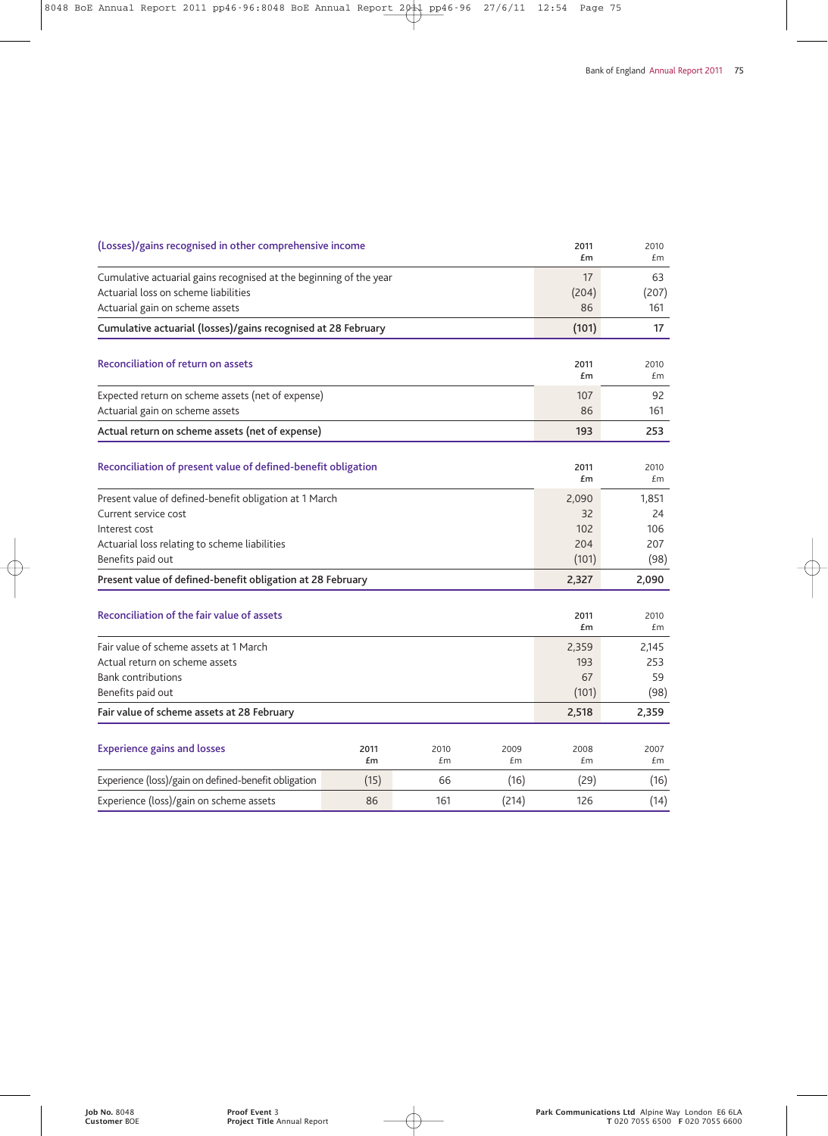| (Losses)/gains recognised in other comprehensive income                                                                                                               |            |            |            |                                    | 2010<br>£m                        |
|-----------------------------------------------------------------------------------------------------------------------------------------------------------------------|------------|------------|------------|------------------------------------|-----------------------------------|
| Cumulative actuarial gains recognised at the beginning of the year<br>Actuarial loss on scheme liabilities                                                            |            |            |            | 17<br>(204)                        | 63<br>(207)                       |
| Actuarial gain on scheme assets                                                                                                                                       |            |            |            | 86                                 | 161                               |
| Cumulative actuarial (losses)/gains recognised at 28 February                                                                                                         |            |            |            | (101)                              | 17                                |
| <b>Reconciliation of return on assets</b>                                                                                                                             |            |            |            |                                    | 2010<br>£m                        |
| Expected return on scheme assets (net of expense)<br>Actuarial gain on scheme assets                                                                                  |            |            |            |                                    | 92<br>161                         |
| Actual return on scheme assets (net of expense)                                                                                                                       |            |            |            | 193                                | 253                               |
| Reconciliation of present value of defined-benefit obligation                                                                                                         |            |            |            |                                    | 2010<br>£m                        |
| Present value of defined-benefit obligation at 1 March<br>Current service cost<br>Interest cost<br>Actuarial loss relating to scheme liabilities<br>Benefits paid out |            |            |            | 2,090<br>32<br>102<br>204<br>(101) | 1,851<br>24<br>106<br>207<br>(98) |
| Present value of defined-benefit obligation at 28 February                                                                                                            |            |            |            | 2,327                              | 2,090                             |
| Reconciliation of the fair value of assets                                                                                                                            |            |            |            | 2011<br>£m                         | 2010<br>£m                        |
| Fair value of scheme assets at 1 March<br>Actual return on scheme assets<br><b>Bank contributions</b><br>Benefits paid out                                            |            |            |            | 2,359<br>193<br>67<br>(101)        | 2,145<br>253<br>59<br>(98)        |
| Fair value of scheme assets at 28 February                                                                                                                            |            |            |            | 2,518                              | 2,359                             |
| <b>Experience gains and losses</b>                                                                                                                                    | 2011<br>£m | 2010<br>£m | 2009<br>£m | 2008<br>£m                         | 2007<br>£m                        |
| Experience (loss)/gain on defined-benefit obligation                                                                                                                  | (15)       | 66         | (16)       | (29)                               | (16)                              |
| Experience (loss)/gain on scheme assets                                                                                                                               | 86         | 161        | (214)      | 126                                | (14)                              |
|                                                                                                                                                                       |            |            |            |                                    |                                   |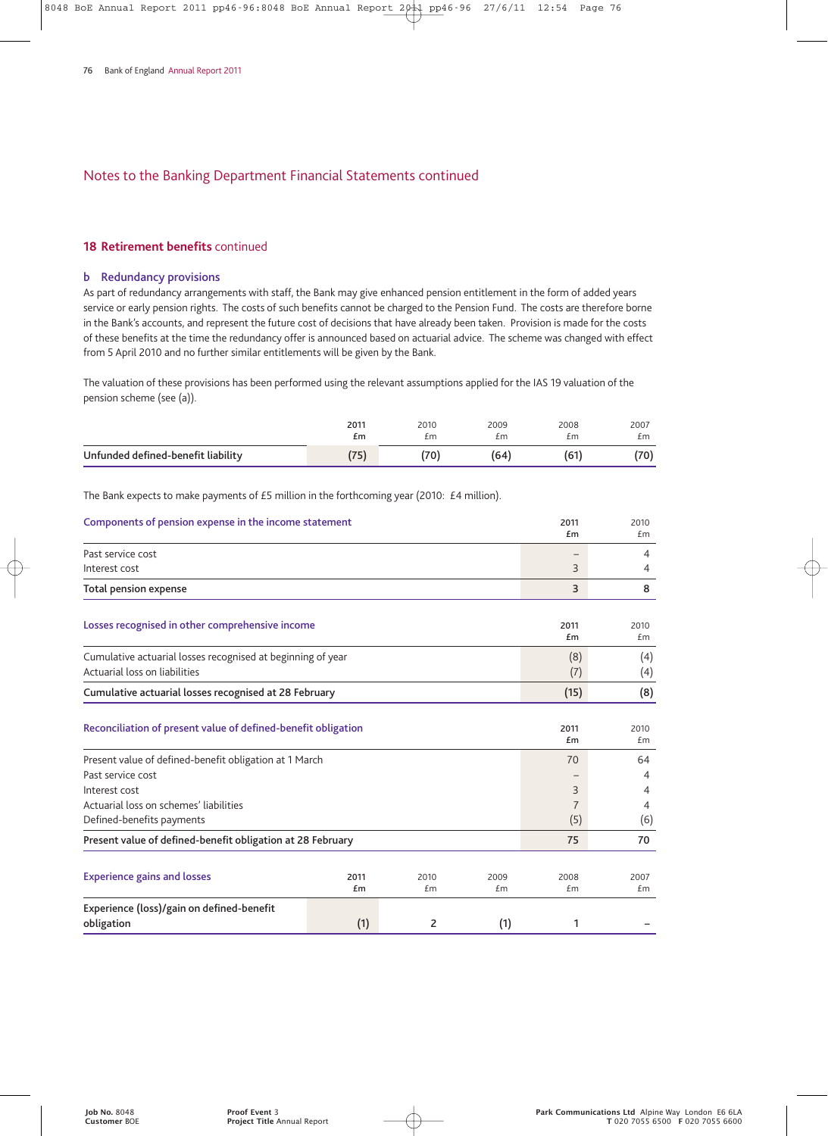#### **18 Retirement benefits** continued

#### **b Redundancy provisions**

As part of redundancy arrangements with staff, the Bank may give enhanced pension entitlement in the form of added years service or early pension rights. The costs of such benefits cannot be charged to the Pension Fund. The costs are therefore borne in the Bank's accounts, and represent the future cost of decisions that have already been taken. Provision is made for the costs of these benefits at the time the redundancy offer is announced based on actuarial advice. The scheme was changed with effect from 5 April 2010 and no further similar entitlements will be given by the Bank.

The valuation of these provisions has been performed using the relevant assumptions applied for the IAS 19 valuation of the pension scheme (see (a)).

|                                    | 2011     | 2010            | 2009 | 2008 | 2007 |
|------------------------------------|----------|-----------------|------|------|------|
|                                    | £m       | £m              | £m   | £m   | £m   |
| Unfunded defined-benefit liability | $-$<br>◡ | 70 <sub>1</sub> | (64) | 61   | (70) |

The Bank expects to make payments of £5 million in the forthcoming year (2010: £4 million).

| Components of pension expense in the income statement                                        |            |            |            | 2011<br>£m     | 2010<br>£m |
|----------------------------------------------------------------------------------------------|------------|------------|------------|----------------|------------|
| Past service cost                                                                            |            |            |            |                | 4          |
| Interest cost                                                                                |            |            |            | 3              | 4          |
| <b>Total pension expense</b>                                                                 |            |            |            | 3              | 8          |
| Losses recognised in other comprehensive income                                              |            |            |            |                | 2010<br>£m |
| Cumulative actuarial losses recognised at beginning of year<br>Actuarial loss on liabilities |            |            | (8)<br>(7) | (4)<br>(4)     |            |
| Cumulative actuarial losses recognised at 28 February                                        |            |            | (15)       | (8)            |            |
| Reconciliation of present value of defined-benefit obligation                                |            |            |            | 2011<br>£m     | 2010<br>£m |
| Present value of defined-benefit obligation at 1 March                                       |            |            |            | 70             | 64         |
| Past service cost                                                                            |            |            |            |                | 4          |
| Interest cost                                                                                |            |            |            | 3              | 4          |
| Actuarial loss on schemes' liabilities                                                       |            |            |            | $\overline{7}$ | 4          |
| Defined-benefits payments                                                                    |            |            |            | (5)            | (6)        |
| Present value of defined-benefit obligation at 28 February                                   |            |            |            | 75             | 70         |
| <b>Experience gains and losses</b>                                                           | 2011<br>£m | 2010<br>£m | 2009<br>£m | 2008<br>£m     | 2007<br>£m |
| Experience (loss)/gain on defined-benefit                                                    |            |            |            |                |            |
| obligation                                                                                   | (1)        | 2          | (1)        | 1              |            |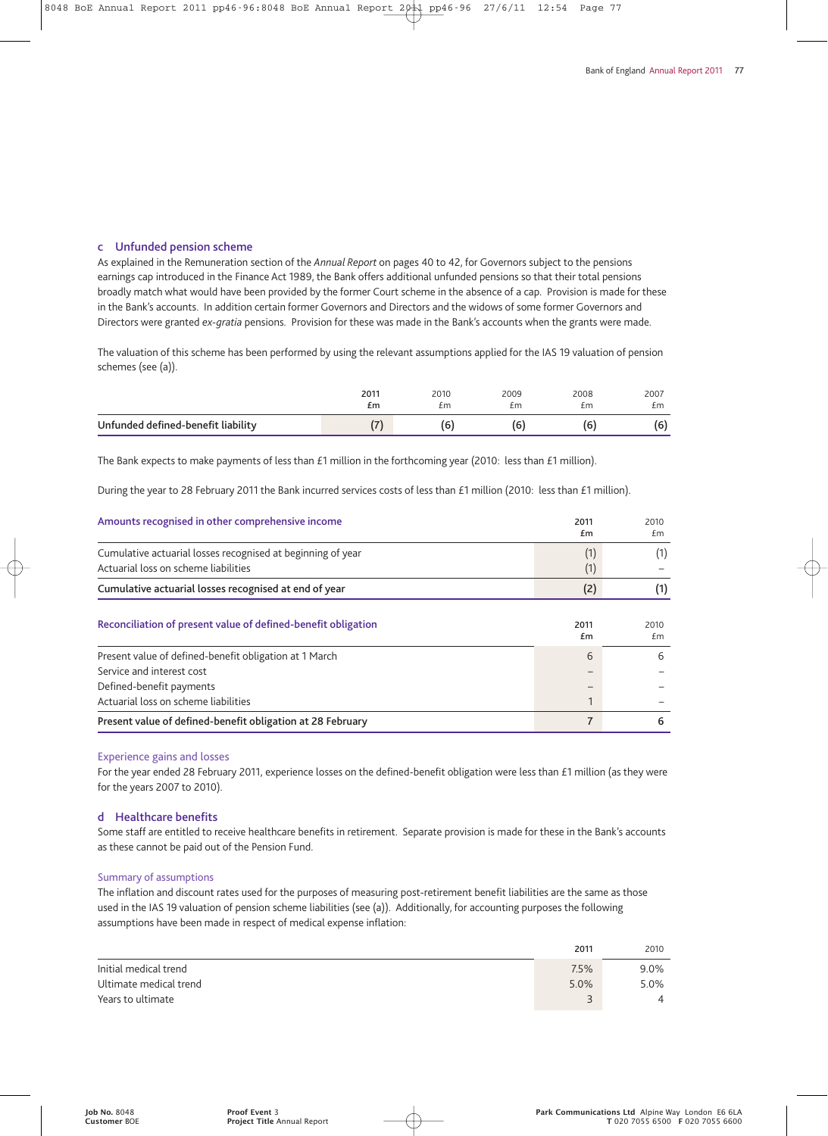#### **c Unfunded pension scheme**

As explained in the Remuneration section of the *Annual Report* on pages 40 to 42, for Governors subject to the pensions earnings cap introduced in the Finance Act 1989, the Bank offers additional unfunded pensions so that their total pensions broadly match what would have been provided by the former Court scheme in the absence of a cap. Provision is made for these in the Bank's accounts. In addition certain former Governors and Directors and the widows of some former Governors and Directors were granted *ex-gratia* pensions. Provision for these was made in the Bank's accounts when the grants were made.

The valuation of this scheme has been performed by using the relevant assumptions applied for the IAS 19 valuation of pension schemes (see (a)).

|                                    | 2011 | 2010 | 2009 | 2008 | 2007 |
|------------------------------------|------|------|------|------|------|
|                                    | £m   | £m   | £m   | £m   | £m   |
| Unfunded defined-benefit liability | /-'  | 6    | 16   | 6    | 66)  |

The Bank expects to make payments of less than £1 million in the forthcoming year (2010: less than £1 million).

During the year to 28 February 2011 the Bank incurred services costs of less than £1 million (2010: less than £1 million).

| Amounts recognised in other comprehensive income                                                    | 2011<br>£m     | 2010<br>£m |
|-----------------------------------------------------------------------------------------------------|----------------|------------|
| Cumulative actuarial losses recognised at beginning of year<br>Actuarial loss on scheme liabilities | (1)<br>(1)     | (1)        |
| Cumulative actuarial losses recognised at end of year                                               | (2)            | (1)        |
| Reconciliation of present value of defined-benefit obligation                                       | 2011<br>£m     | 2010<br>£m |
| Present value of defined-benefit obligation at 1 March                                              | 6              | 6          |
| Service and interest cost                                                                           |                |            |
| Defined-benefit payments                                                                            |                |            |
| Actuarial loss on scheme liabilities                                                                |                |            |
| Present value of defined-benefit obligation at 28 February                                          | $\overline{7}$ | 6          |

#### Experience gains and losses

For the year ended 28 February 2011, experience losses on the defined-benefit obligation were less than £1 million (as they were for the years 2007 to 2010).

#### **d Healthcare benefits**

Some staff are entitled to receive healthcare benefits in retirement. Separate provision is made for these in the Bank's accounts as these cannot be paid out of the Pension Fund.

#### Summary of assumptions

The inflation and discount rates used for the purposes of measuring post-retirement benefit liabilities are the same as those used in the IAS 19 valuation of pension scheme liabilities (see (a)). Additionally, for accounting purposes the following assumptions have been made in respect of medical expense inflation:

|                        | 2011 | 2010    |
|------------------------|------|---------|
| Initial medical trend  | 7.5% | $9.0\%$ |
| Ultimate medical trend | 5.0% | 5.0%    |
| Years to ultimate      | - 1  |         |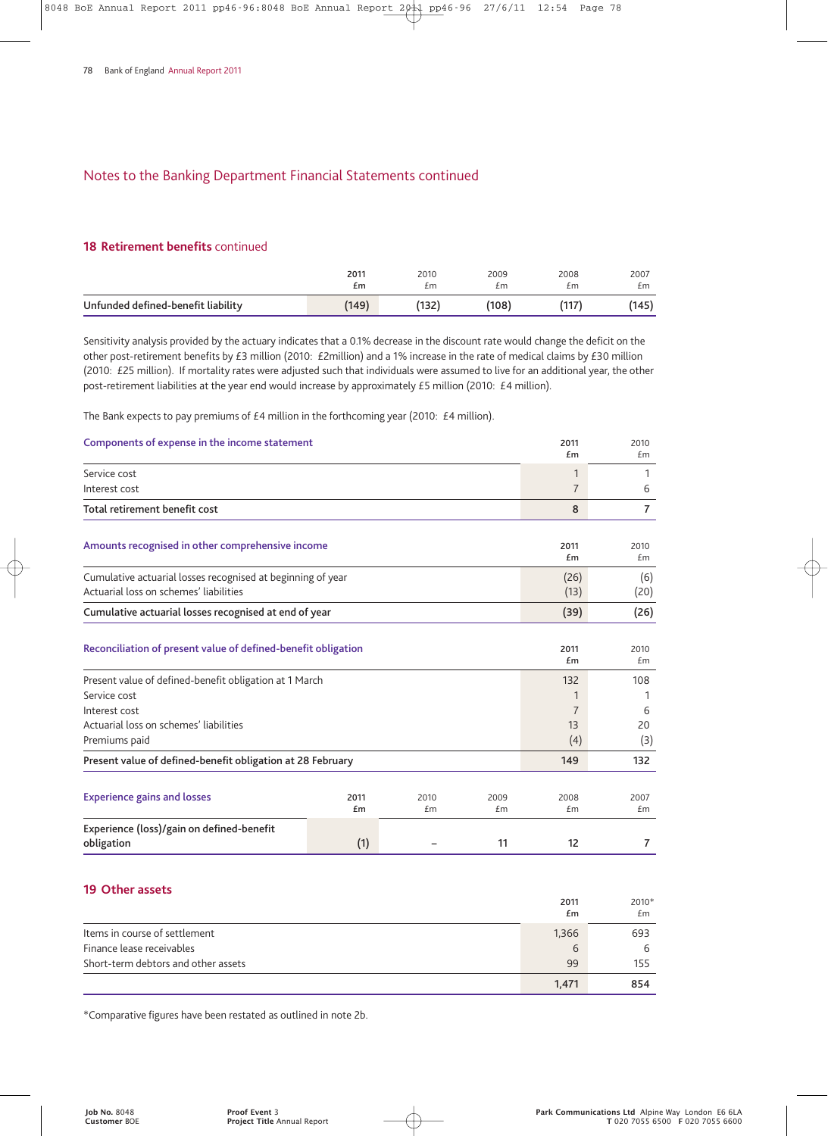#### **18 Retirement benefits** continued

|                                    | 2011  | 2010 | 2009  | 2008 | 2007  |
|------------------------------------|-------|------|-------|------|-------|
|                                    | £m    | £m   | £m    | £m   | £m    |
| Unfunded defined-benefit liability | (149) | 132  | (108) |      | (145) |

Sensitivity analysis provided by the actuary indicates that a 0.1% decrease in the discount rate would change the deficit on the other post-retirement benefits by £3 million (2010: £2million) and a 1% increase in the rate of medical claims by £30 million (2010: £25 million). If mortality rates were adjusted such that individuals were assumed to live for an additional year, the other post-retirement liabilities at the year end would increase by approximately £5 million (2010: £4 million).

The Bank expects to pay premiums of £4 million in the forthcoming year (2010: £4 million).

| Components of expense in the income statement                                                                           |            |            |                                  | 2011<br>£m          | 2010<br>£m        |
|-------------------------------------------------------------------------------------------------------------------------|------------|------------|----------------------------------|---------------------|-------------------|
| Service cost                                                                                                            |            |            |                                  | 1                   | 1                 |
| Interest cost                                                                                                           |            |            |                                  | $\overline{7}$      | 6                 |
| <b>Total retirement benefit cost</b>                                                                                    |            |            |                                  | 8                   | $\overline{7}$    |
| Amounts recognised in other comprehensive income                                                                        |            |            | 2011<br>Em                       | 2010<br>Em          |                   |
| Cumulative actuarial losses recognised at beginning of year<br>Actuarial loss on schemes' liabilities                   |            |            |                                  | (26)<br>(13)        | (6)<br>(20)       |
| Cumulative actuarial losses recognised at end of year                                                                   |            |            |                                  | (39)                | (26)              |
| Reconciliation of present value of defined-benefit obligation<br>Present value of defined-benefit obligation at 1 March |            |            |                                  | 2011<br>£m<br>132   | 2010<br>Em<br>108 |
| Service cost<br>Interest cost<br>Actuarial loss on schemes' liabilities<br>Premiums paid                                |            |            | 1<br>$\overline{7}$<br>13<br>(4) | 1<br>6<br>20<br>(3) |                   |
| Present value of defined-benefit obligation at 28 February                                                              |            |            |                                  | 149                 | 132               |
| <b>Experience gains and losses</b>                                                                                      | 2011<br>£m | 2010<br>£m | 2009<br>£m                       | 2008<br>£m          | 2007<br>Em        |
| Experience (loss)/gain on defined-benefit<br>obligation                                                                 | (1)        |            | 11                               | 12                  | 7                 |

## **19 Other assets**

|                                     | 2011<br>£m | 2010*<br>£m |
|-------------------------------------|------------|-------------|
| Items in course of settlement       | 1,366      | 693         |
| Finance lease receivables           | 6          | 6           |
| Short-term debtors and other assets | 99         | 155         |
|                                     | 1.471      | 854         |

\*Comparative figures have been restated as outlined in note 2b.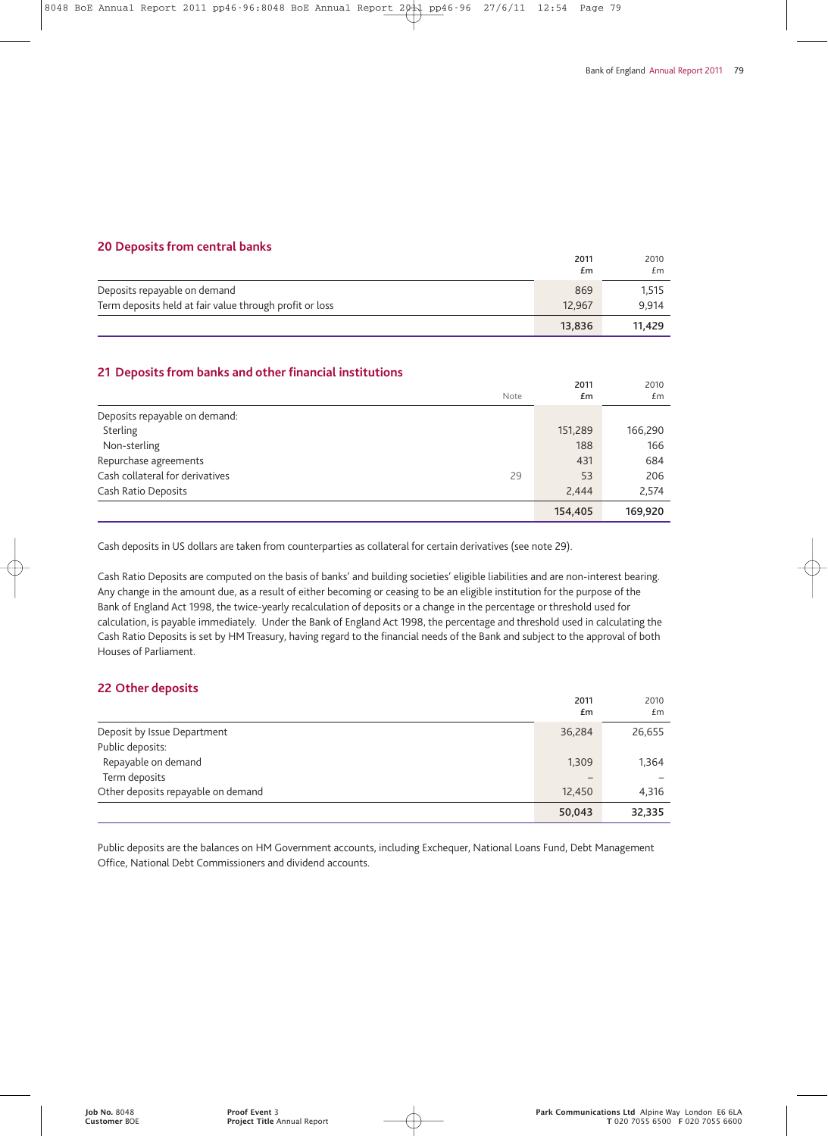#### **20 Deposits from central banks**

|                                                         | 2011<br>£m | 2010<br>£m |
|---------------------------------------------------------|------------|------------|
| Deposits repayable on demand                            | 869        | 1,515      |
| Term deposits held at fair value through profit or loss | 12.967     | 9.914      |
|                                                         | 13,836     | 11.429     |

## **21 Deposits from banks and other financial institutions**

|                                 | Note | 2011<br>£m | 2010<br>£m |
|---------------------------------|------|------------|------------|
| Deposits repayable on demand:   |      |            |            |
| Sterling                        |      | 151,289    | 166,290    |
| Non-sterling                    |      | 188        | 166        |
| Repurchase agreements           |      | 431        | 684        |
| Cash collateral for derivatives | 29   | 53         | 206        |
| Cash Ratio Deposits             |      | 2,444      | 2.574      |
|                                 |      | 154,405    | 169,920    |

Cash deposits in US dollars are taken from counterparties as collateral for certain derivatives (see note 29).

Cash Ratio Deposits are computed on the basis of banks' and building societies' eligible liabilities and are non-interest bearing. Any change in the amount due, as a result of either becoming or ceasing to be an eligible institution for the purpose of the Bank of England Act 1998, the twice-yearly recalculation of deposits or a change in the percentage or threshold used for calculation, is payable immediately. Under the Bank of England Act 1998, the percentage and threshold used in calculating the Cash Ratio Deposits is set by HM Treasury, having regard to the financial needs of the Bank and subject to the approval of both Houses of Parliament.

## **22 Other deposits**

|                                    | 2011<br>£m        | 2010<br>£m |
|------------------------------------|-------------------|------------|
| Deposit by Issue Department        | 36,284            | 26,655     |
| Public deposits:                   |                   |            |
| Repayable on demand                | 1,309             | 1.364      |
| Term deposits                      | $\qquad \qquad -$ |            |
| Other deposits repayable on demand | 12,450            | 4,316      |
|                                    | 50,043            | 32,335     |

Public deposits are the balances on HM Government accounts, including Exchequer, National Loans Fund, Debt Management Office, National Debt Commissioners and dividend accounts.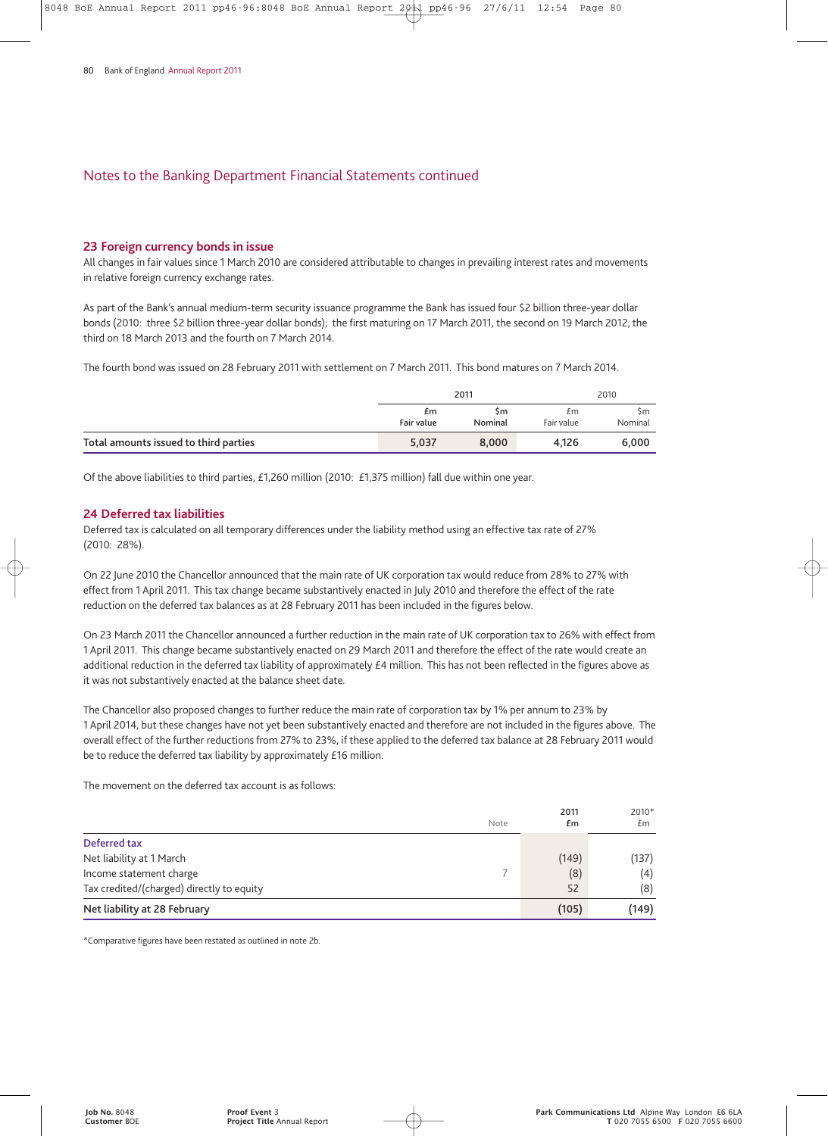#### **23 Foreign currency bonds in issue**

All changes in fair values since 1 March 2010 are considered attributable to changes in prevailing interest rates and movements in relative foreign currency exchange rates.

As part of the Bank's annual medium-term security issuance programme the Bank has issued four \$2 billion three-year dollar bonds (2010: three \$2 billion three-year dollar bonds); the first maturing on 17 March 2011, the second on 19 March 2012, the third on 18 March 2013 and the fourth on 7 March 2014.

The fourth bond was issued on 28 February 2011 with settlement on 7 March 2011. This bond matures on 7 March 2014.

|                                       | 2011             |               | 2010             |               |
|---------------------------------------|------------------|---------------|------------------|---------------|
|                                       | £m<br>Fair value | Sm<br>Nominal | £m<br>Fair value | Sm<br>Nominal |
| Total amounts issued to third parties | 5,037            | 8.000         | 4.126            | 6.000         |

Of the above liabilities to third parties, £1,260 million (2010: £1,375 million) fall due within one year.

#### **24 Deferred tax liabilities**

Deferred tax is calculated on all temporary differences under the liability method using an effective tax rate of 27% (2010: 28%).

On 22 June 2010 the Chancellor announced that the main rate of UK corporation tax would reduce from 28% to 27% with effect from 1 April 2011. This tax change became substantively enacted in July 2010 and therefore the effect of the rate reduction on the deferred tax balances as at 28 February 2011 has been included in the figures below.

On 23 March 2011 the Chancellor announced a further reduction in the main rate of UK corporation tax to 26% with effect from 1 April 2011. This change became substantively enacted on 29 March 2011 and therefore the effect of the rate would create an additional reduction in the deferred tax liability of approximately £4 million. This has not been reflected in the figures above as it was not substantively enacted at the balance sheet date.

The Chancellor also proposed changes to further reduce the main rate of corporation tax by 1% per annum to 23% by 1 April 2014, but these changes have not yet been substantively enacted and therefore are not included in the figures above. The overall effect of the further reductions from 27% to 23%, if these applied to the deferred tax balance at 28 February 2011 would be to reduce the deferred tax liability by approximately £16 million.

The movement on the deferred tax account is as follows:

|                                           | Note | 2011<br>£m | 2010*<br>£m |
|-------------------------------------------|------|------------|-------------|
| Deferred tax                              |      |            |             |
| Net liability at 1 March                  |      | (149)      | (137)       |
| Income statement charge                   |      | (8)        | (4)         |
| Tax credited/(charged) directly to equity |      | 52         | (8)         |
| Net liability at 28 February              |      | (105)      | (149)       |

\*Comparative figures have been restated as outlined in note 2b.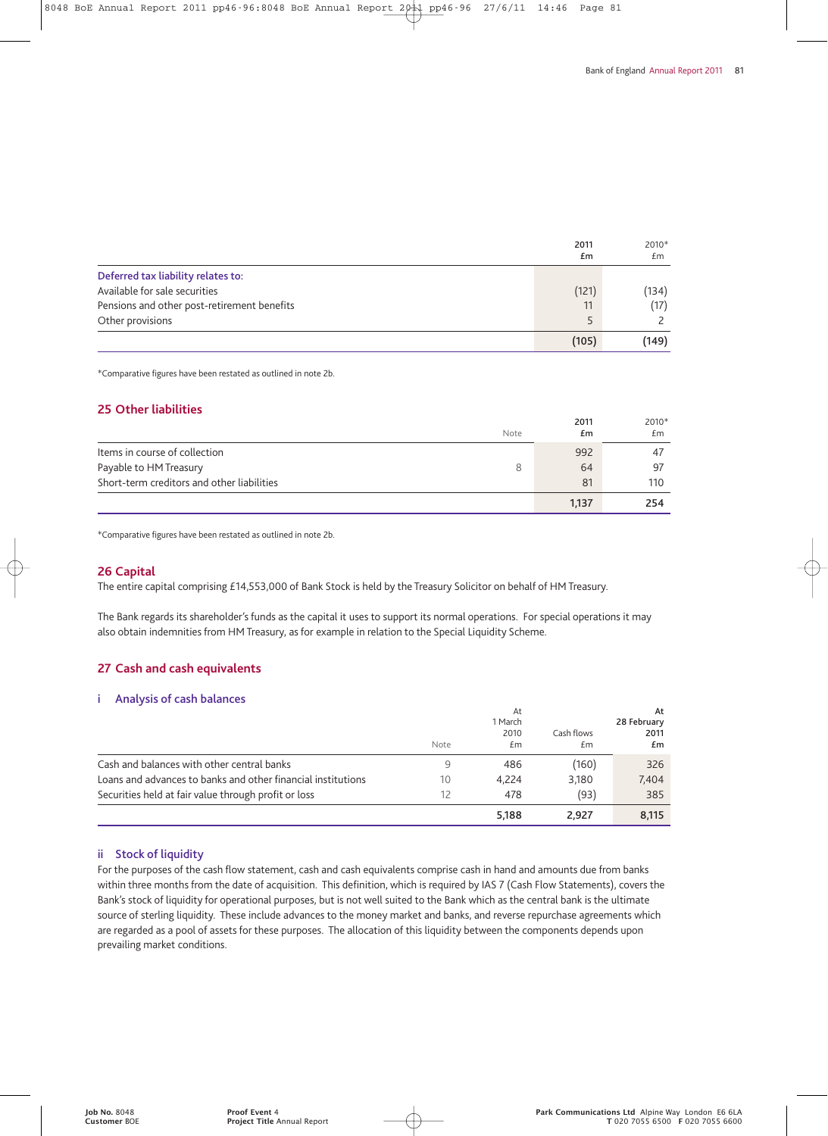|                                             | 2011<br>£m | 2010*<br>£m |
|---------------------------------------------|------------|-------------|
| Deferred tax liability relates to:          |            |             |
| Available for sale securities               | (121)      | (134)       |
| Pensions and other post-retirement benefits | 11         | (17)        |
| Other provisions                            | ς          |             |
|                                             | (105)      | (149)       |

\*Comparative figures have been restated as outlined in note 2b.

#### **25 Other liabilities**

|                                            | Note | 2011<br>£m | 2010*<br>£m |
|--------------------------------------------|------|------------|-------------|
| Items in course of collection              |      | 992        | 47          |
| Payable to HM Treasury                     |      | 64         | -97         |
| Short-term creditors and other liabilities |      | 81         | 110         |
|                                            |      | 1,137      | 254         |

\*Comparative figures have been restated as outlined in note 2b.

#### **26 Capital**

The entire capital comprising £14,553,000 of Bank Stock is held by the Treasury Solicitor on behalf of HM Treasury.

The Bank regards its shareholder's funds as the capital it uses to support its normal operations. For special operations it may also obtain indemnities from HM Treasury, as for example in relation to the Special Liquidity Scheme.

## **27 Cash and cash equivalents**

#### **i Analysis of cash balances**

|                                                              | Note | At<br>1 March<br>2010<br>£m | Cash flows<br>£m | At<br>28 February<br>2011<br>£m |
|--------------------------------------------------------------|------|-----------------------------|------------------|---------------------------------|
| Cash and balances with other central banks                   | 9    | 486                         | (160)            | 326                             |
| Loans and advances to banks and other financial institutions | 10   | 4,224                       | 3,180            | 7,404                           |
| Securities held at fair value through profit or loss         | 12   | 478                         | (93)             | 385                             |
|                                                              |      | 5,188                       | 2.927            | 8,115                           |

#### **ii Stock of liquidity**

For the purposes of the cash flow statement, cash and cash equivalents comprise cash in hand and amounts due from banks within three months from the date of acquisition. This definition, which is required by IAS 7 (Cash Flow Statements), covers the Bank's stock of liquidity for operational purposes, but is not well suited to the Bank which as the central bank is the ultimate source of sterling liquidity. These include advances to the money market and banks, and reverse repurchase agreements which are regarded as a pool of assets for these purposes. The allocation of this liquidity between the components depends upon prevailing market conditions.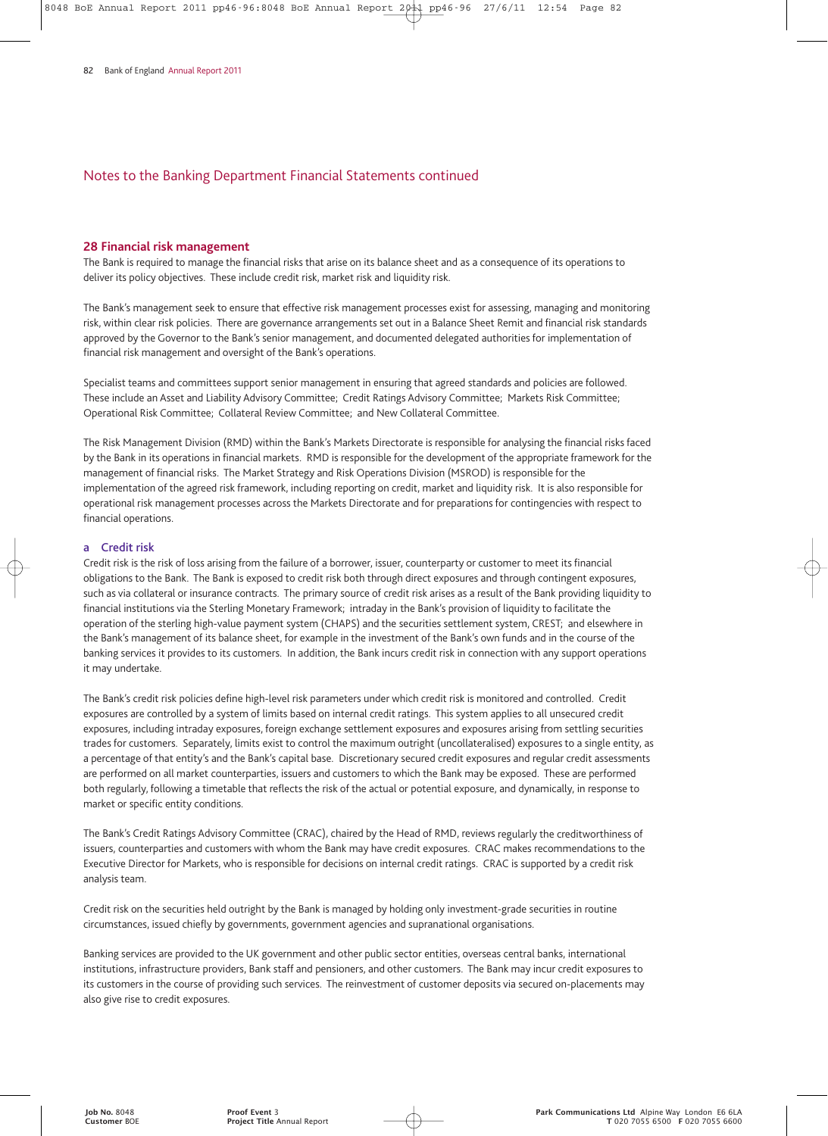#### **28 Financial risk management**

The Bank is required to manage the financial risks that arise on its balance sheet and as a consequence of its operations to deliver its policy objectives. These include credit risk, market risk and liquidity risk.

The Bank's management seek to ensure that effective risk management processes exist for assessing, managing and monitoring risk, within clear risk policies. There are governance arrangements set out in a Balance Sheet Remit and financial risk standards approved by the Governor to the Bank's senior management, and documented delegated authorities for implementation of financial risk management and oversight of the Bank's operations.

Specialist teams and committees support senior management in ensuring that agreed standards and policies are followed. These include an Asset and Liability Advisory Committee; Credit Ratings Advisory Committee; Markets Risk Committee; Operational Risk Committee; Collateral Review Committee; and New Collateral Committee.

The Risk Management Division (RMD) within the Bank's Markets Directorate is responsible for analysing the financial risks faced by the Bank in its operations in financial markets. RMD is responsible for the development of the appropriate framework for the management of financial risks. The Market Strategy and Risk Operations Division (MSROD) is responsible for the implementation of the agreed risk framework, including reporting on credit, market and liquidity risk. It is also responsible for operational risk management processes across the Markets Directorate and for preparations for contingencies with respect to financial operations.

#### **a Credit risk**

Credit risk is the risk of loss arising from the failure of a borrower, issuer, counterparty or customer to meet its financial obligations to the Bank. The Bank is exposed to credit risk both through direct exposures and through contingent exposures, such as via collateral or insurance contracts. The primary source of credit risk arises as a result of the Bank providing liquidity to financial institutions via the Sterling Monetary Framework; intraday in the Bank's provision of liquidity to facilitate the operation of the sterling high-value payment system (CHAPS) and the securities settlement system, CREST; and elsewhere in the Bank's management of its balance sheet, for example in the investment of the Bank's own funds and in the course of the banking services it provides to its customers. In addition, the Bank incurs credit risk in connection with any support operations it may undertake.

The Bank's credit risk policies define high-level risk parameters under which credit risk is monitored and controlled. Credit exposures are controlled by a system of limits based on internal credit ratings. This system applies to all unsecured credit exposures, including intraday exposures, foreign exchange settlement exposures and exposures arising from settling securities trades for customers. Separately, limits exist to control the maximum outright (uncollateralised) exposures to a single entity, as a percentage of that entity's and the Bank's capital base. Discretionary secured credit exposures and regular credit assessments are performed on all market counterparties, issuers and customers to which the Bank may be exposed. These are performed both regularly, following a timetable that reflects the risk of the actual or potential exposure, and dynamically, in response to market or specific entity conditions.

The Bank's Credit Ratings Advisory Committee (CRAC), chaired by the Head of RMD, reviews regularly the creditworthiness of issuers, counterparties and customers with whom the Bank may have credit exposures. CRAC makes recommendations to the Executive Director for Markets, who is responsible for decisions on internal credit ratings. CRAC is supported by a credit risk analysis team.

Credit risk on the securities held outright by the Bank is managed by holding only investment-grade securities in routine circumstances, issued chiefly by governments, government agencies and supranational organisations.

Banking services are provided to the UK government and other public sector entities, overseas central banks, international institutions, infrastructure providers, Bank staff and pensioners, and other customers. The Bank may incur credit exposures to its customers in the course of providing such services. The reinvestment of customer deposits via secured on-placements may also give rise to credit exposures.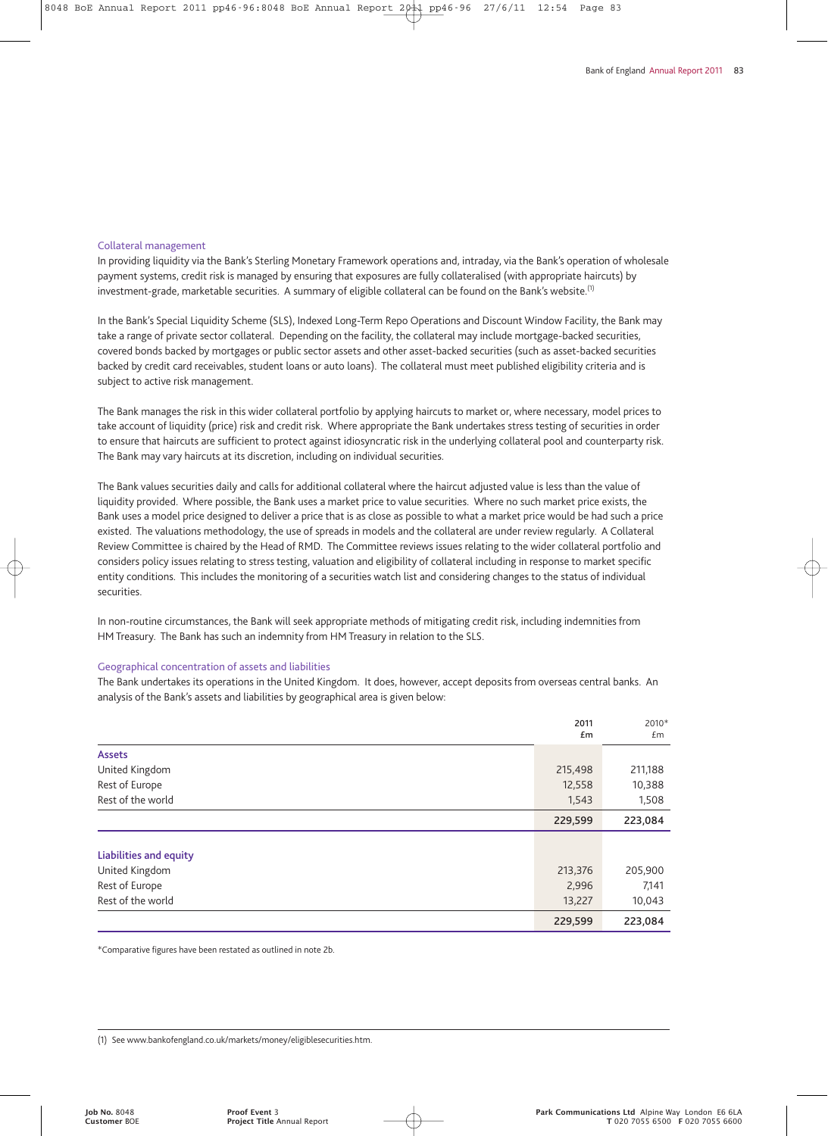#### Collateral management

In providing liquidity via the Bank's Sterling Monetary Framework operations and, intraday, via the Bank's operation of wholesale payment systems, credit risk is managed by ensuring that exposures are fully collateralised (with appropriate haircuts) by investment-grade, marketable securities. A summary of eligible collateral can be found on the Bank's website.<sup>(1)</sup>

In the Bank's Special Liquidity Scheme (SLS), Indexed Long-Term Repo Operations and Discount Window Facility, the Bank may take a range of private sector collateral. Depending on the facility, the collateral may include mortgage-backed securities, covered bonds backed by mortgages or public sector assets and other asset-backed securities (such as asset-backed securities backed by credit card receivables, student loans or auto loans). The collateral must meet published eligibility criteria and is subject to active risk management.

The Bank manages the risk in this wider collateral portfolio by applying haircuts to market or, where necessary, model prices to take account of liquidity (price) risk and credit risk. Where appropriate the Bank undertakes stress testing of securities in order to ensure that haircuts are sufficient to protect against idiosyncratic risk in the underlying collateral pool and counterparty risk. The Bank may vary haircuts at its discretion, including on individual securities.

The Bank values securities daily and calls for additional collateral where the haircut adjusted value is less than the value of liquidity provided. Where possible, the Bank uses a market price to value securities. Where no such market price exists, the Bank uses a model price designed to deliver a price that is as close as possible to what a market price would be had such a price existed. The valuations methodology, the use of spreads in models and the collateral are under review regularly. A Collateral Review Committee is chaired by the Head of RMD. The Committee reviews issues relating to the wider collateral portfolio and considers policy issues relating to stress testing, valuation and eligibility of collateral including in response to market specific entity conditions. This includes the monitoring of a securities watch list and considering changes to the status of individual securities.

In non-routine circumstances, the Bank will seek appropriate methods of mitigating credit risk, including indemnities from HM Treasury. The Bank has such an indemnity from HM Treasury in relation to the SLS.

#### Geographical concentration of assets and liabilities

The Bank undertakes its operations in the United Kingdom. It does, however, accept deposits from overseas central banks. An analysis of the Bank's assets and liabilities by geographical area is given below:

|                        | 2011<br>Em | 2010*<br>Em |
|------------------------|------------|-------------|
| <b>Assets</b>          |            |             |
| United Kingdom         | 215,498    | 211,188     |
| Rest of Europe         | 12,558     | 10,388      |
| Rest of the world      | 1,543      | 1,508       |
|                        | 229,599    | 223,084     |
|                        |            |             |
| Liabilities and equity |            |             |
| United Kingdom         | 213,376    | 205,900     |
| Rest of Europe         | 2,996      | 7,141       |
| Rest of the world      | 13,227     | 10,043      |
|                        | 229,599    | 223,084     |

\*Comparative figures have been restated as outlined in note 2b.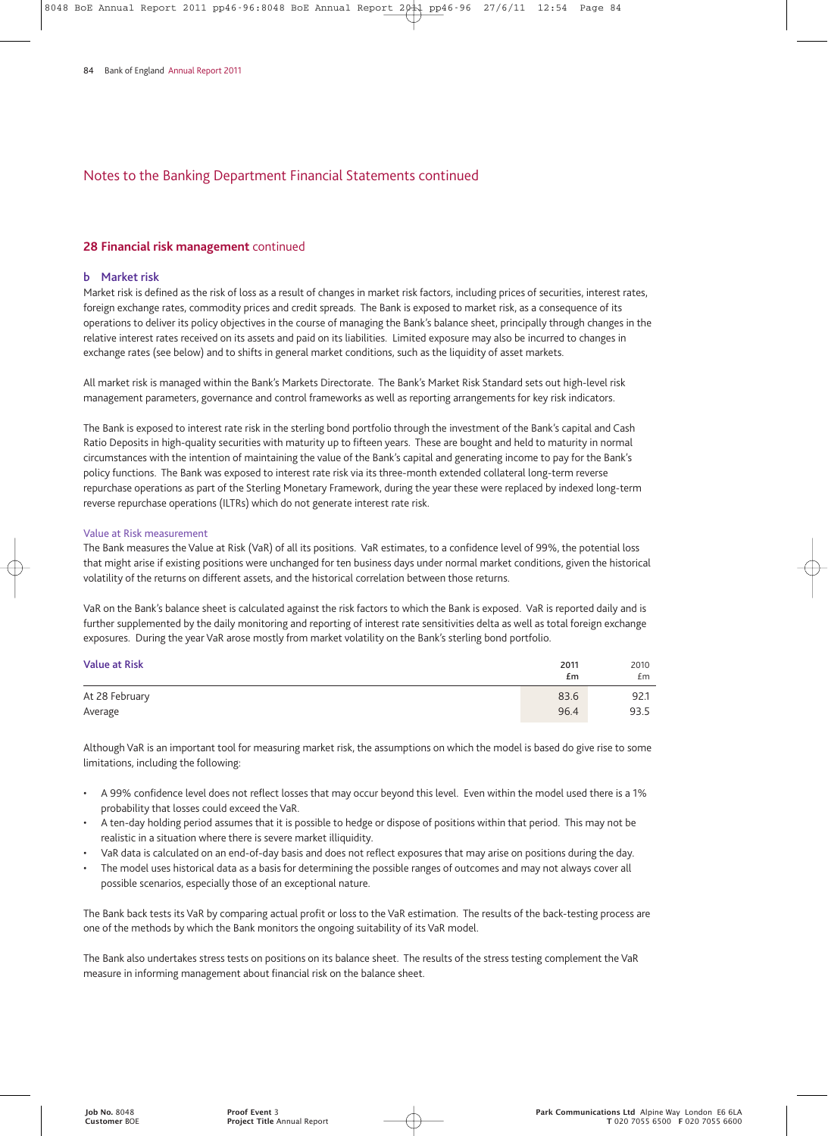#### **28 Financial risk management** continued

#### **b Market risk**

Market risk is defined as the risk of loss as a result of changes in market risk factors, including prices of securities, interest rates, foreign exchange rates, commodity prices and credit spreads. The Bank is exposed to market risk, as a consequence of its operations to deliver its policy objectives in the course of managing the Bank's balance sheet, principally through changes in the relative interest rates received on its assets and paid on its liabilities. Limited exposure may also be incurred to changes in exchange rates (see below) and to shifts in general market conditions, such as the liquidity of asset markets.

All market risk is managed within the Bank's Markets Directorate. The Bank's Market Risk Standard sets out high-level risk management parameters, governance and control frameworks as well as reporting arrangements for key risk indicators.

The Bank is exposed to interest rate risk in the sterling bond portfolio through the investment of the Bank's capital and Cash Ratio Deposits in high-quality securities with maturity up to fifteen years. These are bought and held to maturity in normal circumstances with the intention of maintaining the value of the Bank's capital and generating income to pay for the Bank's policy functions. The Bank was exposed to interest rate risk via its three-month extended collateral long-term reverse repurchase operations as part of the Sterling Monetary Framework, during the year these were replaced by indexed long-term reverse repurchase operations (ILTRs) which do not generate interest rate risk.

#### Value at Risk measurement

The Bank measures the Value at Risk (VaR) of all its positions. VaR estimates, to a confidence level of 99%, the potential loss that might arise if existing positions were unchanged for ten business days under normal market conditions, given the historical volatility of the returns on different assets, and the historical correlation between those returns.

VaR on the Bank's balance sheet is calculated against the risk factors to which the Bank is exposed. VaR is reported daily and is further supplemented by the daily monitoring and reporting of interest rate sensitivities delta as well as total foreign exchange exposures. During the year VaR arose mostly from market volatility on the Bank's sterling bond portfolio.

| <b>Value at Risk</b> | 2011<br>£m | 2010<br>£m |
|----------------------|------------|------------|
| At 28 February       | 83.6       | 92.1       |
| Average              | 96.4       | 93.5       |

Although VaR is an important tool for measuring market risk, the assumptions on which the model is based do give rise to some limitations, including the following:

- A 99% confidence level does not reflect losses that may occur beyond this level. Even within the model used there is a 1% probability that losses could exceed the VaR.
- A ten-day holding period assumes that it is possible to hedge or dispose of positions within that period. This may not be realistic in a situation where there is severe market illiquidity.
- VaR data is calculated on an end-of-day basis and does not reflect exposures that may arise on positions during the day.
- The model uses historical data as a basis for determining the possible ranges of outcomes and may not always cover all possible scenarios, especially those of an exceptional nature.

The Bank back tests its VaR by comparing actual profit or loss to the VaR estimation. The results of the back-testing process are one of the methods by which the Bank monitors the ongoing suitability of its VaR model.

The Bank also undertakes stress tests on positions on its balance sheet. The results of the stress testing complement the VaR measure in informing management about financial risk on the balance sheet.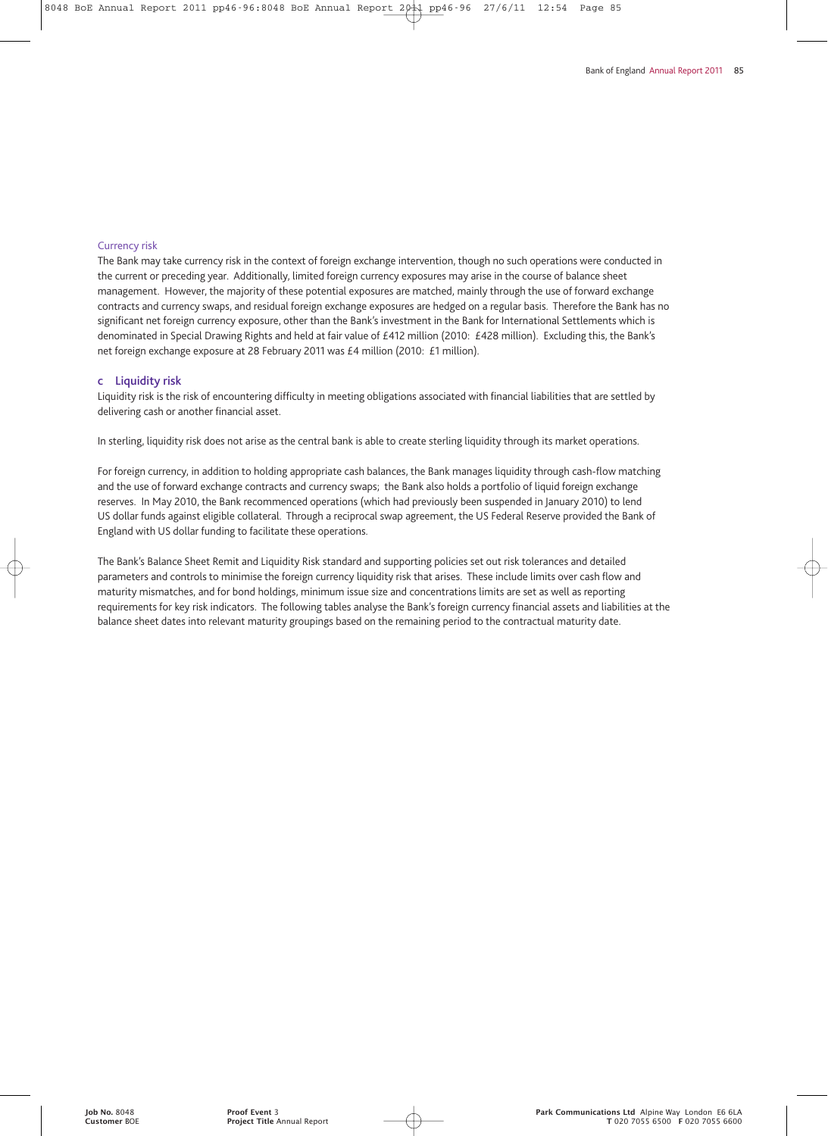#### Currency risk

The Bank may take currency risk in the context of foreign exchange intervention, though no such operations were conducted in the current or preceding year. Additionally, limited foreign currency exposures may arise in the course of balance sheet management. However, the majority of these potential exposures are matched, mainly through the use of forward exchange contracts and currency swaps, and residual foreign exchange exposures are hedged on a regular basis. Therefore the Bank has no significant net foreign currency exposure, other than the Bank's investment in the Bank for International Settlements which is denominated in Special Drawing Rights and held at fair value of £412 million (2010: £428 million). Excluding this, the Bank's net foreign exchange exposure at 28 February 2011 was £4 million (2010: £1 million).

#### **c Liquidity risk**

Liquidity risk is the risk of encountering difficulty in meeting obligations associated with financial liabilities that are settled by delivering cash or another financial asset.

In sterling, liquidity risk does not arise as the central bank is able to create sterling liquidity through its market operations.

For foreign currency, in addition to holding appropriate cash balances, the Bank manages liquidity through cash-flow matching and the use of forward exchange contracts and currency swaps; the Bank also holds a portfolio of liquid foreign exchange reserves. In May 2010, the Bank recommenced operations (which had previously been suspended in January 2010) to lend US dollar funds against eligible collateral. Through a reciprocal swap agreement, the US Federal Reserve provided the Bank of England with US dollar funding to facilitate these operations.

The Bank's Balance Sheet Remit and Liquidity Risk standard and supporting policies set out risk tolerances and detailed parameters and controls to minimise the foreign currency liquidity risk that arises. These include limits over cash flow and maturity mismatches, and for bond holdings, minimum issue size and concentrations limits are set as well as reporting requirements for key risk indicators. The following tables analyse the Bank's foreign currency financial assets and liabilities at the balance sheet dates into relevant maturity groupings based on the remaining period to the contractual maturity date.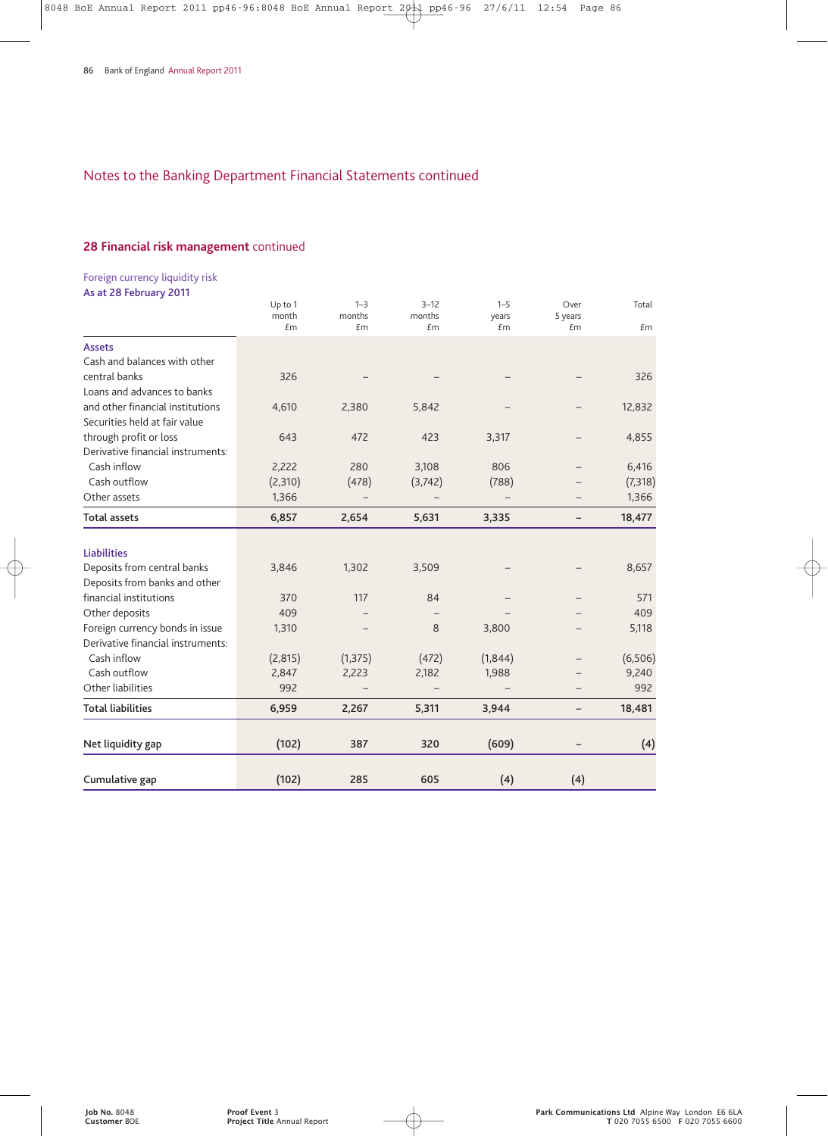## **28 Financial risk management** continued

Foreign currency liquidity risk **As at 28 February 2011**

|                                   | Up to 1<br>month | $1 - 3$<br>months | $3 - 12$<br>months | $1 - 5$<br>years | Over<br>5 years | Total   |
|-----------------------------------|------------------|-------------------|--------------------|------------------|-----------------|---------|
|                                   | £m               | £m                | £m                 | £m               | £m              | £m      |
| <b>Assets</b>                     |                  |                   |                    |                  |                 |         |
| Cash and balances with other      |                  |                   |                    |                  |                 |         |
| central banks                     | 326              |                   |                    |                  |                 | 326     |
| Loans and advances to banks       |                  |                   |                    |                  |                 |         |
| and other financial institutions  | 4,610            | 2,380             | 5,842              |                  |                 | 12,832  |
| Securities held at fair value     |                  |                   |                    |                  |                 |         |
| through profit or loss            | 643              | 472               | 423                | 3,317            |                 | 4,855   |
| Derivative financial instruments: |                  |                   |                    |                  |                 |         |
| Cash inflow                       | 2,222            | 280               | 3,108              | 806              |                 | 6,416   |
| Cash outflow                      | (2,310)          | (478)             | (3, 742)           | (788)            |                 | (7,318) |
| Other assets                      | 1,366            |                   |                    |                  |                 | 1,366   |
| <b>Total assets</b>               | 6,857            | 2,654             | 5,631              | 3,335            | -               | 18,477  |
|                                   |                  |                   |                    |                  |                 |         |
| <b>Liabilities</b>                |                  |                   |                    |                  |                 |         |
| Deposits from central banks       | 3,846            | 1,302             | 3,509              |                  |                 | 8,657   |
| Deposits from banks and other     |                  |                   |                    |                  |                 |         |
| financial institutions            | 370              | 117               | 84                 |                  |                 | 571     |
| Other deposits                    | 409              |                   |                    |                  |                 | 409     |
| Foreign currency bonds in issue   | 1,310            |                   | 8                  | 3,800            |                 | 5,118   |
| Derivative financial instruments: |                  |                   |                    |                  |                 |         |
| Cash inflow                       | (2,815)          | (1, 375)          | (472)              | (1,844)          |                 | (6,506) |
| Cash outflow                      | 2,847            | 2,223             | 2,182              | 1,988            |                 | 9,240   |
| Other liabilities                 | 992              |                   |                    |                  |                 | 992     |
| <b>Total liabilities</b>          | 6,959            | 2,267             | 5,311              | 3,944            | -               | 18,481  |
| Net liquidity gap                 | (102)            | 387               | 320                | (609)            |                 | (4)     |
|                                   |                  |                   |                    |                  |                 |         |
| Cumulative gap                    | (102)            | 285               | 605                | (4)              | (4)             |         |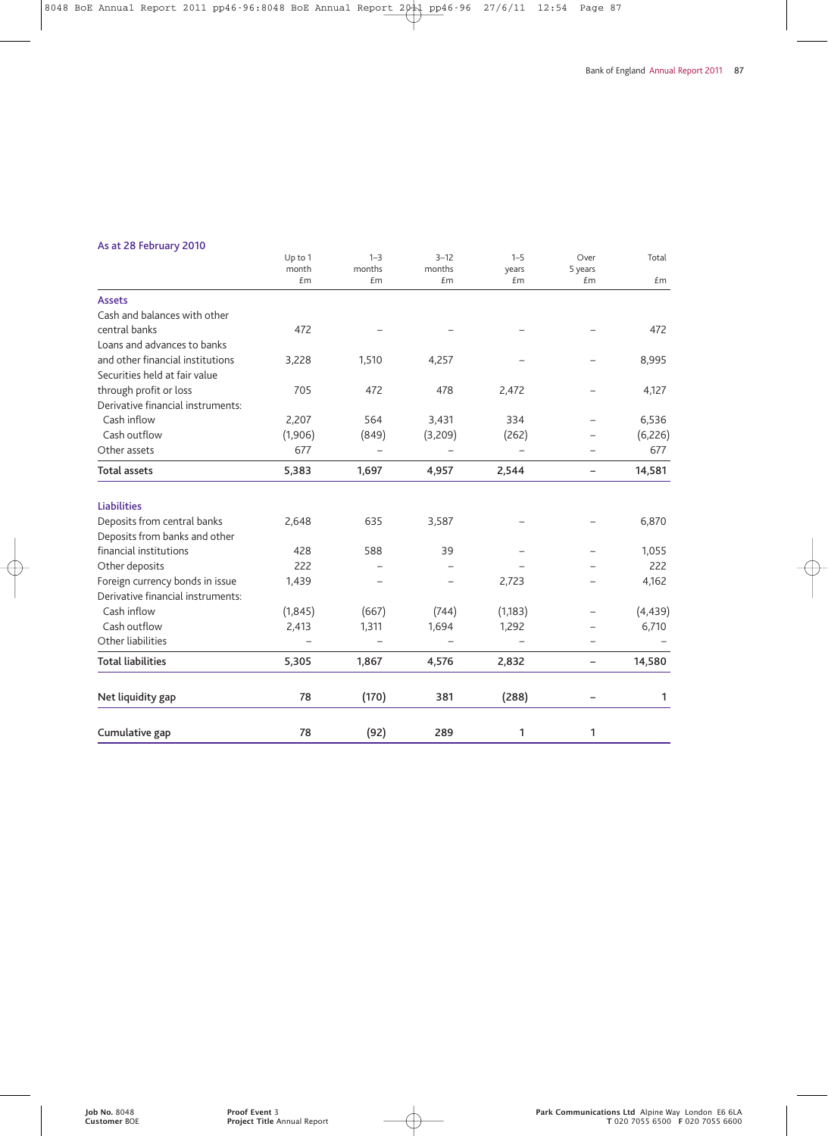## **As at 28 February 2010**

|                                   | Up to 1<br>month | $1 - 3$<br>months | $3 - 12$<br>months | $1 - 5$<br>years | Over<br>5 years   | Total    |
|-----------------------------------|------------------|-------------------|--------------------|------------------|-------------------|----------|
|                                   | £m               | £m                | £m                 | £m               | £m                | £m       |
| <b>Assets</b>                     |                  |                   |                    |                  |                   |          |
| Cash and balances with other      |                  |                   |                    |                  |                   |          |
| central banks                     | 472              |                   |                    |                  |                   | 472      |
| Loans and advances to banks       |                  |                   |                    |                  |                   |          |
| and other financial institutions  | 3,228            | 1,510             | 4,257              |                  |                   | 8,995    |
| Securities held at fair value     |                  |                   |                    |                  |                   |          |
| through profit or loss            | 705              | 472               | 478                | 2,472            |                   | 4,127    |
| Derivative financial instruments: |                  |                   |                    |                  |                   |          |
| Cash inflow                       | 2,207            | 564               | 3,431              | 334              |                   | 6,536    |
| Cash outflow                      | (1,906)          | (849)             | (3,209)            | (262)            |                   | (6, 226) |
| Other assets                      | 677              |                   |                    |                  |                   | 677      |
| <b>Total assets</b>               | 5,383            | 1,697             | 4,957              | 2,544            | $\qquad \qquad -$ | 14,581   |
| <b>Liabilities</b>                |                  |                   |                    |                  |                   |          |
| Deposits from central banks       | 2,648            | 635               | 3,587              |                  |                   | 6,870    |
| Deposits from banks and other     |                  |                   |                    |                  |                   |          |
| financial institutions            | 428              | 588               | 39                 |                  |                   | 1,055    |
| Other deposits                    | 222              |                   |                    |                  |                   | 222      |
| Foreign currency bonds in issue   | 1,439            |                   |                    | 2,723            |                   | 4,162    |
| Derivative financial instruments: |                  |                   |                    |                  |                   |          |
| Cash inflow                       | (1, 845)         | (667)             | (744)              | (1, 183)         |                   | (4, 439) |
| Cash outflow                      | 2,413            | 1,311             | 1,694              | 1,292            |                   | 6,710    |
| Other liabilities                 |                  |                   |                    |                  |                   |          |
| <b>Total liabilities</b>          | 5,305            | 1,867             | 4,576              | 2,832            | $\qquad \qquad -$ | 14,580   |
| Net liquidity gap                 | 78               | (170)             | 381                | (288)            |                   | 1        |
| Cumulative gap                    | 78               | (92)              | 289                | 1                | 1                 |          |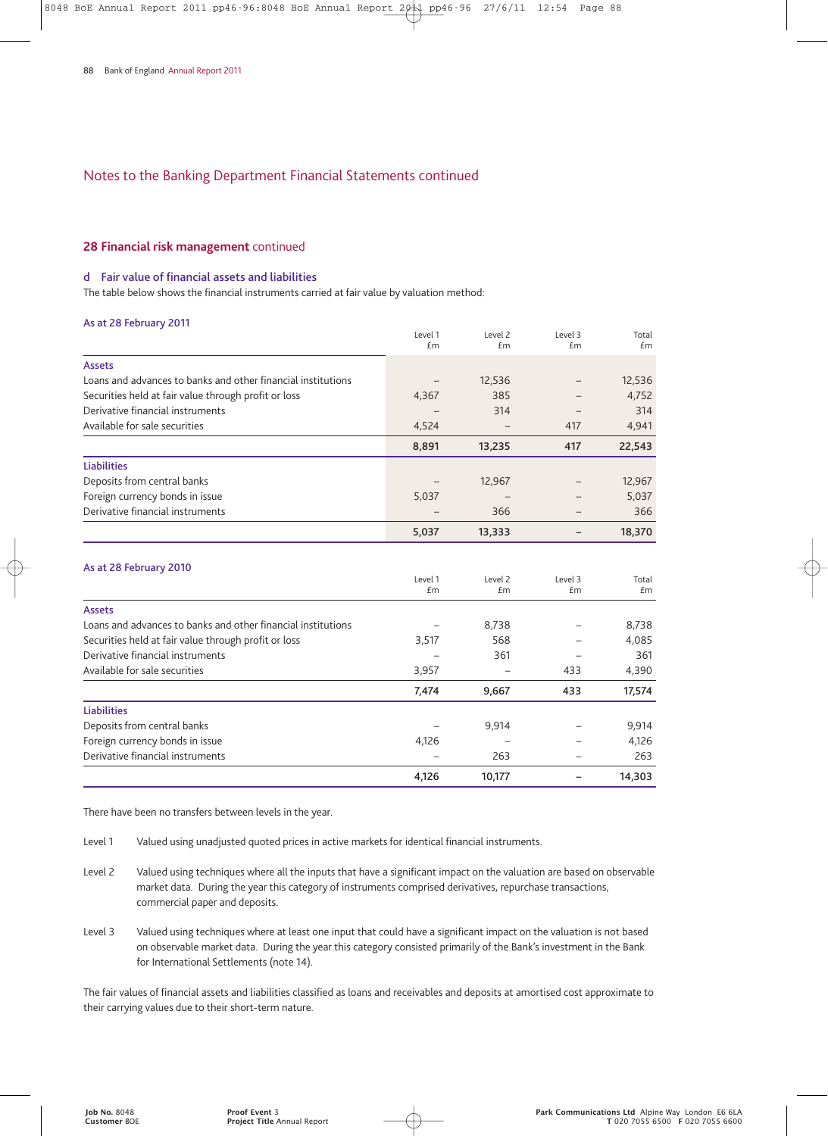#### **28 Financial risk management** continued

#### **d Fair value of financial assets and liabilities**

The table below shows the financial instruments carried at fair value by valuation method:

#### **As at 28 February 2011**

|                                                              | Level 1<br>£m | Level 2<br>£m | Level 3<br>Em | Total<br>£m |
|--------------------------------------------------------------|---------------|---------------|---------------|-------------|
| <b>Assets</b>                                                |               |               |               |             |
|                                                              |               |               |               |             |
| Loans and advances to banks and other financial institutions |               | 12,536        |               | 12,536      |
| Securities held at fair value through profit or loss         | 4,367         | 385           |               | 4,752       |
| Derivative financial instruments                             |               | 314           |               | 314         |
| Available for sale securities                                | 4,524         |               | 417           | 4,941       |
|                                                              | 8,891         | 13,235        | 417           | 22,543      |
| <b>Liabilities</b>                                           |               |               |               |             |
| Deposits from central banks                                  |               | 12,967        |               | 12,967      |
| Foreign currency bonds in issue                              | 5,037         |               |               | 5,037       |
| Derivative financial instruments                             |               | 366           |               | 366         |
|                                                              | 5,037         | 13,333        |               | 18,370      |
|                                                              |               |               |               |             |
| As at 28 February 2010                                       |               |               |               |             |
|                                                              | Level 1       | Level 2       | Level 3       | Total       |
|                                                              | £m            | £m            | £m            | Em          |
| <b>Assets</b>                                                |               |               |               |             |
| Loans and advances to banks and other financial institutions |               | 8,738         |               | 8,738       |
| Securities held at fair value through profit or loss         | 3,517         | 568           |               | 4,085       |
| Derivative financial instruments                             |               | 361           |               | 361         |

| Available for sale securities    | 3,957                    | -      | 433 | 4,390  |
|----------------------------------|--------------------------|--------|-----|--------|
|                                  | 7,474                    | 9.667  | 433 | 17.574 |
| <b>Liabilities</b>               |                          |        |     |        |
| Deposits from central banks      |                          | 9,914  |     | 9,914  |
| Foreign currency bonds in issue  | 4,126                    |        |     | 4,126  |
| Derivative financial instruments | $\overline{\phantom{0}}$ | 263    |     | 263    |
|                                  | 4,126                    | 10.177 |     | 14.303 |

There have been no transfers between levels in the year.

- Level 1 Valued using unadjusted quoted prices in active markets for identical financial instruments.
- Level 2 Valued using techniques where all the inputs that have a significant impact on the valuation are based on observable market data. During the year this category of instruments comprised derivatives, repurchase transactions, commercial paper and deposits.
- Level 3 Valued using techniques where at least one input that could have a significant impact on the valuation is not based on observable market data. During the year this category consisted primarily of the Bank's investment in the Bank for International Settlements (note 14).

The fair values of financial assets and liabilities classified as loans and receivables and deposits at amortised cost approximate to their carrying values due to their short-term nature.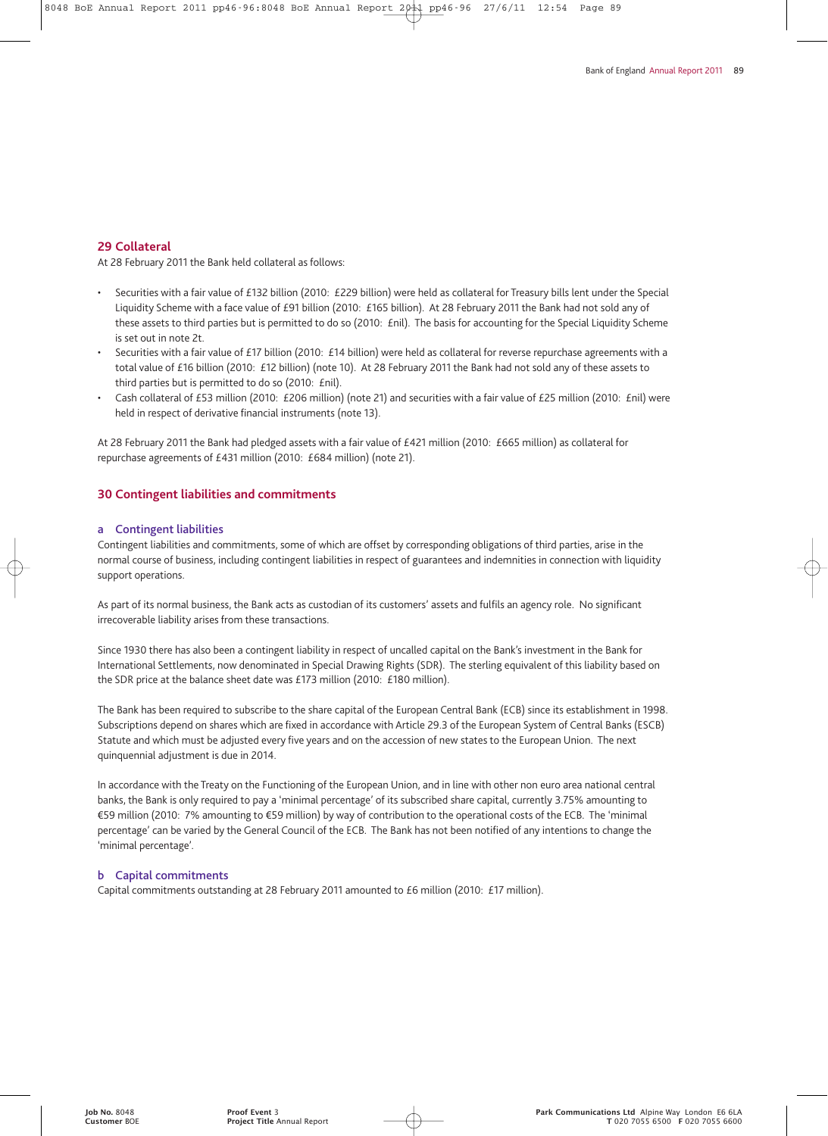#### **29 Collateral**

At 28 February 2011 the Bank held collateral as follows:

- Securities with a fair value of £132 billion (2010: £229 billion) were held as collateral for Treasury bills lent under the Special Liquidity Scheme with a face value of £91 billion (2010: £165 billion). At 28 February 2011 the Bank had not sold any of these assets to third parties but is permitted to do so (2010: £nil). The basis for accounting for the Special Liquidity Scheme is set out in note 2t.
- Securities with a fair value of £17 billion (2010: £14 billion) were held as collateral for reverse repurchase agreements with a total value of £16 billion (2010: £12 billion) (note 10). At 28 February 2011 the Bank had not sold any of these assets to third parties but is permitted to do so (2010: £nil).
- Cash collateral of £53 million (2010: £206 million) (note 21) and securities with a fair value of £25 million (2010: £nil) were held in respect of derivative financial instruments (note 13).

At 28 February 2011 the Bank had pledged assets with a fair value of £421 million (2010: £665 million) as collateral for repurchase agreements of £431 million (2010: £684 million) (note 21).

#### **30 Contingent liabilities and commitments**

#### **a Contingent liabilities**

Contingent liabilities and commitments, some of which are offset by corresponding obligations of third parties, arise in the normal course of business, including contingent liabilities in respect of guarantees and indemnities in connection with liquidity support operations.

As part of its normal business, the Bank acts as custodian of its customers' assets and fulfils an agency role. No significant irrecoverable liability arises from these transactions.

Since 1930 there has also been a contingent liability in respect of uncalled capital on the Bank's investment in the Bank for International Settlements, now denominated in Special Drawing Rights (SDR). The sterling equivalent of this liability based on the SDR price at the balance sheet date was £173 million (2010: £180 million).

The Bank has been required to subscribe to the share capital of the European Central Bank (ECB) since its establishment in 1998. Subscriptions depend on shares which are fixed in accordance with Article 29.3 of the European System of Central Banks (ESCB) Statute and which must be adjusted every five years and on the accession of new states to the European Union. The next quinquennial adjustment is due in 2014.

In accordance with the Treaty on the Functioning of the European Union, and in line with other non euro area national central banks, the Bank is only required to pay a 'minimal percentage' of its subscribed share capital, currently 3.75% amounting to €59 million (2010: 7% amounting to €59 million) by way of contribution to the operational costs of the ECB. The 'minimal percentage' can be varied by the General Council of the ECB. The Bank has not been notified of any intentions to change the 'minimal percentage'.

#### **b Capital commitments**

Capital commitments outstanding at 28 February 2011 amounted to  $E6$  million (2010: £17 million).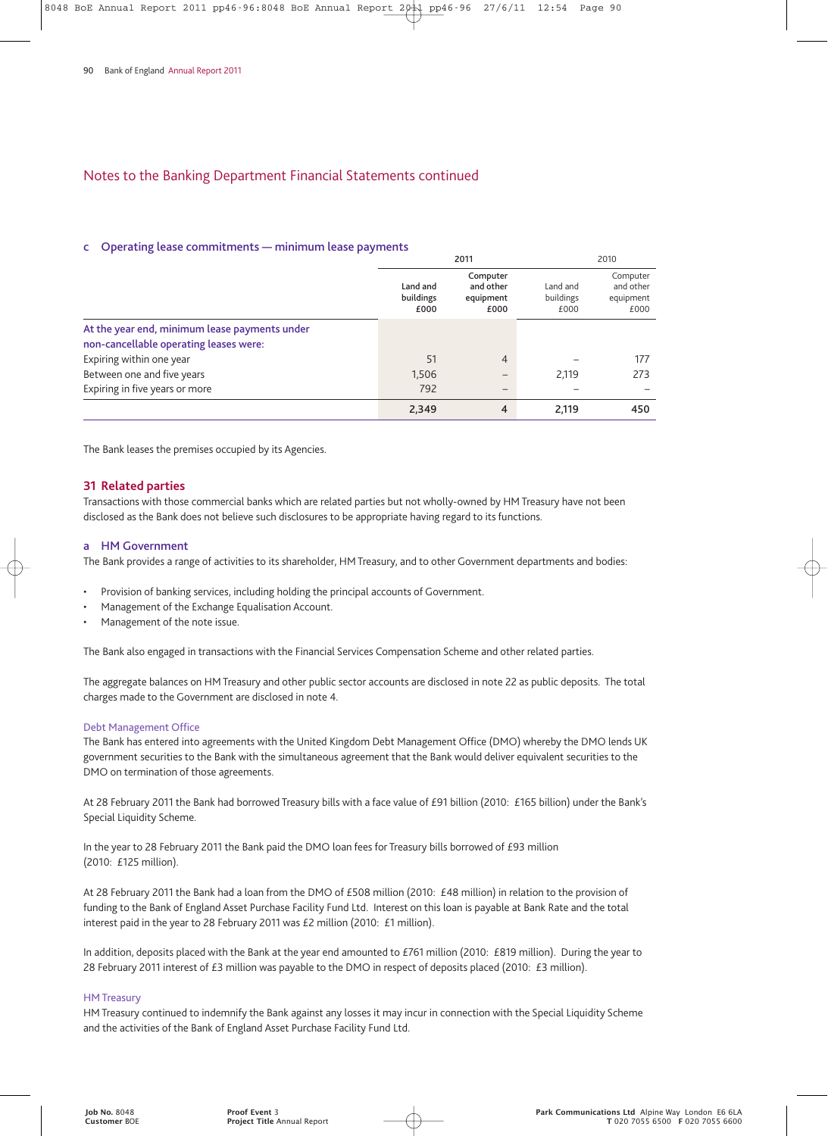#### **c Operating lease commitments — minimum lease payments**

|                                                                                         | 2011                          |                                            |                               | 2010                                       |  |
|-----------------------------------------------------------------------------------------|-------------------------------|--------------------------------------------|-------------------------------|--------------------------------------------|--|
|                                                                                         | Land and<br>buildings<br>£000 | Computer<br>and other<br>equipment<br>£000 | Land and<br>buildings<br>£000 | Computer<br>and other<br>equipment<br>£000 |  |
| At the year end, minimum lease payments under<br>non-cancellable operating leases were: |                               |                                            |                               |                                            |  |
| Expiring within one year                                                                | 51                            | 4                                          |                               | 177                                        |  |
| Between one and five years                                                              | 1,506                         | -                                          | 2.119                         | 273                                        |  |
| Expiring in five years or more                                                          | 792                           | -                                          |                               |                                            |  |
|                                                                                         | 2,349                         | 4                                          | 2,119                         | 450                                        |  |

The Bank leases the premises occupied by its Agencies.

#### **31 Related parties**

Transactions with those commercial banks which are related parties but not wholly-owned by HM Treasury have not been disclosed as the Bank does not believe such disclosures to be appropriate having regard to its functions.

#### **a HM Government**

The Bank provides a range of activities to its shareholder, HM Treasury, and to other Government departments and bodies:

- Provision of banking services, including holding the principal accounts of Government.
- Management of the Exchange Equalisation Account.
- Management of the note issue.

The Bank also engaged in transactions with the Financial Services Compensation Scheme and other related parties.

The aggregate balances on HM Treasury and other public sector accounts are disclosed in note 22 as public deposits. The total charges made to the Government are disclosed in note 4.

#### Debt Management Office

The Bank has entered into agreements with the United Kingdom Debt Management Office (DMO) whereby the DMO lends UK government securities to the Bank with the simultaneous agreement that the Bank would deliver equivalent securities to the DMO on termination of those agreements.

At 28 February 2011 the Bank had borrowed Treasury bills with a face value of £91 billion (2010: £165 billion) under the Bank's Special Liquidity Scheme.

In the year to 28 February 2011 the Bank paid the DMO loan fees for Treasury bills borrowed of £93 million (2010: £125 million).

At 28 February 2011 the Bank had a loan from the DMO of £508 million (2010: £48 million) in relation to the provision of funding to the Bank of England Asset Purchase Facility Fund Ltd. Interest on this loan is payable at Bank Rate and the total interest paid in the year to 28 February 2011 was £2 million (2010: £1 million).

In addition, deposits placed with the Bank at the year end amounted to £761 million (2010: £819 million). During the year to 28 February 2011 interest of £3 million was payable to the DMO in respect of deposits placed (2010: £3 million).

#### HM Treasury

HM Treasury continued to indemnify the Bank against any losses it may incur in connection with the Special Liquidity Scheme and the activities of the Bank of England Asset Purchase Facility Fund Ltd.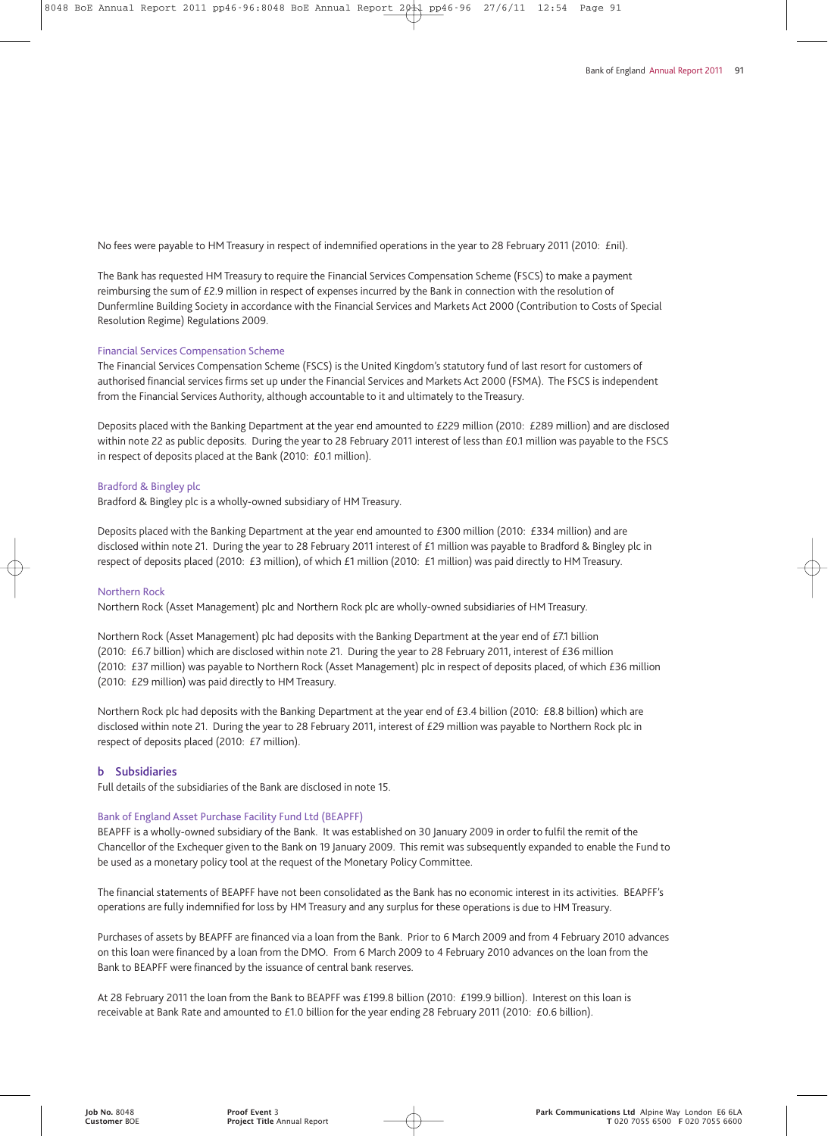No fees were payable to HM Treasury in respect of indemnified operations in the year to 28 February 2011 (2010: £nil).

The Bank has requested HM Treasury to require the Financial Services Compensation Scheme (FSCS) to make a payment reimbursing the sum of £2.9 million in respect of expenses incurred by the Bank in connection with the resolution of Dunfermline Building Society in accordance with the Financial Services and Markets Act 2000 (Contribution to Costs of Special Resolution Regime) Regulations 2009.

#### Financial Services Compensation Scheme

The Financial Services Compensation Scheme (FSCS) is the United Kingdom's statutory fund of last resort for customers of authorised financial services firms set up under the Financial Services and Markets Act 2000 (FSMA). The FSCS is independent from the Financial Services Authority, although accountable to it and ultimately to the Treasury.

Deposits placed with the Banking Department at the year end amounted to £229 million (2010: £289 million) and are disclosed within note 22 as public deposits. During the year to 28 February 2011 interest of less than £0.1 million was payable to the FSCS in respect of deposits placed at the Bank (2010: £0.1 million).

#### Bradford & Bingley plc

Bradford & Bingley plc is a wholly-owned subsidiary of HM Treasury.

Deposits placed with the Banking Department at the year end amounted to £300 million (2010: £334 million) and are disclosed within note 21. During the year to 28 February 2011 interest of £1 million was payable to Bradford & Bingley plc in respect of deposits placed (2010: £3 million), of which £1 million (2010: £1 million) was paid directly to HM Treasury.

#### Northern Rock

Northern Rock (Asset Management) plc and Northern Rock plc are wholly-owned subsidiaries of HM Treasury.

Northern Rock (Asset Management) plc had deposits with the Banking Department at the year end of £7.1 billion (2010: £6.7 billion) which are disclosed within note 21. During the year to 28 February 2011, interest of £36 million (2010: £37 million) was payable to Northern Rock (Asset Management) plc in respect of deposits placed, of which £36 million (2010: £29 million) was paid directly to HM Treasury.

Northern Rock plc had deposits with the Banking Department at the year end of £3.4 billion (2010: £8.8 billion) which are disclosed within note 21. During the year to 28 February 2011, interest of £29 million was payable to Northern Rock plc in respect of deposits placed (2010: £7 million).

#### **b Subsidiaries**

Full details of the subsidiaries of the Bank are disclosed in note 15.

#### Bank of England Asset Purchase Facility Fund Ltd (BEAPFF)

BEAPFF is a wholly-owned subsidiary of the Bank. It was established on 30 January 2009 in order to fulfil the remit of the Chancellor of the Exchequer given to the Bank on 19 January 2009. This remit was subsequently expanded to enable the Fund to be used as a monetary policy tool at the request of the Monetary Policy Committee.

The financial statements of BEAPFF have not been consolidated as the Bank has no economic interest in its activities. BEAPFF's operations are fully indemnified for loss by HM Treasury and any surplus for these operations is due to HM Treasury.

Purchases of assets by BEAPFF are financed via a loan from the Bank. Prior to 6 March 2009 and from 4 February 2010 advances on this loan were financed by a loan from the DMO. From 6 March 2009 to 4 February 2010 advances on the loan from the Bank to BEAPFF were financed by the issuance of central bank reserves.

At 28 February 2011 the loan from the Bank to BEAPFF was £199.8 billion (2010: £199.9 billion). Interest on this loan is receivable at Bank Rate and amounted to £1.0 billion for the year ending 28 February 2011 (2010: £0.6 billion).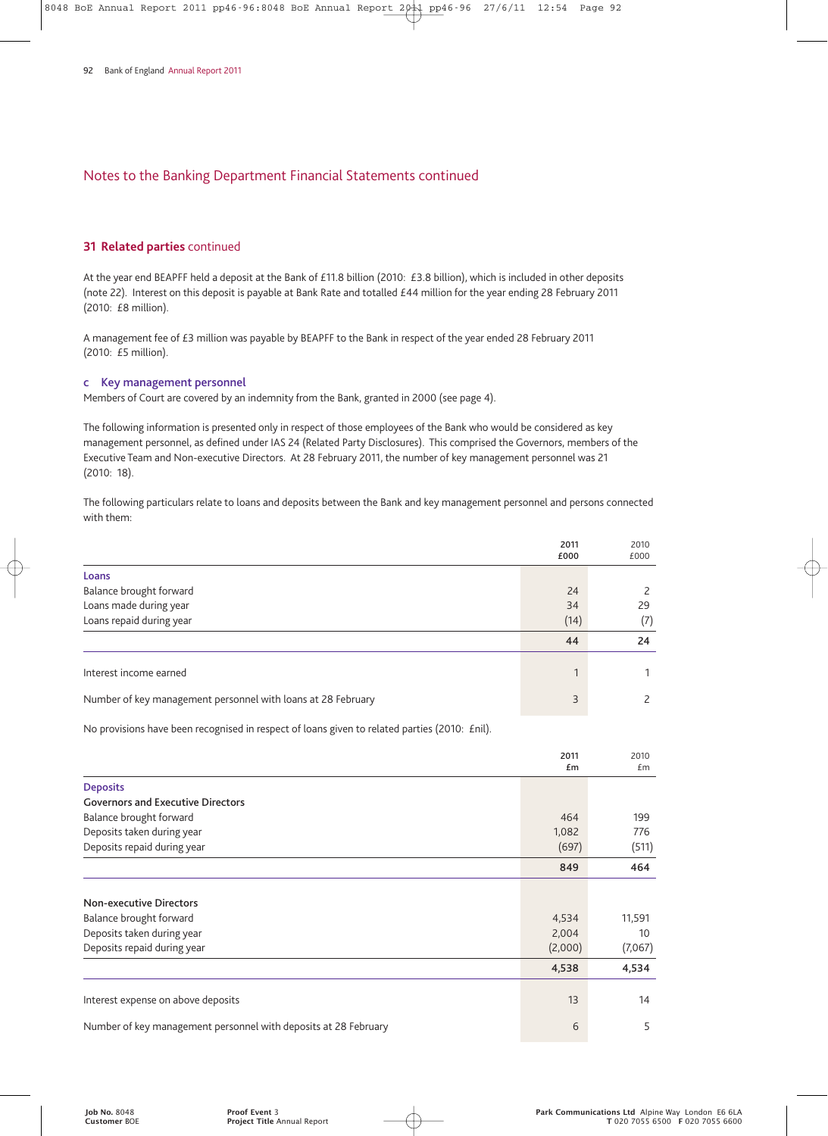#### **31 Related parties** continued

At the year end BEAPFF held a deposit at the Bank of £11.8 billion (2010: £3.8 billion), which is included in other deposits (note 22). Interest on this deposit is payable at Bank Rate and totalled £44 million for the year ending 28 February 2011 (2010: £8 million).

A management fee of £3 million was payable by BEAPFF to the Bank in respect of the year ended 28 February 2011 (2010: £5 million).

### **c Key management personnel**

Members of Court are covered by an indemnity from the Bank, granted in 2000 (see page 4).

The following information is presented only in respect of those employees of the Bank who would be considered as key management personnel, as defined under IAS 24 (Related Party Disclosures). This comprised the Governors, members of the Executive Team and Non-executive Directors. At 28 February 2011, the number of key management personnel was 21 (2010: 18).

The following particulars relate to loans and deposits between the Bank and key management personnel and persons connected with them:

|                                                              | 2011<br>£000 | 2010<br>£000 |
|--------------------------------------------------------------|--------------|--------------|
| Loans                                                        |              |              |
| Balance brought forward                                      | 24           |              |
| Loans made during year                                       | 34           | 29           |
| Loans repaid during year                                     | (14)         | (7)          |
|                                                              | 44           | 24           |
| Interest income earned                                       | 1            |              |
| Number of key management personnel with loans at 28 February | 3            |              |

No provisions have been recognised in respect of loans given to related parties (2010: £nil).

|                                                                 | 2011<br>£m | 2010<br>Em |
|-----------------------------------------------------------------|------------|------------|
| <b>Deposits</b>                                                 |            |            |
| <b>Governors and Executive Directors</b>                        |            |            |
| Balance brought forward                                         | 464        | 199        |
| Deposits taken during year                                      | 1,082      | 776        |
| Deposits repaid during year                                     | (697)      | (511)      |
|                                                                 | 849        | 464        |
|                                                                 |            |            |
| <b>Non-executive Directors</b>                                  |            |            |
| Balance brought forward                                         | 4,534      | 11,591     |
| Deposits taken during year                                      | 2,004      | 10         |
| Deposits repaid during year                                     | (2,000)    | (7,067)    |
|                                                                 | 4,538      | 4,534      |
|                                                                 | 13         | 14         |
| Interest expense on above deposits                              |            |            |
| Number of key management personnel with deposits at 28 February | 6          | 5          |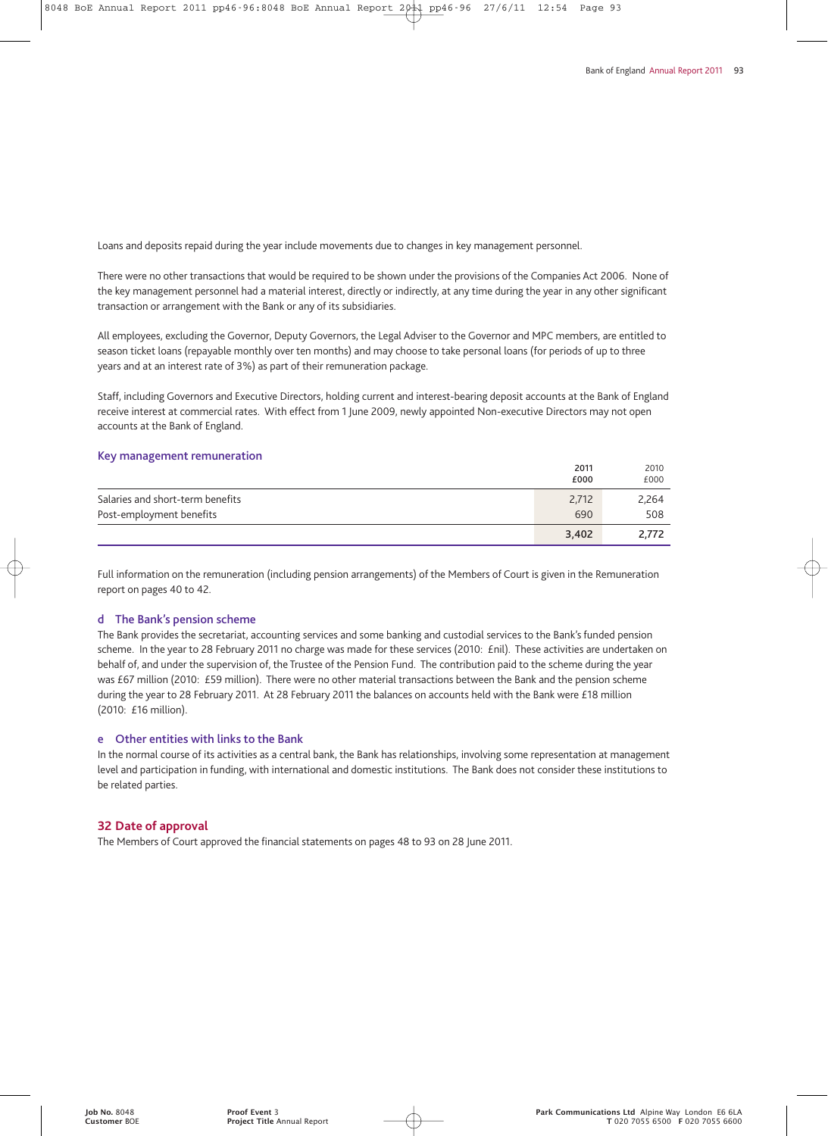Loans and deposits repaid during the year include movements due to changes in key management personnel.

There were no other transactions that would be required to be shown under the provisions of the Companies Act 2006. None of the key management personnel had a material interest, directly or indirectly, at any time during the year in any other significant transaction or arrangement with the Bank or any of its subsidiaries.

All employees, excluding the Governor, Deputy Governors, the Legal Adviser to the Governor and MPC members, are entitled to season ticket loans (repayable monthly over ten months) and may choose to take personal loans (for periods of up to three years and at an interest rate of 3%) as part of their remuneration package.

Staff, including Governors and Executive Directors, holding current and interest-bearing deposit accounts at the Bank of England receive interest at commercial rates. With effect from 1 June 2009, newly appointed Non-executive Directors may not open accounts at the Bank of England.

#### **Key management remuneration**

|                                  | 2011  | 2010  |
|----------------------------------|-------|-------|
|                                  | £000  | £000  |
| Salaries and short-term benefits | 2,712 | 2,264 |
| Post-employment benefits         | 690   | 508   |
|                                  | 3,402 | 2.772 |

Full information on the remuneration (including pension arrangements) of the Members of Court is given in the Remuneration report on pages 40 to 42.

#### **d The Bank's pension scheme**

The Bank provides the secretariat, accounting services and some banking and custodial services to the Bank's funded pension scheme. In the year to 28 February 2011 no charge was made for these services (2010: £nil). These activities are undertaken on behalf of, and under the supervision of, the Trustee of the Pension Fund. The contribution paid to the scheme during the year was £67 million (2010: £59 million). There were no other material transactions between the Bank and the pension scheme during the year to 28 February 2011. At 28 February 2011 the balances on accounts held with the Bank were £18 million (2010: £16 million).

#### **e Other entities with links to the Bank**

In the normal course of its activities as a central bank, the Bank has relationships, involving some representation at management level and participation in funding, with international and domestic institutions. The Bank does not consider these institutions to be related parties.

#### **32 Date of approval**

The Members of Court approved the financial statements on pages 48 to 93 on 28 June 2011.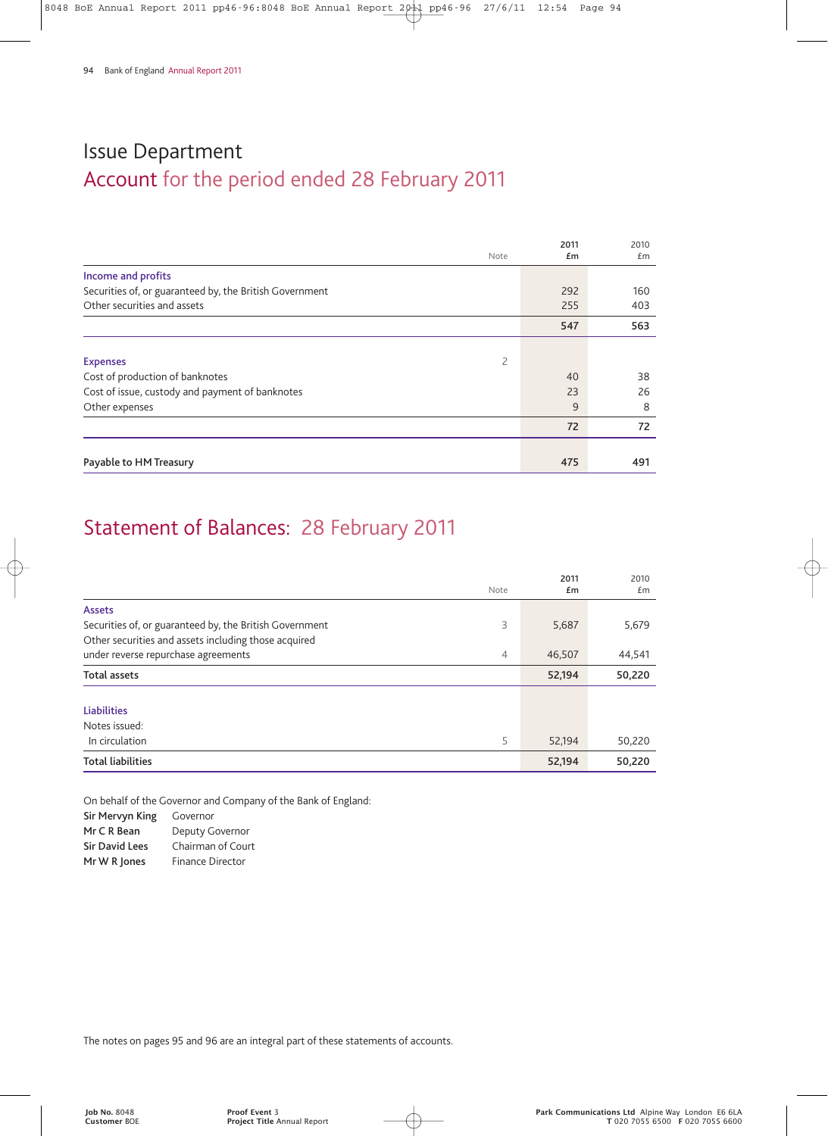# Account for the period ended 28 February 2011 Issue Department

|                                                         | 2011 | 2010 |
|---------------------------------------------------------|------|------|
| Note                                                    | £m   | Em   |
| Income and profits                                      |      |      |
| Securities of, or guaranteed by, the British Government | 292  | 160  |
| Other securities and assets                             | 255  | 403  |
|                                                         | 547  | 563  |
|                                                         |      |      |
| 2<br><b>Expenses</b>                                    |      |      |
| Cost of production of banknotes                         | 40   | 38   |
| Cost of issue, custody and payment of banknotes         | 23   | 26   |
| Other expenses                                          | 9    | 8    |
|                                                         | 72   | 72   |
|                                                         |      |      |
| Payable to HM Treasury                                  | 475  | 491  |

# Statement of Balances: 28 February 2011

|                                                         | Note           | 2011<br>Em | 2010<br>£m |
|---------------------------------------------------------|----------------|------------|------------|
| <b>Assets</b>                                           |                |            |            |
| Securities of, or guaranteed by, the British Government | 3              | 5,687      | 5,679      |
| Other securities and assets including those acquired    |                |            |            |
| under reverse repurchase agreements                     | $\overline{4}$ | 46,507     | 44,541     |
| <b>Total assets</b>                                     |                | 52,194     | 50,220     |
|                                                         |                |            |            |
| <b>Liabilities</b>                                      |                |            |            |
| Notes issued:                                           |                |            |            |
| In circulation                                          | 5              | 52,194     | 50,220     |
| <b>Total liabilities</b>                                |                | 52,194     | 50,220     |

On behalf of the Governor and Company of the Bank of England:

**Sir Mervyn King** Governor **Mr C R Bean** Deputy Governor **Sir David Lees** Chairman of Court **Mr W R Jones** Finance Director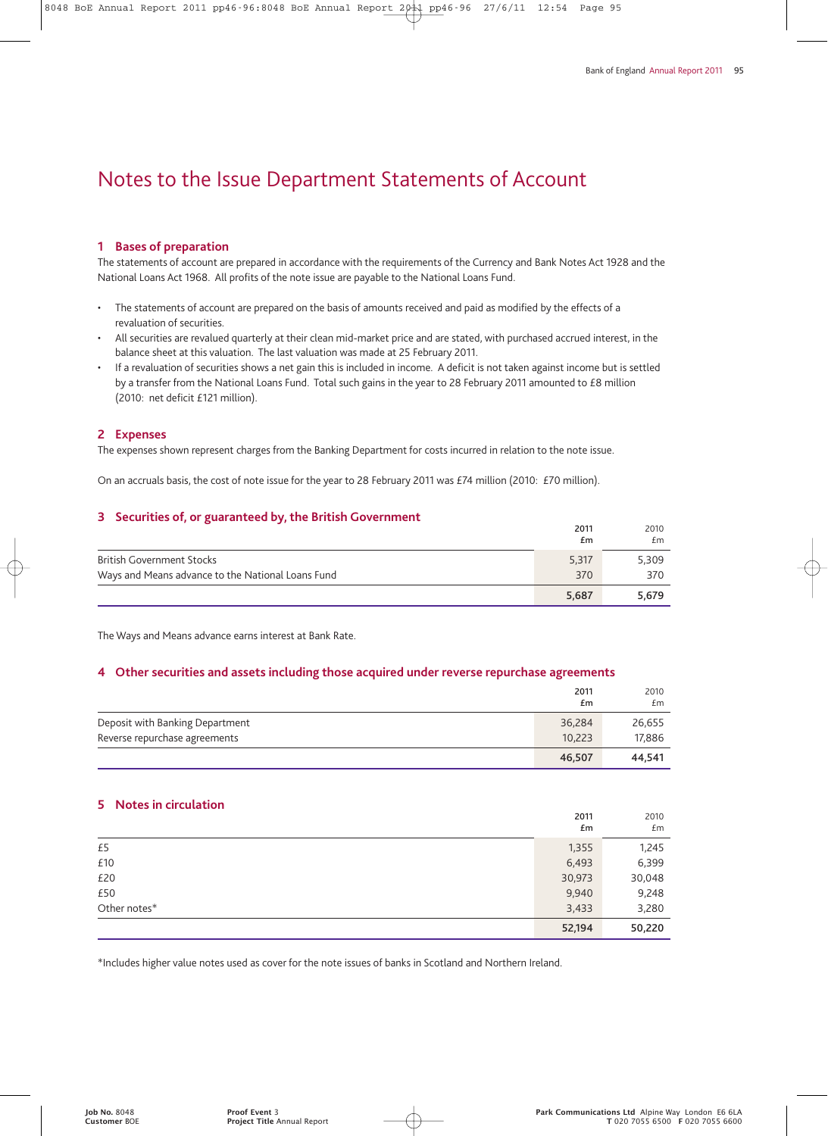# Notes to the Issue Department Statements of Account

#### **1 Bases of preparation**

The statements of account are prepared in accordance with the requirements of the Currency and Bank Notes Act 1928 and the National Loans Act 1968. All profits of the note issue are payable to the National Loans Fund.

- The statements of account are prepared on the basis of amounts received and paid as modified by the effects of a revaluation of securities.
- All securities are revalued quarterly at their clean mid-market price and are stated, with purchased accrued interest, in the balance sheet at this valuation. The last valuation was made at 25 February 2011.
- If a revaluation of securities shows a net gain this is included in income. A deficit is not taken against income but is settled by a transfer from the National Loans Fund. Total such gains in the year to 28 February 2011 amounted to £8 million (2010: net deficit £121 million).

#### **2 Expenses**

The expenses shown represent charges from the Banking Department for costs incurred in relation to the note issue.

On an accruals basis, the cost of note issue for the year to 28 February 2011 was £74 million (2010: £70 million).

#### **3 Securities of, or guaranteed by, the British Government**

|                                                   | 2011  | 2010  |
|---------------------------------------------------|-------|-------|
|                                                   | £m    | £m    |
| <b>British Government Stocks</b>                  | 5,317 | 5,309 |
| Ways and Means advance to the National Loans Fund | 370   | 370   |
|                                                   | 5.687 | 5.679 |

The Ways and Means advance earns interest at Bank Rate.

#### **4 Other securities and assets including those acquired under reverse repurchase agreements**

|                                 | 2011<br>£m | 2010<br>£m |
|---------------------------------|------------|------------|
| Deposit with Banking Department | 36,284     | 26,655     |
| Reverse repurchase agreements   | 10.223     | 17.886     |
|                                 | 46.507     | 44.541     |

#### **5 Notes in circulation**

|              | 2011<br>£m | 2010<br>£m |
|--------------|------------|------------|
| £5           | 1,355      | 1,245      |
| £10          | 6,493      | 6,399      |
| £20          | 30,973     | 30,048     |
| £50          | 9,940      | 9,248      |
| Other notes* | 3,433      | 3,280      |
|              | 52,194     | 50,220     |

\*Includes higher value notes used as cover for the note issues of banks in Scotland and Northern Ireland.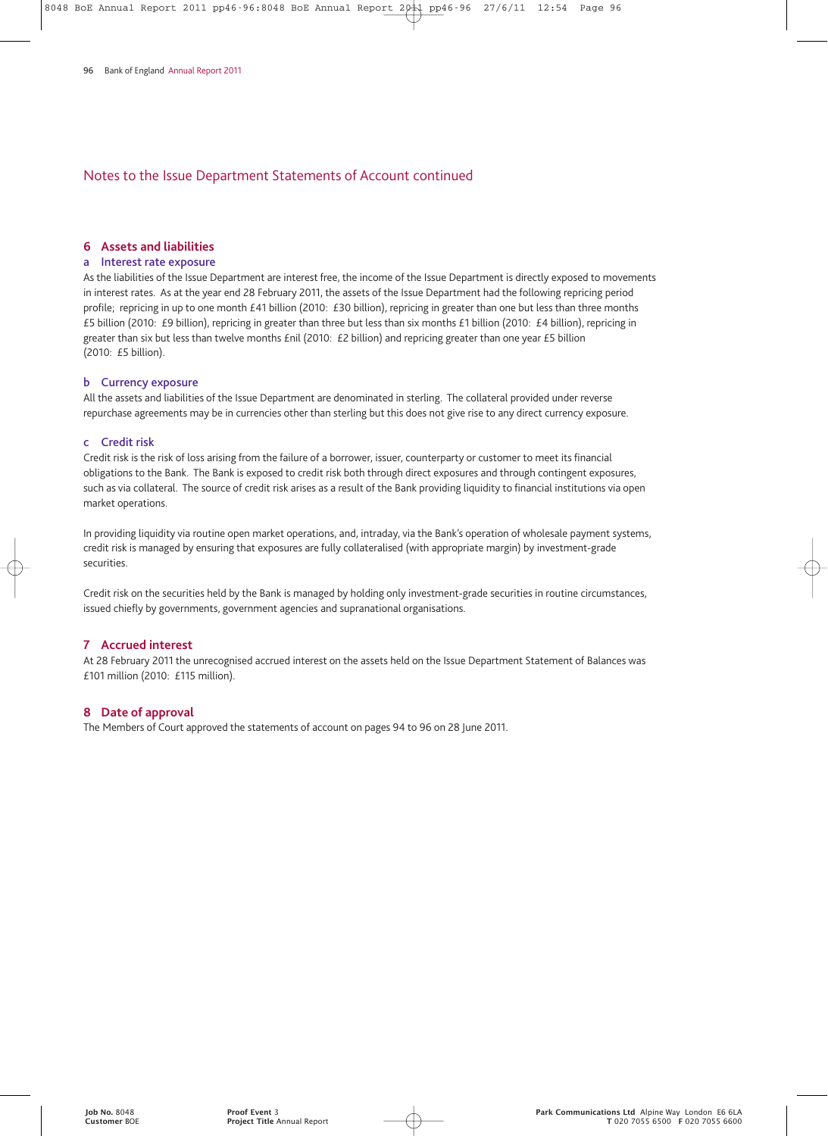## Notes to the Issue Department Statements of Account continued

#### **6 Assets and liabilities**

#### **a Interest rate exposure**

As the liabilities of the Issue Department are interest free, the income of the Issue Department is directly exposed to movements in interest rates. As at the year end 28 February 2011, the assets of the Issue Department had the following repricing period profile; repricing in up to one month £41 billion (2010: £30 billion), repricing in greater than one but less than three months £5 billion (2010: £9 billion), repricing in greater than three but less than six months £1 billion (2010: £4 billion), repricing in greater than six but less than twelve months £nil (2010: £2 billion) and repricing greater than one year £5 billion (2010: £5 billion).

#### **b Currency exposure**

All the assets and liabilities of the Issue Department are denominated in sterling. The collateral provided under reverse repurchase agreements may be in currencies other than sterling but this does not give rise to any direct currency exposure.

#### **c Credit risk**

Credit risk is the risk of loss arising from the failure of a borrower, issuer, counterparty or customer to meet its financial obligations to the Bank. The Bank is exposed to credit risk both through direct exposures and through contingent exposures, such as via collateral. The source of credit risk arises as a result of the Bank providing liquidity to financial institutions via open market operations.

In providing liquidity via routine open market operations, and, intraday, via the Bank's operation of wholesale payment systems, credit risk is managed by ensuring that exposures are fully collateralised (with appropriate margin) by investment-grade securities.

Credit risk on the securities held by the Bank is managed by holding only investment-grade securities in routine circumstances, issued chiefly by governments, government agencies and supranational organisations.

#### **7 Accrued interest**

At 28 February 2011 the unrecognised accrued interest on the assets held on the Issue Department Statement of Balances was £101 million (2010: £115 million).

## **8 Date of approval**

The Members of Court approved the statements of account on pages 94 to 96 on 28 June 2011.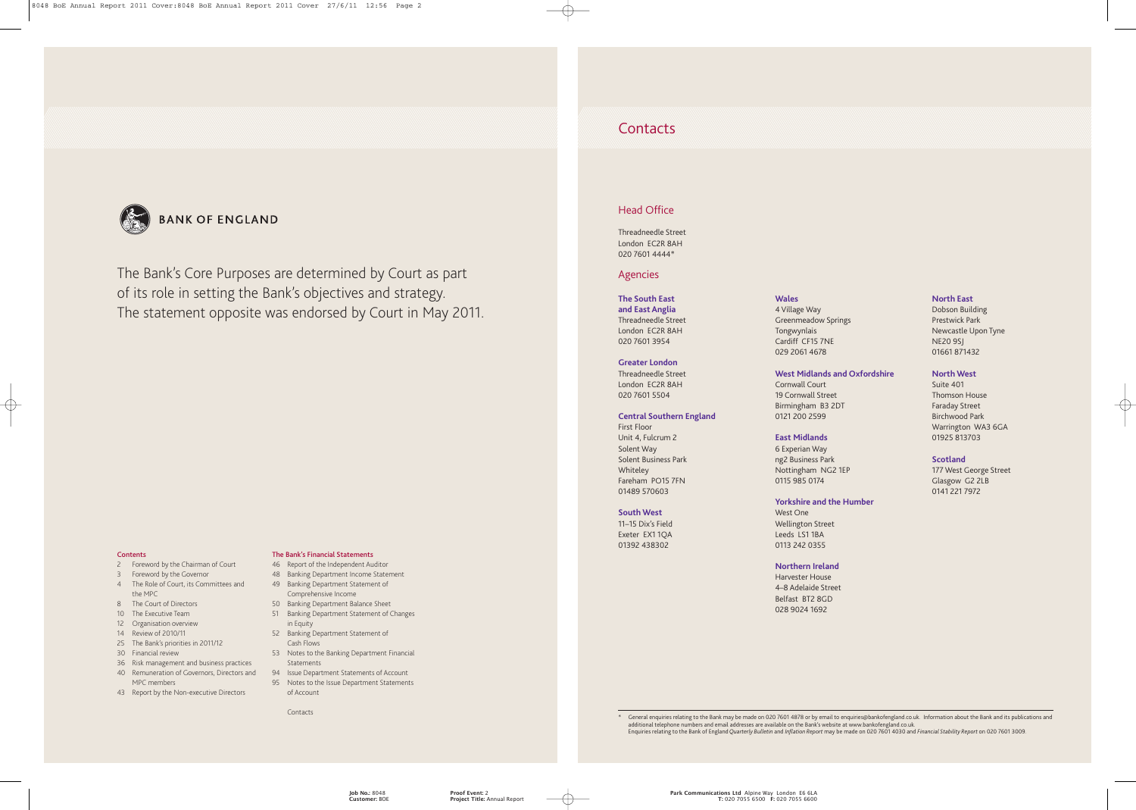## **Contacts**

## Head Office

Threadneedle Street London EC2R 8AH 020 7601 4444\*

## Agencies

## **The South East**

**and East Anglia** Threadneedle Street London EC2R 8AH 020 7601 3954

#### **Greater London**

Threadneedle Street London EC2R 8AH 020 7601 5504

#### **Central Southern England**

First Floor Unit 4, Fulcrum 2 Solent Way Solent Business Park Whiteley Fareham PO15 7FN 01489 570603

#### **South West**

11–15 Dix's Field Exeter EX1 1QA 01392 438302

#### **Wales**

4 Village Way Greenmeadow Springs Tongwynlais Cardiff CF15 7NE 029 2061 4678

## **West Midlands and Oxfordshire**

Cornwall Court 19 Cornwall Street Birmingham B3 2DT 0121 200 2599

#### **East Midlands**

6 Experian Way ng2 Business Park Nottingham NG2 1EP 0115 985 0174

#### **Yorkshire and the Humber**

West One Wellington Street Leeds LS1 1BA 0113 242 0355

#### **Northern Ireland**

Harvester House 4–8 Adelaide Street Belfast BT2 8GD 028 9024 1692

#### **North East**

Dobson Building Prestwick Park Newcastle Upon Tyne NE20 9SJ 01661 871432

#### **North West**

Suite 401 Thomson House Faraday Street Birchwood Park Warrington WA3 6GA 01925 813703

#### **Scotland**

177 West George Street Glasgow G2 2LB 0141 221 7972

\* General enquiries relating to the Bank may be made on 020 7601 4878 or by email to enquiries@bankofengland.co.uk. Information about the Bank and its publications and additional telephone numbers and email addresses are available on the Bank's website at www.bankofengland.co.uk. Enquiries relating to the Bank of England *Quarterly Bulletin* and *Inflation Report* may be made on 020 7601 4030 and *Financial Stability Report* on 020 7601 3009.